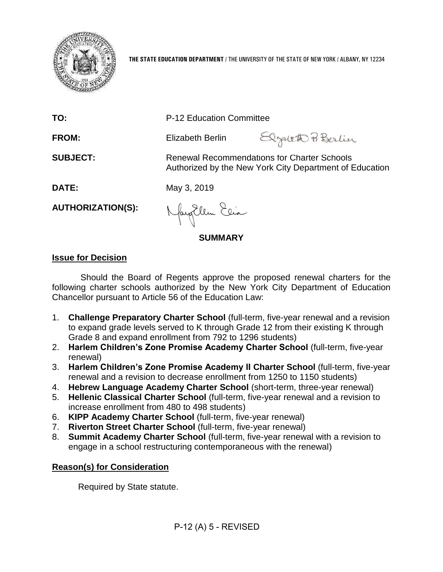

**THE STATE EDUCATION DEPARTMENT** / THE UNIVERSITY OF THE STATE OF NEW YORK / ALBANY, NY 12234

**TO:** P-12 Education Committee

**FROM:** Elizabeth Berlin

Elgateth BBerlin

**SUBJECT:** Renewal Recommendations for Charter Schools Authorized by the New York City Department of Education

**DATE:** May 3, 2019

**AUTHORIZATION(S):**

Naytlem Elia

**SUMMARY**

# **Issue for Decision**

Should the Board of Regents approve the proposed renewal charters for the following charter schools authorized by the New York City Department of Education Chancellor pursuant to Article 56 of the Education Law:

- 1. **Challenge Preparatory Charter School** (full-term, five-year renewal and a revision to expand grade levels served to K through Grade 12 from their existing K through Grade 8 and expand enrollment from 792 to 1296 students)
- 2. **Harlem Children's Zone Promise Academy Charter School** (full-term, five-year renewal)
- 3. **Harlem Children's Zone Promise Academy II Charter School** (full-term, five-year renewal and a revision to decrease enrollment from 1250 to 1150 students)
- 4. **Hebrew Language Academy Charter School** (short-term, three-year renewal)
- 5. **Hellenic Classical Charter School** (full-term, five-year renewal and a revision to increase enrollment from 480 to 498 students)
- 6. **KIPP Academy Charter School** (full-term, five-year renewal)
- 7. **Riverton Street Charter School** (full-term, five-year renewal)
- 8. **Summit Academy Charter School** (full-term, five-year renewal with a revision to engage in a school restructuring contemporaneous with the renewal)

# **Reason(s) for Consideration**

Required by State statute.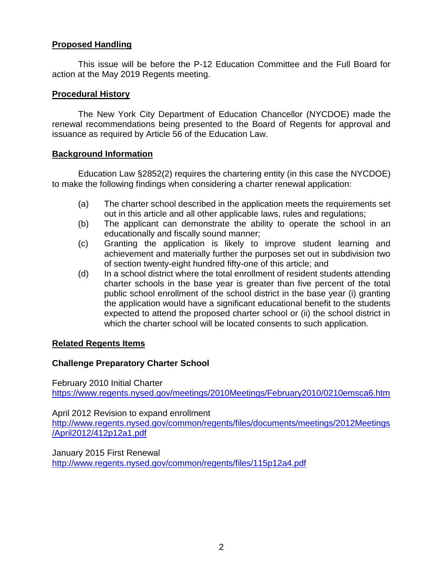# **Proposed Handling**

This issue will be before the P-12 Education Committee and the Full Board for action at the May 2019 Regents meeting.

# **Procedural History**

The New York City Department of Education Chancellor (NYCDOE) made the renewal recommendations being presented to the Board of Regents for approval and issuance as required by Article 56 of the Education Law.

# **Background Information**

Education Law §2852(2) requires the chartering entity (in this case the NYCDOE) to make the following findings when considering a charter renewal application:

- (a) The charter school described in the application meets the requirements set out in this article and all other applicable laws, rules and regulations;
- (b) The applicant can demonstrate the ability to operate the school in an educationally and fiscally sound manner;
- (c) Granting the application is likely to improve student learning and achievement and materially further the purposes set out in subdivision two of section twenty-eight hundred fifty-one of this article; and
- (d) In a school district where the total enrollment of resident students attending charter schools in the base year is greater than five percent of the total public school enrollment of the school district in the base year (i) granting the application would have a significant educational benefit to the students expected to attend the proposed charter school or (ii) the school district in which the charter school will be located consents to such application.

# **Related Regents Items**

# **Challenge Preparatory Charter School**

February 2010 Initial Charter <https://www.regents.nysed.gov/meetings/2010Meetings/February2010/0210emsca6.htm>

April 2012 Revision to expand enrollment

[http://www.regents.nysed.gov/common/regents/files/documents/meetings/2012Meetings](http://www.regents.nysed.gov/common/regents/files/documents/meetings/2012Meetings/April2012/412p12a1.pdf) [/April2012/412p12a1.pdf](http://www.regents.nysed.gov/common/regents/files/documents/meetings/2012Meetings/April2012/412p12a1.pdf)

January 2015 First Renewal <http://www.regents.nysed.gov/common/regents/files/115p12a4.pdf>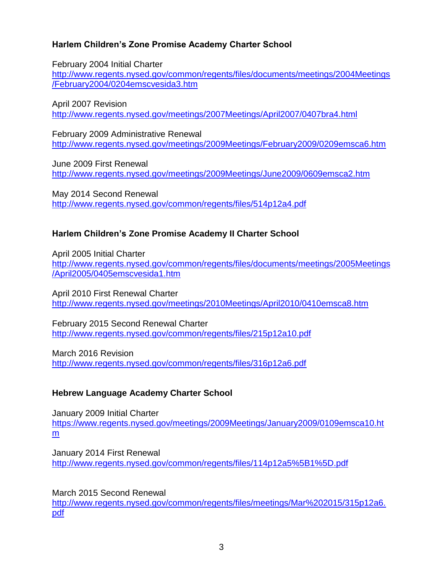# **Harlem Children's Zone Promise Academy Charter School**

February 2004 Initial Charter

[http://www.regents.nysed.gov/common/regents/files/documents/meetings/2004Meetings](http://www.regents.nysed.gov/common/regents/files/documents/meetings/2004Meetings/February2004/0204emscvesida3.htm) [/February2004/0204emscvesida3.htm](http://www.regents.nysed.gov/common/regents/files/documents/meetings/2004Meetings/February2004/0204emscvesida3.htm)

April 2007 Revision <http://www.regents.nysed.gov/meetings/2007Meetings/April2007/0407bra4.html>

February 2009 Administrative Renewal <http://www.regents.nysed.gov/meetings/2009Meetings/February2009/0209emsca6.htm>

June 2009 First Renewal <http://www.regents.nysed.gov/meetings/2009Meetings/June2009/0609emsca2.htm>

May 2014 Second Renewal <http://www.regents.nysed.gov/common/regents/files/514p12a4.pdf>

# **Harlem Children's Zone Promise Academy II Charter School**

April 2005 Initial Charter [http://www.regents.nysed.gov/common/regents/files/documents/meetings/2005Meetings](http://www.regents.nysed.gov/common/regents/files/documents/meetings/2005Meetings/April2005/0405emscvesida1.htm) [/April2005/0405emscvesida1.htm](http://www.regents.nysed.gov/common/regents/files/documents/meetings/2005Meetings/April2005/0405emscvesida1.htm)

April 2010 First Renewal Charter <http://www.regents.nysed.gov/meetings/2010Meetings/April2010/0410emsca8.htm>

February 2015 Second Renewal Charter <http://www.regents.nysed.gov/common/regents/files/215p12a10.pdf>

March 2016 Revision <http://www.regents.nysed.gov/common/regents/files/316p12a6.pdf>

# **Hebrew Language Academy Charter School**

January 2009 Initial Charter [https://www.regents.nysed.gov/meetings/2009Meetings/January2009/0109emsca10.ht](https://www.regents.nysed.gov/meetings/2009Meetings/January2009/0109emsca10.htm) [m](https://www.regents.nysed.gov/meetings/2009Meetings/January2009/0109emsca10.htm)

January 2014 First Renewal <http://www.regents.nysed.gov/common/regents/files/114p12a5%5B1%5D.pdf>

March 2015 Second Renewal

[http://www.regents.nysed.gov/common/regents/files/meetings/Mar%202015/315p12a6.](http://www.regents.nysed.gov/common/regents/files/meetings/Mar%202015/315p12a6.pdf) [pdf](http://www.regents.nysed.gov/common/regents/files/meetings/Mar%202015/315p12a6.pdf)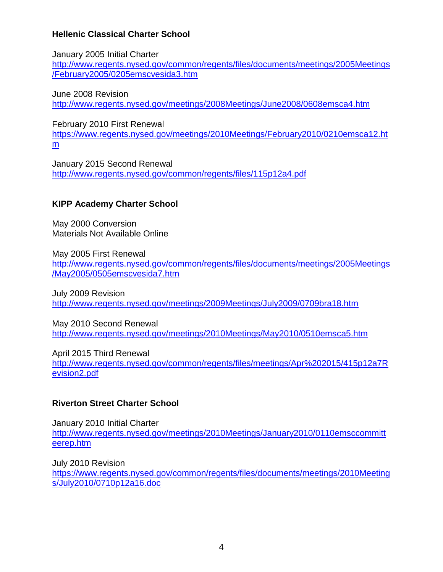# **Hellenic Classical Charter School**

January 2005 Initial Charter

[http://www.regents.nysed.gov/common/regents/files/documents/meetings/2005Meetings](http://www.regents.nysed.gov/common/regents/files/documents/meetings/2005Meetings/February2005/0205emscvesida3.htm) [/February2005/0205emscvesida3.htm](http://www.regents.nysed.gov/common/regents/files/documents/meetings/2005Meetings/February2005/0205emscvesida3.htm)

June 2008 Revision <http://www.regents.nysed.gov/meetings/2008Meetings/June2008/0608emsca4.htm>

February 2010 First Renewal

[https://www.regents.nysed.gov/meetings/2010Meetings/February2010/0210emsca12.ht](https://www.regents.nysed.gov/meetings/2010Meetings/February2010/0210emsca12.htm) [m](https://www.regents.nysed.gov/meetings/2010Meetings/February2010/0210emsca12.htm)

January 2015 Second Renewal <http://www.regents.nysed.gov/common/regents/files/115p12a4.pdf>

# **KIPP Academy Charter School**

May 2000 Conversion Materials Not Available Online

May 2005 First Renewal [http://www.regents.nysed.gov/common/regents/files/documents/meetings/2005Meetings](http://www.regents.nysed.gov/common/regents/files/documents/meetings/2005Meetings/May2005/0505emscvesida7.htm) [/May2005/0505emscvesida7.htm](http://www.regents.nysed.gov/common/regents/files/documents/meetings/2005Meetings/May2005/0505emscvesida7.htm)

July 2009 Revision <http://www.regents.nysed.gov/meetings/2009Meetings/July2009/0709bra18.htm>

May 2010 Second Renewal <http://www.regents.nysed.gov/meetings/2010Meetings/May2010/0510emsca5.htm>

April 2015 Third Renewal [http://www.regents.nysed.gov/common/regents/files/meetings/Apr%202015/415p12a7R](http://www.regents.nysed.gov/common/regents/files/meetings/Apr%202015/415p12a7Revision2.pdf) [evision2.pdf](http://www.regents.nysed.gov/common/regents/files/meetings/Apr%202015/415p12a7Revision2.pdf)

# **Riverton Street Charter School**

January 2010 Initial Charter [http://www.regents.nysed.gov/meetings/2010Meetings/January2010/0110emsccommitt](http://www.regents.nysed.gov/meetings/2010Meetings/January2010/0110emsccommitteerep.htm) [eerep.htm](http://www.regents.nysed.gov/meetings/2010Meetings/January2010/0110emsccommitteerep.htm)

July 2010 Revision [https://www.regents.nysed.gov/common/regents/files/documents/meetings/2010Meeting](https://www.regents.nysed.gov/common/regents/files/documents/meetings/2010Meetings/July2010/0710p12a16.doc) [s/July2010/0710p12a16.doc](https://www.regents.nysed.gov/common/regents/files/documents/meetings/2010Meetings/July2010/0710p12a16.doc)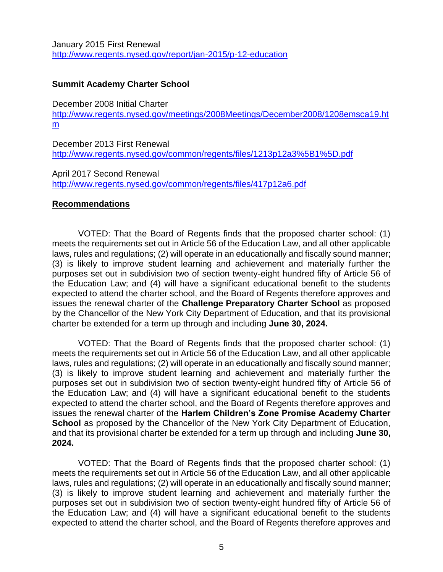January 2015 First Renewal <http://www.regents.nysed.gov/report/jan-2015/p-12-education>

# **Summit Academy Charter School**

December 2008 Initial Charter

[http://www.regents.nysed.gov/meetings/2008Meetings/December2008/1208emsca19.ht](http://www.regents.nysed.gov/meetings/2008Meetings/December2008/1208emsca19.htm) [m](http://www.regents.nysed.gov/meetings/2008Meetings/December2008/1208emsca19.htm)

December 2013 First Renewal <http://www.regents.nysed.gov/common/regents/files/1213p12a3%5B1%5D.pdf>

April 2017 Second Renewal <http://www.regents.nysed.gov/common/regents/files/417p12a6.pdf>

# **Recommendations**

VOTED: That the Board of Regents finds that the proposed charter school: (1) meets the requirements set out in Article 56 of the Education Law, and all other applicable laws, rules and regulations; (2) will operate in an educationally and fiscally sound manner; (3) is likely to improve student learning and achievement and materially further the purposes set out in subdivision two of section twenty-eight hundred fifty of Article 56 of the Education Law; and (4) will have a significant educational benefit to the students expected to attend the charter school, and the Board of Regents therefore approves and issues the renewal charter of the **Challenge Preparatory Charter School** as proposed by the Chancellor of the New York City Department of Education, and that its provisional charter be extended for a term up through and including **June 30, 2024.** 

VOTED: That the Board of Regents finds that the proposed charter school: (1) meets the requirements set out in Article 56 of the Education Law, and all other applicable laws, rules and regulations; (2) will operate in an educationally and fiscally sound manner; (3) is likely to improve student learning and achievement and materially further the purposes set out in subdivision two of section twenty-eight hundred fifty of Article 56 of the Education Law; and (4) will have a significant educational benefit to the students expected to attend the charter school, and the Board of Regents therefore approves and issues the renewal charter of the **Harlem Children's Zone Promise Academy Charter School** as proposed by the Chancellor of the New York City Department of Education, and that its provisional charter be extended for a term up through and including **June 30, 2024.** 

VOTED: That the Board of Regents finds that the proposed charter school: (1) meets the requirements set out in Article 56 of the Education Law, and all other applicable laws, rules and regulations; (2) will operate in an educationally and fiscally sound manner; (3) is likely to improve student learning and achievement and materially further the purposes set out in subdivision two of section twenty-eight hundred fifty of Article 56 of the Education Law; and (4) will have a significant educational benefit to the students expected to attend the charter school, and the Board of Regents therefore approves and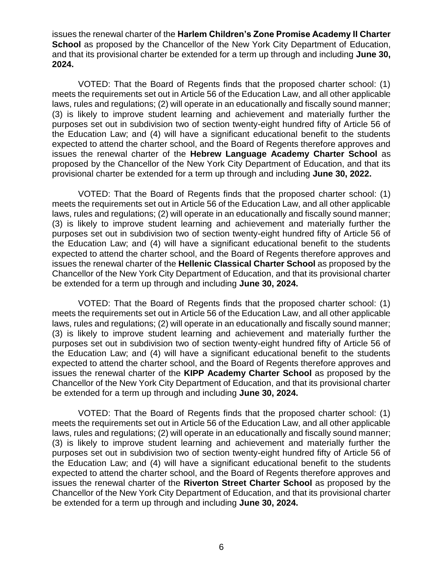issues the renewal charter of the **Harlem Children's Zone Promise Academy II Charter School** as proposed by the Chancellor of the New York City Department of Education, and that its provisional charter be extended for a term up through and including **June 30, 2024.** 

VOTED: That the Board of Regents finds that the proposed charter school: (1) meets the requirements set out in Article 56 of the Education Law, and all other applicable laws, rules and regulations; (2) will operate in an educationally and fiscally sound manner; (3) is likely to improve student learning and achievement and materially further the purposes set out in subdivision two of section twenty-eight hundred fifty of Article 56 of the Education Law; and (4) will have a significant educational benefit to the students expected to attend the charter school, and the Board of Regents therefore approves and issues the renewal charter of the **Hebrew Language Academy Charter School** as proposed by the Chancellor of the New York City Department of Education, and that its provisional charter be extended for a term up through and including **June 30, 2022.** 

VOTED: That the Board of Regents finds that the proposed charter school: (1) meets the requirements set out in Article 56 of the Education Law, and all other applicable laws, rules and regulations; (2) will operate in an educationally and fiscally sound manner; (3) is likely to improve student learning and achievement and materially further the purposes set out in subdivision two of section twenty-eight hundred fifty of Article 56 of the Education Law; and (4) will have a significant educational benefit to the students expected to attend the charter school, and the Board of Regents therefore approves and issues the renewal charter of the **Hellenic Classical Charter School** as proposed by the Chancellor of the New York City Department of Education, and that its provisional charter be extended for a term up through and including **June 30, 2024.** 

VOTED: That the Board of Regents finds that the proposed charter school: (1) meets the requirements set out in Article 56 of the Education Law, and all other applicable laws, rules and regulations; (2) will operate in an educationally and fiscally sound manner; (3) is likely to improve student learning and achievement and materially further the purposes set out in subdivision two of section twenty-eight hundred fifty of Article 56 of the Education Law; and (4) will have a significant educational benefit to the students expected to attend the charter school, and the Board of Regents therefore approves and issues the renewal charter of the **KIPP Academy Charter School** as proposed by the Chancellor of the New York City Department of Education, and that its provisional charter be extended for a term up through and including **June 30, 2024.** 

VOTED: That the Board of Regents finds that the proposed charter school: (1) meets the requirements set out in Article 56 of the Education Law, and all other applicable laws, rules and regulations; (2) will operate in an educationally and fiscally sound manner; (3) is likely to improve student learning and achievement and materially further the purposes set out in subdivision two of section twenty-eight hundred fifty of Article 56 of the Education Law; and (4) will have a significant educational benefit to the students expected to attend the charter school, and the Board of Regents therefore approves and issues the renewal charter of the **Riverton Street Charter School** as proposed by the Chancellor of the New York City Department of Education, and that its provisional charter be extended for a term up through and including **June 30, 2024.**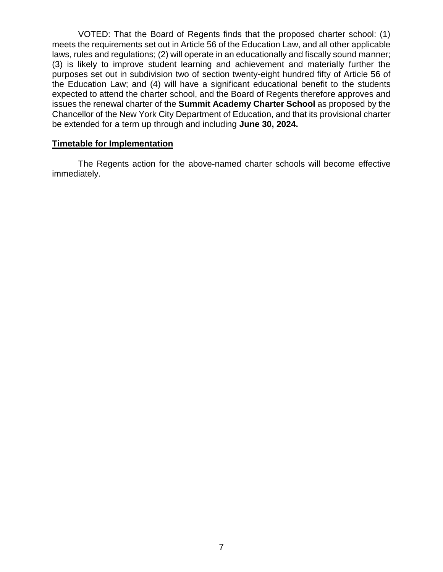VOTED: That the Board of Regents finds that the proposed charter school: (1) meets the requirements set out in Article 56 of the Education Law, and all other applicable laws, rules and regulations; (2) will operate in an educationally and fiscally sound manner; (3) is likely to improve student learning and achievement and materially further the purposes set out in subdivision two of section twenty-eight hundred fifty of Article 56 of the Education Law; and (4) will have a significant educational benefit to the students expected to attend the charter school, and the Board of Regents therefore approves and issues the renewal charter of the **Summit Academy Charter School** as proposed by the Chancellor of the New York City Department of Education, and that its provisional charter be extended for a term up through and including **June 30, 2024.** 

## **Timetable for Implementation**

The Regents action for the above-named charter schools will become effective immediately.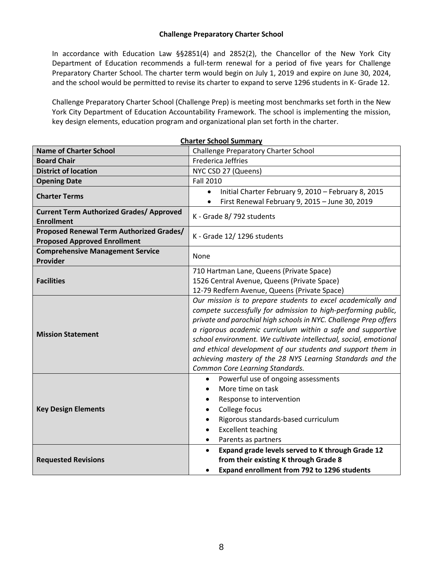### **Challenge Preparatory Charter School**

In accordance with Education Law §§2851(4) and 2852(2), the Chancellor of the New York City Department of Education recommends a full-term renewal for a period of five years for Challenge Preparatory Charter School. The charter term would begin on July 1, 2019 and expire on June 30, 2024, and the school would be permitted to revise its charter to expand to serve 1296 students in K- Grade 12.

Challenge Preparatory Charter School (Challenge Prep) is meeting most benchmarks set forth in the New York City Department of Education Accountability Framework. The school is implementing the mission, key design elements, education program and organizational plan set forth in the charter.

| <b>Name of Charter School</b>                                                          | <b>Challenge Preparatory Charter School</b>                                                                                                                                                                                                                                                                                                                                                                                                                                                          |  |  |  |
|----------------------------------------------------------------------------------------|------------------------------------------------------------------------------------------------------------------------------------------------------------------------------------------------------------------------------------------------------------------------------------------------------------------------------------------------------------------------------------------------------------------------------------------------------------------------------------------------------|--|--|--|
| <b>Board Chair</b>                                                                     | <b>Frederica Jeffries</b>                                                                                                                                                                                                                                                                                                                                                                                                                                                                            |  |  |  |
| <b>District of location</b>                                                            | NYC CSD 27 (Queens)                                                                                                                                                                                                                                                                                                                                                                                                                                                                                  |  |  |  |
| <b>Opening Date</b>                                                                    | <b>Fall 2010</b>                                                                                                                                                                                                                                                                                                                                                                                                                                                                                     |  |  |  |
|                                                                                        | Initial Charter February 9, 2010 - February 8, 2015<br>$\bullet$                                                                                                                                                                                                                                                                                                                                                                                                                                     |  |  |  |
| <b>Charter Terms</b>                                                                   | First Renewal February 9, 2015 - June 30, 2019                                                                                                                                                                                                                                                                                                                                                                                                                                                       |  |  |  |
| <b>Current Term Authorized Grades/ Approved</b><br><b>Enrollment</b>                   | K - Grade 8/792 students                                                                                                                                                                                                                                                                                                                                                                                                                                                                             |  |  |  |
| <b>Proposed Renewal Term Authorized Grades/</b><br><b>Proposed Approved Enrollment</b> | K - Grade 12/1296 students                                                                                                                                                                                                                                                                                                                                                                                                                                                                           |  |  |  |
| <b>Comprehensive Management Service</b><br>Provider                                    | None                                                                                                                                                                                                                                                                                                                                                                                                                                                                                                 |  |  |  |
|                                                                                        | 710 Hartman Lane, Queens (Private Space)                                                                                                                                                                                                                                                                                                                                                                                                                                                             |  |  |  |
| <b>Facilities</b>                                                                      | 1526 Central Avenue, Queens (Private Space)                                                                                                                                                                                                                                                                                                                                                                                                                                                          |  |  |  |
|                                                                                        | 12-79 Redfern Avenue, Queens (Private Space)                                                                                                                                                                                                                                                                                                                                                                                                                                                         |  |  |  |
| <b>Mission Statement</b>                                                               | Our mission is to prepare students to excel academically and<br>compete successfully for admission to high-performing public,<br>private and parochial high schools in NYC. Challenge Prep offers<br>a rigorous academic curriculum within a safe and supportive<br>school environment. We cultivate intellectual, social, emotional<br>and ethical development of our students and support them in<br>achieving mastery of the 28 NYS Learning Standards and the<br>Common Core Learning Standards. |  |  |  |
| <b>Key Design Elements</b>                                                             | Powerful use of ongoing assessments<br>$\bullet$<br>More time on task<br>$\bullet$<br>Response to intervention<br>$\bullet$<br>College focus<br>$\bullet$<br>Rigorous standards-based curriculum<br>$\bullet$<br><b>Excellent teaching</b><br>$\bullet$<br>Parents as partners<br>$\bullet$                                                                                                                                                                                                          |  |  |  |
| <b>Requested Revisions</b>                                                             | Expand grade levels served to K through Grade 12<br>$\bullet$<br>from their existing K through Grade 8<br><b>Expand enrollment from 792 to 1296 students</b><br>$\bullet$                                                                                                                                                                                                                                                                                                                            |  |  |  |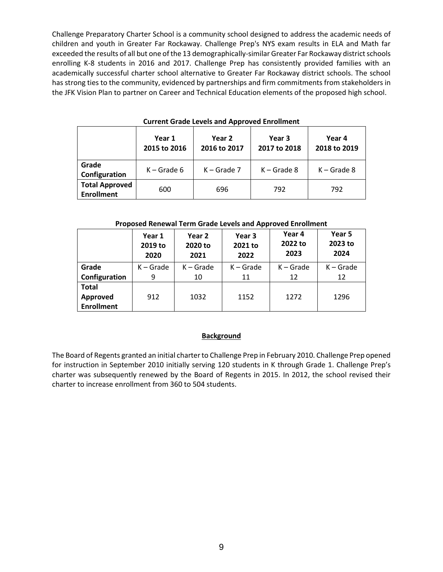Challenge Preparatory Charter School is a community school designed to address the academic needs of children and youth in Greater Far Rockaway. Challenge Prep's NYS exam results in ELA and Math far exceeded the results of all but one of the 13 demographically-similar Greater Far Rockaway district schools enrolling K-8 students in 2016 and 2017. Challenge Prep has consistently provided families with an academically successful charter school alternative to Greater Far Rockaway district schools. The school has strong ties to the community, evidenced by partnerships and firm commitments from stakeholders in the JFK Vision Plan to partner on Career and Technical Education elements of the proposed high school.

|                                            | Year 1<br>2015 to 2016 | Year 2<br>2016 to 2017 | Year 3<br>2017 to 2018 | Year 4<br>2018 to 2019 |
|--------------------------------------------|------------------------|------------------------|------------------------|------------------------|
| Grade<br>Configuration                     | $K -$ Grade 6          | $K -$ Grade 7          | $K -$ Grade 8          | $K -$ Grade 8          |
| <b>Total Approved</b><br><b>Enrollment</b> | 600                    | 696                    | 792                    | 792                    |

#### **Current Grade Levels and Approved Enrollment**

#### **Proposed Renewal Term Grade Levels and Approved Enrollment**

|                                               | Year 1      | Year 2      | Year 3      | Year 4      | Year 5      |
|-----------------------------------------------|-------------|-------------|-------------|-------------|-------------|
|                                               | 2019 to     | 2020 to     | 2021 to     | 2022 to     | 2023 to     |
|                                               | 2020        | 2021        | 2022        | 2023        | 2024        |
| Grade                                         | $K -$ Grade | $K -$ Grade | $K -$ Grade | $K -$ Grade | $K -$ Grade |
| Configuration                                 | 9           | 10          | 11          | 12          | 12          |
| <b>Total</b><br>Approved<br><b>Enrollment</b> | 912         | 1032        | 1152        | 1272        | 1296        |

#### **Background**

The Board of Regents granted an initial charter to Challenge Prep in February 2010. Challenge Prep opened for instruction in September 2010 initially serving 120 students in K through Grade 1. Challenge Prep's charter was subsequently renewed by the Board of Regents in 2015. In 2012, the school revised their charter to increase enrollment from 360 to 504 students.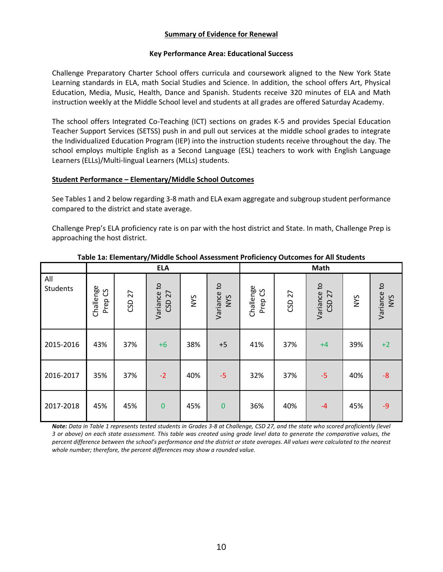## **Summary of Evidence for Renewal**

#### **Key Performance Area: Educational Success**

Challenge Preparatory Charter School offers curricula and coursework aligned to the New York State Learning standards in ELA, math Social Studies and Science. In addition, the school offers Art, Physical Education, Media, Music, Health, Dance and Spanish. Students receive 320 minutes of ELA and Math instruction weekly at the Middle School level and students at all grades are offered Saturday Academy.

The school offers Integrated Co-Teaching (ICT) sections on grades K-5 and provides Special Education Teacher Support Services (SETSS) push in and pull out services at the middle school grades to integrate the Individualized Education Program (IEP) into the instruction students receive throughout the day. The school employs multiple English as a Second Language (ESL) teachers to work with English Language Learners (ELLs)/Multi-lingual Learners (MLLs) students.

### **Student Performance – Elementary/Middle School Outcomes**

See Tables 1 and 2 below regarding 3-8 math and ELA exam aggregate and subgroup student performance compared to the district and state average.

Challenge Prep's ELA proficiency rate is on par with the host district and State. In math, Challenge Prep is approaching the host district.

|                        | <b>ELA</b>           |        |                       |     | Math                      |                      |        |                          |            |                    |
|------------------------|----------------------|--------|-----------------------|-----|---------------------------|----------------------|--------|--------------------------|------------|--------------------|
| All<br><b>Students</b> | Challenge<br>Prep CS | CSD 27 | Variance to<br>CSD 27 | NYS | Variance to<br><b>SAN</b> | Challenge<br>Prep CS | CSD 27 | Variance to<br>27<br>GSD | <b>NYS</b> | Variance to<br>NYS |
| 2015-2016              | 43%                  | 37%    | $+6$                  | 38% | $+5$                      | 41%                  | 37%    | $+4$                     | 39%        | $+2$               |
| 2016-2017              | 35%                  | 37%    | $-2$                  | 40% | $-5$                      | 32%                  | 37%    | $-5$                     | 40%        | $-8$               |
| 2017-2018              | 45%                  | 45%    | $\mathbf 0$           | 45% | $\mathbf{0}$              | 36%                  | 40%    | $-4$                     | 45%        | $-9$               |

#### **Table 1a: Elementary/Middle School Assessment Proficiency Outcomes for All Students**

*Note: Data in Table 1 represents tested students in Grades 3-8 at Challenge, CSD 27, and the state who scored proficiently (level 3 or above) on each state assessment. This table was created using grade level data to generate the comparative values, the percent difference between the school's performance and the district or state averages. All values were calculated to the nearest whole number; therefore, the percent differences may show a rounded value.*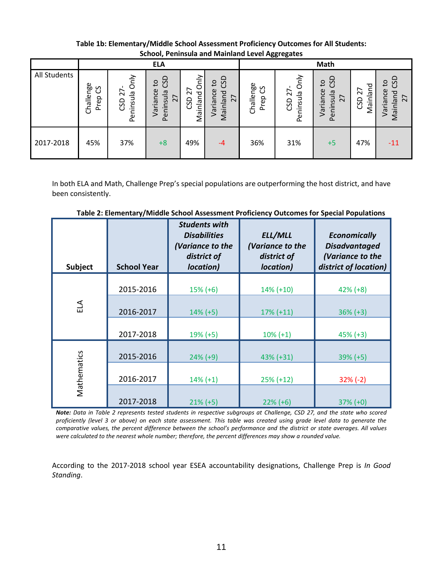|              | <b>SCHOOT, I CHINSUID DIN IVIDINIUM LOVOI ASSI OSULOS</b> |                                                                |                                                   |                                 |                                                                       |                               |                                |                                                                                      |                       |                                                            |
|--------------|-----------------------------------------------------------|----------------------------------------------------------------|---------------------------------------------------|---------------------------------|-----------------------------------------------------------------------|-------------------------------|--------------------------------|--------------------------------------------------------------------------------------|-----------------------|------------------------------------------------------------|
|              |                                                           |                                                                | <b>ELA</b>                                        |                                 |                                                                       | <b>Math</b>                   |                                |                                                                                      |                       |                                                            |
| All Students | Challenge<br>უ<br>ე<br>Prep                               | Only<br>$\overline{\phantom{0}}$<br>Peninsula<br>$\sim$<br>GSD | GO<br>$\mathsf{c}$<br>Variance<br>Peninsula<br>27 | δ<br>δ<br>27<br>Mainland<br>GSD | GSD<br>°4<br>Variance<br>Mainland<br>$\overline{ }$<br>$\overline{N}$ | Challenge<br><u>ვ</u><br>Prep | Only<br>27<br>Peninsula<br>GSD | GSD<br>$\mathsf{c}_1$<br>Variance<br>Peninsula<br>$\overline{\phantom{0}}$<br>$\sim$ | Mainland<br>27<br>GSD | <b>GSD</b><br>$\mathsf{c}_1$<br>Variance<br>Mainland<br>27 |
| 2017-2018    | 45%                                                       | 37%                                                            | $+8$                                              | 49%                             | $-4$                                                                  | 36%                           | 31%                            | $+5$                                                                                 | 47%                   | $-11$                                                      |

**Table 1b: Elementary/Middle School Assessment Proficiency Outcomes for All Students: School, Peninsula and Mainland Level Aggregates**

In both ELA and Math, Challenge Prep's special populations are outperforming the host district, and have been consistently.

| <b>Subject</b> | <b>School Year</b> | <b>Students with</b><br><b>Disabilities</b><br>(Variance to the<br>district of<br>location) | ELL/MLL<br>(Variance to the<br>district of<br>location) | <b>Economically</b><br><b>Disadvantaged</b><br>(Variance to the<br>district of location) |
|----------------|--------------------|---------------------------------------------------------------------------------------------|---------------------------------------------------------|------------------------------------------------------------------------------------------|
|                | 2015-2016          | $15\%$ (+6)                                                                                 | $14\% (+10)$                                            | $42\% (+8)$                                                                              |
| ELA            | 2016-2017          | $14\% (+5)$                                                                                 | $17\% (+11)$                                            | $36\% (+3)$                                                                              |
|                | 2017-2018          | $19% (+5)$                                                                                  | $10\% (+1)$                                             | $45\%$ (+3)                                                                              |
|                | 2015-2016          | $24\%$ (+9)                                                                                 | 43% (+31)                                               | $39\% (+5)$                                                                              |
| Mathematics    | 2016-2017          | $14\% (+1)$                                                                                 | $25\% (+12)$                                            | $32\%$ (-2)                                                                              |
|                | 2017-2018          | $21\% (+5)$                                                                                 | $22\% (+6)$                                             | $37\% (+0)$                                                                              |

**Table 2: Elementary/Middle School Assessment Proficiency Outcomes for Special Populations**

*Note: Data in Table 2 represents tested students in respective subgroups at Challenge, CSD 27, and the state who scored proficiently (level 3 or above) on each state assessment. This table was created using grade level data to generate the comparative values, the percent difference between the school's performance and the district or state averages. All values were calculated to the nearest whole number; therefore, the percent differences may show a rounded value.*

According to the 2017-2018 school year ESEA accountability designations, Challenge Prep is *In Good Standing*.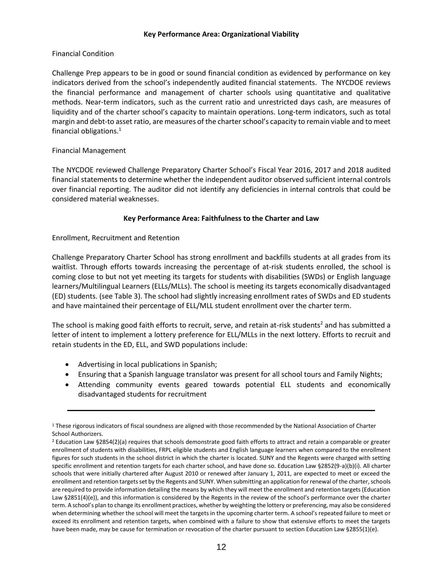#### **Key Performance Area: Organizational Viability**

### Financial Condition

Challenge Prep appears to be in good or sound financial condition as evidenced by performance on key indicators derived from the school's independently audited financial statements. The NYCDOE reviews the financial performance and management of charter schools using quantitative and qualitative methods. Near‐term indicators, such as the current ratio and unrestricted days cash, are measures of liquidity and of the charter school's capacity to maintain operations. Long‐term indicators, such as total margin and debt-to asset ratio, are measures of the charter school's capacity to remain viable and to meet financial obligations.<sup>1</sup>

## Financial Management

The NYCDOE reviewed Challenge Preparatory Charter School's Fiscal Year 2016, 2017 and 2018 audited financial statements to determine whether the independent auditor observed sufficient internal controls over financial reporting. The auditor did not identify any deficiencies in internal controls that could be considered material weaknesses.

## **Key Performance Area: Faithfulness to the Charter and Law**

Enrollment, Recruitment and Retention

Challenge Preparatory Charter School has strong enrollment and backfills students at all grades from its waitlist. Through efforts towards increasing the percentage of at-risk students enrolled, the school is coming close to but not yet meeting its targets for students with disabilities (SWDs) or English language learners/Multilingual Learners (ELLs/MLLs). The school is meeting its targets economically disadvantaged (ED) students. (see Table 3). The school had slightly increasing enrollment rates of SWDs and ED students and have maintained their percentage of ELL/MLL student enrollment over the charter term.

The school is making good faith efforts to recruit, serve, and retain at-risk students<sup>2</sup> and has submitted a letter of intent to implement a lottery preference for ELL/MLLs in the next lottery. Efforts to recruit and retain students in the ED, ELL, and SWD populations include:

- Advertising in local publications in Spanish;
- Ensuring that a Spanish language translator was present for all school tours and Family Nights;
- Attending community events geared towards potential ELL students and economically disadvantaged students for recruitment

<sup>&</sup>lt;sup>1</sup> These rigorous indicators of fiscal soundness are aligned with those recommended by the National Association of Charter School Authorizers.

<sup>2</sup> Education Law §2854(2)(a) requires that schools demonstrate good faith efforts to attract and retain a comparable or greater enrollment of students with disabilities, FRPL eligible students and English language learners when compared to the enrollment figures for such students in the school district in which the charter is located. SUNY and the Regents were charged with setting specific enrollment and retention targets for each charter school, and have done so. Education Law §2852(9-a)(b)(i). All charter schools that were initially chartered after August 2010 or renewed after January 1, 2011, are expected to meet or exceed the enrollment and retention targets set by the Regents and SUNY. When submitting an application for renewal of the charter, schools are required to provide information detailing the means by which they will meet the enrollment and retention targets (Education Law §2851(4)(e)), and this information is considered by the Regents in the review of the school's performance over the charter term. A school's plan to change its enrollment practices, whether by weighting the lottery or preferencing, may also be considered when determining whether the school will meet the targets in the upcoming charter term. A school's repeated failure to meet or exceed its enrollment and retention targets, when combined with a failure to show that extensive efforts to meet the targets have been made, may be cause for termination or revocation of the charter pursuant to section Education Law §2855(1)(e).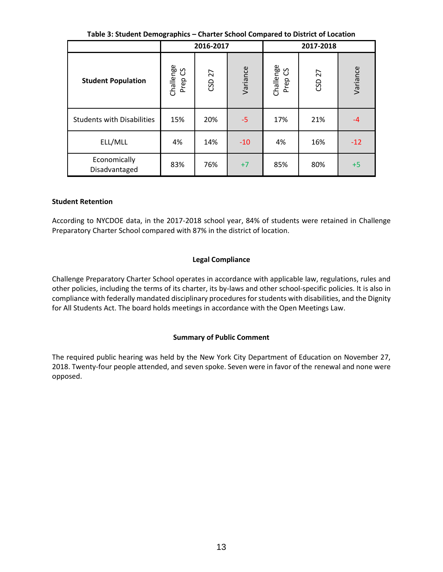|  |  | Table 3: Student Demographics - Charter School Compared to District of Location |
|--|--|---------------------------------------------------------------------------------|
|  |  |                                                                                 |

|                                   | 2016-2017            |        |          | 2017-2018            |        |          |
|-----------------------------------|----------------------|--------|----------|----------------------|--------|----------|
| <b>Student Population</b>         | Challenge<br>Prep CS | CSD 27 | Variance | Challenge<br>Prep CS | CSD 27 | Variance |
| <b>Students with Disabilities</b> | 15%                  | 20%    | $-5$     | 17%                  | 21%    | $-4$     |
| ELL/MLL                           | 4%                   | 14%    | $-10$    | 4%                   | 16%    | $-12$    |
| Economically<br>Disadvantaged     | 83%                  | 76%    | $+7$     | 85%                  | 80%    | $+5$     |

### **Student Retention**

According to NYCDOE data, in the 2017-2018 school year, 84% of students were retained in Challenge Preparatory Charter School compared with 87% in the district of location.

### **Legal Compliance**

Challenge Preparatory Charter School operates in accordance with applicable law, regulations, rules and other policies, including the terms of its charter, its by-laws and other school-specific policies. It is also in compliance with federally mandated disciplinary procedures for students with disabilities, and the Dignity for All Students Act. The board holds meetings in accordance with the Open Meetings Law.

### **Summary of Public Comment**

The required public hearing was held by the New York City Department of Education on November 27, 2018. Twenty-four people attended, and seven spoke. Seven were in favor of the renewal and none were opposed.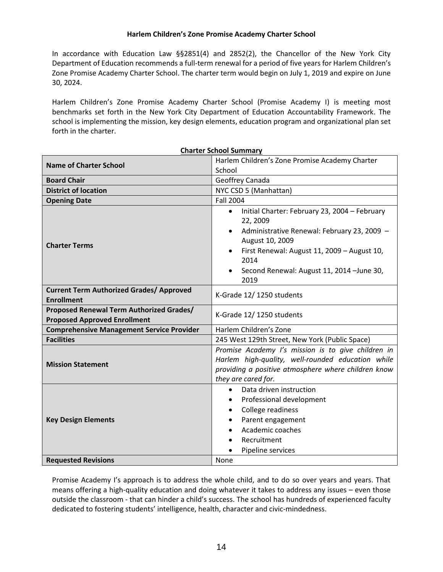#### **Harlem Children's Zone Promise Academy Charter School**

In accordance with Education Law §§2851(4) and 2852(2), the Chancellor of the New York City Department of Education recommends a full-term renewal for a period of five years for Harlem Children's Zone Promise Academy Charter School. The charter term would begin on July 1, 2019 and expire on June 30, 2024.

Harlem Children's Zone Promise Academy Charter School (Promise Academy I) is meeting most benchmarks set forth in the New York City Department of Education Accountability Framework. The school is implementing the mission, key design elements, education program and organizational plan set forth in the charter.

|                                                                                 | <b>Charter School Summary</b>                                                                                                                                                                                                                                                   |  |  |  |
|---------------------------------------------------------------------------------|---------------------------------------------------------------------------------------------------------------------------------------------------------------------------------------------------------------------------------------------------------------------------------|--|--|--|
| <b>Name of Charter School</b>                                                   | Harlem Children's Zone Promise Academy Charter<br>School                                                                                                                                                                                                                        |  |  |  |
| <b>Board Chair</b>                                                              | Geoffrey Canada                                                                                                                                                                                                                                                                 |  |  |  |
| <b>District of location</b>                                                     | NYC CSD 5 (Manhattan)                                                                                                                                                                                                                                                           |  |  |  |
| <b>Opening Date</b>                                                             | <b>Fall 2004</b>                                                                                                                                                                                                                                                                |  |  |  |
| <b>Charter Terms</b>                                                            | Initial Charter: February 23, 2004 - February<br>$\bullet$<br>22, 2009<br>Administrative Renewal: February 23, 2009 -<br>$\bullet$<br>August 10, 2009<br>First Renewal: August 11, 2009 - August 10,<br>$\bullet$<br>2014<br>Second Renewal: August 11, 2014 - June 30,<br>2019 |  |  |  |
| <b>Current Term Authorized Grades/ Approved</b><br><b>Enrollment</b>            | K-Grade 12/1250 students                                                                                                                                                                                                                                                        |  |  |  |
| Proposed Renewal Term Authorized Grades/<br><b>Proposed Approved Enrollment</b> | K-Grade 12/1250 students                                                                                                                                                                                                                                                        |  |  |  |
| <b>Comprehensive Management Service Provider</b>                                | Harlem Children's Zone                                                                                                                                                                                                                                                          |  |  |  |
| <b>Facilities</b>                                                               | 245 West 129th Street, New York (Public Space)                                                                                                                                                                                                                                  |  |  |  |
| <b>Mission Statement</b>                                                        | Promise Academy I's mission is to give children in<br>Harlem high-quality, well-rounded education while<br>providing a positive atmosphere where children know<br>they are cared for.                                                                                           |  |  |  |
| <b>Key Design Elements</b>                                                      | Data driven instruction<br>$\bullet$<br>Professional development<br>$\bullet$<br>College readiness<br>$\bullet$<br>Parent engagement<br>٠<br>Academic coaches<br>$\bullet$<br>Recruitment<br>Pipeline services                                                                  |  |  |  |
| <b>Requested Revisions</b>                                                      | None                                                                                                                                                                                                                                                                            |  |  |  |

Promise Academy I's approach is to address the whole child, and to do so over years and years. That means offering a high-quality education and doing whatever it takes to address any issues – even those outside the classroom - that can hinder a child's success. The school has hundreds of experienced faculty dedicated to fostering students' intelligence, health, character and civic-mindedness.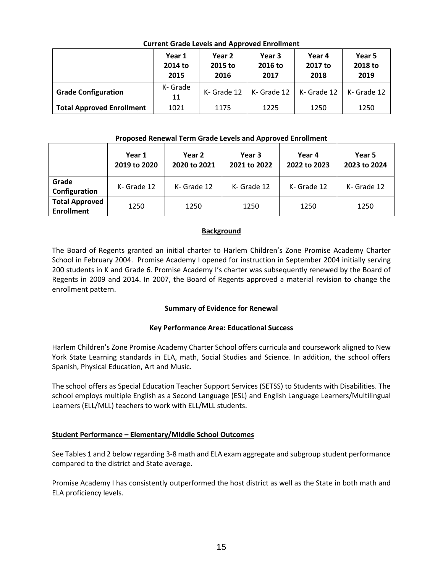|                                  | Year 1<br>2014 to<br>2015 | Year 2<br>2015 to<br>2016 | Year 3<br>2016 to<br>2017 | Year 4<br>2017 to<br>2018 | Year 5<br>2018 to<br>2019 |
|----------------------------------|---------------------------|---------------------------|---------------------------|---------------------------|---------------------------|
| <b>Grade Configuration</b>       | K- Grade<br>11            | K- Grade 12               | K- Grade 12               | K- Grade 12               | K- Grade 12               |
| <b>Total Approved Enrollment</b> | 1021                      | 1175                      | 1225                      | 1250                      | 1250                      |

## **Current Grade Levels and Approved Enrollment**

### **Proposed Renewal Term Grade Levels and Approved Enrollment**

|                                            | Year 1<br>2019 to 2020 | Year 2<br>2020 to 2021 | Year 3<br>2021 to 2022 | Year 4<br>2022 to 2023 | Year 5<br>2023 to 2024 |
|--------------------------------------------|------------------------|------------------------|------------------------|------------------------|------------------------|
| Grade<br>Configuration                     | K- Grade 12            | K- Grade 12            | K- Grade 12            | K- Grade 12            | K- Grade 12            |
| <b>Total Approved</b><br><b>Enrollment</b> | 1250                   | 1250                   | 1250                   | 1250                   | 1250                   |

# **Background**

The Board of Regents granted an initial charter to Harlem Children's Zone Promise Academy Charter School in February 2004. Promise Academy I opened for instruction in September 2004 initially serving 200 students in K and Grade 6. Promise Academy I's charter was subsequently renewed by the Board of Regents in 2009 and 2014. In 2007, the Board of Regents approved a material revision to change the enrollment pattern.

# **Summary of Evidence for Renewal**

# **Key Performance Area: Educational Success**

Harlem Children's Zone Promise Academy Charter School offers curricula and coursework aligned to New York State Learning standards in ELA, math, Social Studies and Science. In addition, the school offers Spanish, Physical Education, Art and Music.

The school offers as Special Education Teacher Support Services (SETSS) to Students with Disabilities. The school employs multiple English as a Second Language (ESL) and English Language Learners/Multilingual Learners (ELL/MLL) teachers to work with ELL/MLL students.

# **Student Performance – Elementary/Middle School Outcomes**

See Tables 1 and 2 below regarding 3-8 math and ELA exam aggregate and subgroup student performance compared to the district and State average.

Promise Academy I has consistently outperformed the host district as well as the State in both math and ELA proficiency levels.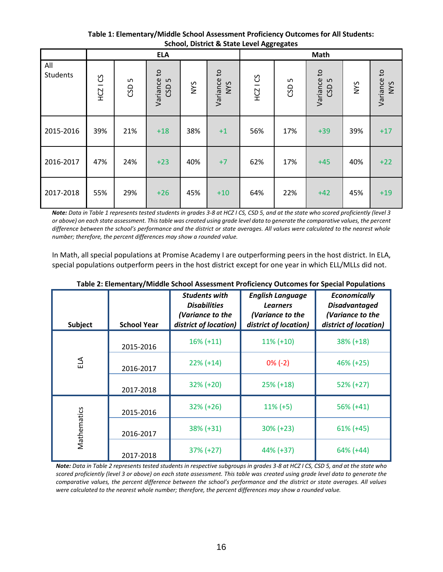**Table 1: Elementary/Middle School Assessment Proficiency Outcomes for All Students: School, District & State Level Aggregates**

|                 |                                        |          | <b>ELA</b>                                   |            |                           | Math       |         |                                      |     |                           |
|-----------------|----------------------------------------|----------|----------------------------------------------|------------|---------------------------|------------|---------|--------------------------------------|-----|---------------------------|
| All<br>Students | უ<br>$\qquad \qquad \  \  \, -$<br>HCZ | S<br>GSD | $\mathsf{c}$<br>Variance<br>CSD <sub>5</sub> | <b>NYS</b> | Variance to<br><b>NYS</b> | $HCZ$ I CS | S<br>GD | $\mathtt{c}$<br>Variance<br>S<br>GSD | NYS | Variance to<br><b>NYS</b> |
| 2015-2016       | 39%                                    | 21%      | $+18$                                        | 38%        | $+1$                      | 56%        | 17%     | $+39$                                | 39% | $+17$                     |
| 2016-2017       | 47%                                    | 24%      | $+23$                                        | 40%        | $+7$                      | 62%        | 17%     | $+45$                                | 40% | $+22$                     |
| 2017-2018       | 55%                                    | 29%      | $+26$                                        | 45%        | $+10$                     | 64%        | 22%     | $+42$                                | 45% | $+19$                     |

*Note: Data in Table 1 represents tested students in grades 3-8 at HCZ I CS, CSD 5, and at the state who scored proficiently (level 3 or above) on each state assessment. This table was created using grade level data to generate the comparative values, the percent difference between the school's performance and the district or state averages. All values were calculated to the nearest whole number; therefore, the percent differences may show a rounded value.*

In Math, all special populations at Promise Academy I are outperforming peers in the host district. In ELA, special populations outperform peers in the host district except for one year in which ELL/MLLs did not.

| Subject     | <b>School Year</b> | <b>Students with</b><br><b>Disabilities</b><br>(Variance to the<br>district of location) | <b>English Language</b><br><b>Learners</b><br>(Variance to the<br>district of location) | <b>Economically</b><br><b>Disadvantaged</b><br>(Variance to the<br>district of location) |
|-------------|--------------------|------------------------------------------------------------------------------------------|-----------------------------------------------------------------------------------------|------------------------------------------------------------------------------------------|
| ΕLΑ         | 2015-2016          | $16\% (+11)$                                                                             | $11\% (+10)$                                                                            | $38\% (+18)$                                                                             |
|             | 2016-2017          | $22\% (+14)$                                                                             | $0\%$ (-2)                                                                              | $46\% (+25)$                                                                             |
|             | 2017-2018          | $32\% (+20)$                                                                             | $25\% (+18)$                                                                            | $52\% (+27)$                                                                             |
|             | 2015-2016          | $32\% (+26)$                                                                             | $11\% (+5)$                                                                             | $56\%$ (+41)                                                                             |
| Mathematics | 2016-2017          | $38\% (+31)$                                                                             | $30\% (+23)$                                                                            | $61\% (+45)$                                                                             |
|             | 2017-2018          | $37\% (+27)$                                                                             | 44% (+37)                                                                               | $64\%$ (+44)                                                                             |

**Table 2: Elementary/Middle School Assessment Proficiency Outcomes for Special Populations**

*Note: Data in Table 2 represents tested students in respective subgroups in grades 3-8 at HCZ I CS, CSD 5, and at the state who scored proficiently (level 3 or above) on each state assessment. This table was created using grade level data to generate the comparative values, the percent difference between the school's performance and the district or state averages. All values were calculated to the nearest whole number; therefore, the percent differences may show a rounded value.*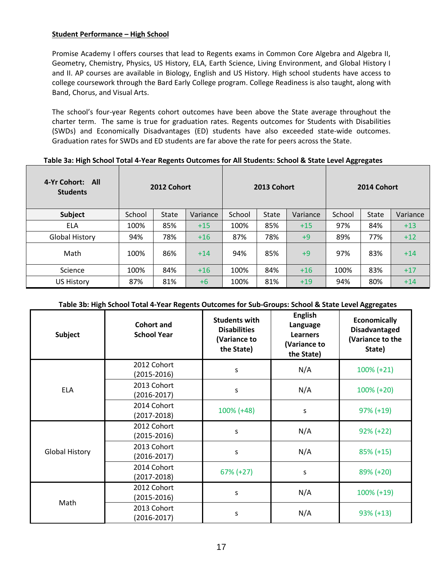### **Student Performance – High School**

Promise Academy I offers courses that lead to Regents exams in Common Core Algebra and Algebra II, Geometry, Chemistry, Physics, US History, ELA, Earth Science, Living Environment, and Global History I and II. AP courses are available in Biology, English and US History. High school students have access to college coursework through the Bard Early College program. College Readiness is also taught, along with Band, Chorus, and Visual Arts.

The school's four-year Regents cohort outcomes have been above the State average throughout the charter term. The same is true for graduation rates. Regents outcomes for Students with Disabilities (SWDs) and Economically Disadvantages (ED) students have also exceeded state-wide outcomes. Graduation rates for SWDs and ED students are far above the rate for peers across the State.

#### **Table 3a: High School Total 4-Year Regents Outcomes for All Students: School & State Level Aggregates**

| 4-Yr Cohort: All<br><b>Students</b> | 2012 Cohort |              |          | 2013 Cohort |              |          | 2014 Cohort |              |          |
|-------------------------------------|-------------|--------------|----------|-------------|--------------|----------|-------------|--------------|----------|
| <b>Subject</b>                      | School      | <b>State</b> | Variance | School      | <b>State</b> | Variance | School      | <b>State</b> | Variance |
| <b>ELA</b>                          | 100%        | 85%          | $+15$    | 100%        | 85%          | $+15$    | 97%         | 84%          | $+13$    |
| <b>Global History</b>               | 94%         | 78%          | $+16$    | 87%         | 78%          | $+9$     | 89%         | 77%          | $+12$    |
| Math                                | 100%        | 86%          | $+14$    | 94%         | 85%          | $+9$     | 97%         | 83%          | $+14$    |
| Science                             | 100%        | 84%          | $+16$    | 100%        | 84%          | $+16$    | 100%        | 83%          | $+17$    |
| <b>US History</b>                   | 87%         | 81%          | $+6$     | 100%        | 81%          | $+19$    | 94%         | 80%          | $+14$    |

### **Table 3b: High School Total 4-Year Regents Outcomes for Sub-Groups: School & State Level Aggregates**

| <b>Subject</b>        | <b>Cohort and</b><br><b>School Year</b> | <b>Students with</b><br><b>Disabilities</b><br>(Variance to<br>the State) | <b>English</b><br>Language<br><b>Learners</b><br>(Variance to<br>the State) | <b>Economically</b><br><b>Disadvantaged</b><br>(Variance to the<br>State) |
|-----------------------|-----------------------------------------|---------------------------------------------------------------------------|-----------------------------------------------------------------------------|---------------------------------------------------------------------------|
| <b>ELA</b>            | 2012 Cohort<br>(2015-2016)              | S                                                                         | N/A                                                                         | $100\% (+21)$                                                             |
|                       | 2013 Cohort<br>$(2016 - 2017)$          | S                                                                         | N/A                                                                         | $100\% (+20)$                                                             |
|                       | 2014 Cohort<br>(2017-2018)              | 100% (+48)                                                                | S                                                                           | $97\% (+19)$                                                              |
|                       | 2012 Cohort<br>(2015-2016)              | S                                                                         | N/A                                                                         | $92\% (+22)$                                                              |
| <b>Global History</b> | 2013 Cohort<br>$(2016 - 2017)$          | S                                                                         | N/A                                                                         | $85\% (+15)$                                                              |
|                       | 2014 Cohort<br>(2017-2018)              | $67\% (+27)$                                                              | S                                                                           | 89% (+20)                                                                 |
| Math                  | 2012 Cohort<br>(2015-2016)              | S                                                                         | N/A                                                                         | 100% (+19)                                                                |
|                       | 2013 Cohort<br>$(2016 - 2017)$          | s                                                                         | N/A                                                                         | $93\% (+13)$                                                              |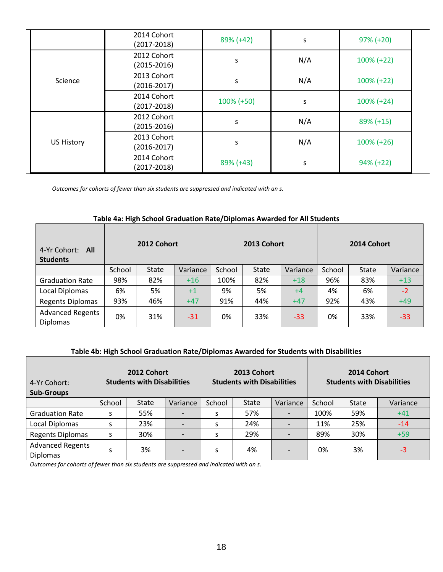|                   | 2014 Cohort<br>$(2017 - 2018)$ | 89% (+42)     | S   | $97\% (+20)$  |  |
|-------------------|--------------------------------|---------------|-----|---------------|--|
|                   | 2012 Cohort<br>$(2015 - 2016)$ | S             | N/A | $100\% (+22)$ |  |
| Science           | 2013 Cohort<br>$(2016 - 2017)$ | S             | N/A | $100\% (+22)$ |  |
|                   | 2014 Cohort<br>$(2017 - 2018)$ | $100\% (+50)$ | S   | $100\% (+24)$ |  |
| <b>US History</b> | 2012 Cohort<br>$(2015 - 2016)$ | S             | N/A | $89\% (+15)$  |  |
|                   | 2013 Cohort<br>$(2016 - 2017)$ | S             | N/A | $100\% (+26)$ |  |
|                   | 2014 Cohort<br>$(2017 - 2018)$ | 89% (+43)     | S   | $94\% (+22)$  |  |

*Outcomes for cohorts of fewer than six students are suppressed and indicated with an s.*

## **Table 4a: High School Graduation Rate/Diplomas Awarded for All Students**

| 4-Yr Cohort:<br>- All<br><b>Students</b>   | 2012 Cohort |       |          | 2013 Cohort |              |          | 2014 Cohort |       |          |
|--------------------------------------------|-------------|-------|----------|-------------|--------------|----------|-------------|-------|----------|
|                                            | School      | State | Variance | School      | <b>State</b> | Variance | School      | State | Variance |
| <b>Graduation Rate</b>                     | 98%         | 82%   | $+16$    | 100%        | 82%          | $+18$    | 96%         | 83%   | $+13$    |
| Local Diplomas                             | 6%          | 5%    | $+1$     | 9%          | 5%           | $+4$     | 4%          | 6%    | $-2$     |
| <b>Regents Diplomas</b>                    | 93%         | 46%   | $+47$    | 91%         | 44%          | $+47$    | 92%         | 43%   | $+49$    |
| <b>Advanced Regents</b><br><b>Diplomas</b> | 0%          | 31%   | $-31$    | 0%          | 33%          | $-33$    | 0%          | 33%   | $-33$    |

# **Table 4b: High School Graduation Rate/Diplomas Awarded for Students with Disabilities**

| 4-Yr Cohort:<br><b>Sub-Groups</b>          | 2012 Cohort<br><b>Students with Disabilities</b> |              |          |        | 2013 Cohort<br><b>Students with Disabilities</b> |          | 2014 Cohort<br><b>Students with Disabilities</b> |              |          |
|--------------------------------------------|--------------------------------------------------|--------------|----------|--------|--------------------------------------------------|----------|--------------------------------------------------|--------------|----------|
|                                            | School                                           | <b>State</b> | Variance | School | <b>State</b>                                     | Variance | School                                           | <b>State</b> | Variance |
| <b>Graduation Rate</b>                     | S                                                | 55%          |          | S      | 57%                                              |          | 100%                                             | 59%          | $+41$    |
| Local Diplomas                             | S                                                | 23%          |          | s      | 24%                                              |          | 11%                                              | 25%          | $-14$    |
| <b>Regents Diplomas</b>                    | S                                                | 30%          |          | s      | 29%                                              |          | 89%                                              | 30%          | $+59$    |
| <b>Advanced Regents</b><br><b>Diplomas</b> | S                                                | 3%           |          | S      | 4%                                               |          | 0%                                               | 3%           | -3       |

*Outcomes for cohorts of fewer than six students are suppressed and indicated with an s.*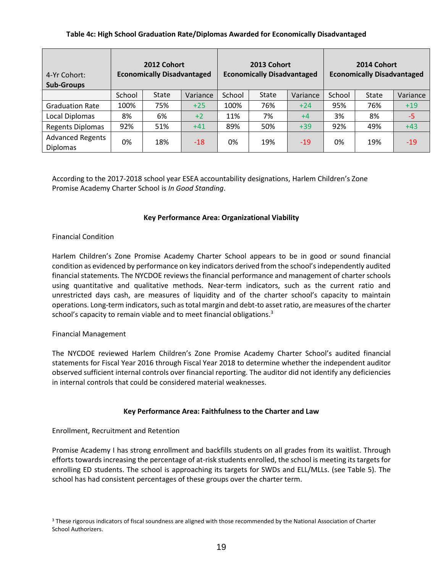## **Table 4c: High School Graduation Rate/Diplomas Awarded for Economically Disadvantaged**

| 4-Yr Cohort:<br><b>Sub-Groups</b>          | 2012 Cohort<br><b>Economically Disadvantaged</b> |              |          | 2013 Cohort<br><b>Economically Disadvantaged</b> |              |          | 2014 Cohort<br><b>Economically Disadvantaged</b> |              |          |
|--------------------------------------------|--------------------------------------------------|--------------|----------|--------------------------------------------------|--------------|----------|--------------------------------------------------|--------------|----------|
|                                            | School                                           | <b>State</b> | Variance | School                                           | <b>State</b> | Variance | School                                           | <b>State</b> | Variance |
| <b>Graduation Rate</b>                     | 100%                                             | 75%          | $+25$    | 100%                                             | 76%          | $+24$    | 95%                                              | 76%          | $+19$    |
| Local Diplomas                             | 8%                                               | 6%           | $+2$     | 11%                                              | 7%           | $+4$     | 3%                                               | 8%           | $-5$     |
| <b>Regents Diplomas</b>                    | 92%                                              | 51%          | $+41$    | 89%                                              | 50%          | $+39$    | 92%                                              | 49%          | $+43$    |
| <b>Advanced Regents</b><br><b>Diplomas</b> | 0%                                               | 18%          | $-18$    | 0%                                               | 19%          | $-19$    | 0%                                               | 19%          | $-19$    |

According to the 2017-2018 school year ESEA accountability designations, Harlem Children's Zone Promise Academy Charter School is *In Good Standing*.

### **Key Performance Area: Organizational Viability**

### Financial Condition

Harlem Children's Zone Promise Academy Charter School appears to be in good or sound financial condition as evidenced by performance on key indicators derived from the school's independently audited financial statements. The NYCDOE reviews the financial performance and management of charter schools using quantitative and qualitative methods. Near-term indicators, such as the current ratio and unrestricted days cash, are measures of liquidity and of the charter school's capacity to maintain operations. Long‐term indicators, such as total margin and debt‐to asset ratio, are measures of the charter school's capacity to remain viable and to meet financial obligations.<sup>3</sup>

### Financial Management

The NYCDOE reviewed Harlem Children's Zone Promise Academy Charter School's audited financial statements for Fiscal Year 2016 through Fiscal Year 2018 to determine whether the independent auditor observed sufficient internal controls over financial reporting. The auditor did not identify any deficiencies in internal controls that could be considered material weaknesses.

### **Key Performance Area: Faithfulness to the Charter and Law**

### Enrollment, Recruitment and Retention

Promise Academy I has strong enrollment and backfills students on all grades from its waitlist. Through efforts towards increasing the percentage of at-risk students enrolled, the school is meeting its targets for enrolling ED students. The school is approaching its targets for SWDs and ELL/MLLs. (see Table 5). The school has had consistent percentages of these groups over the charter term.

<sup>&</sup>lt;sup>3</sup> These rigorous indicators of fiscal soundness are aligned with those recommended by the National Association of Charter School Authorizers.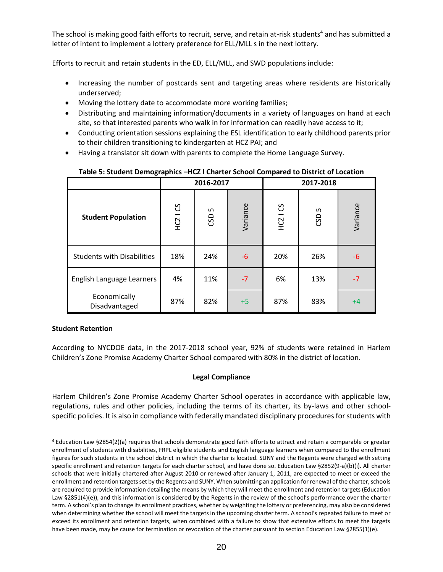The school is making good faith efforts to recruit, serve, and retain at-risk students<sup>4</sup> and has submitted a letter of intent to implement a lottery preference for ELL/MLL s in the next lottery.

Efforts to recruit and retain students in the ED, ELL/MLL, and SWD populations include:

- Increasing the number of postcards sent and targeting areas where residents are historically underserved;
- Moving the lottery date to accommodate more working families;
- Distributing and maintaining information/documents in a variety of languages on hand at each site, so that interested parents who walk in for information can readily have access to it;
- Conducting orientation sessions explaining the ESL identification to early childhood parents prior to their children transitioning to kindergarten at HCZ PAI; and
- Having a translator sit down with parents to complete the Home Language Survey.

|                                   |               | 2016-2017 |          | 2017-2018     |          |          |  |
|-----------------------------------|---------------|-----------|----------|---------------|----------|----------|--|
| <b>Student Population</b>         | <b>HCZ1CS</b> | Б<br>CSD  | Variance | <b>HCZ1CS</b> | S<br>CSD | Variance |  |
| <b>Students with Disabilities</b> | 18%           | 24%       | $-6$     | 20%           | 26%      | -6       |  |
| English Language Learners         | 4%            | 11%       | $-7$     | 6%            | 13%      | $-7$     |  |
| Economically<br>Disadvantaged     | 87%           | 82%       | $+5$     | 87%           | 83%      | $+4$     |  |

**Table 5: Student Demographics –HCZ I Charter School Compared to District of Location**

### **Student Retention**

According to NYCDOE data, in the 2017-2018 school year, 92% of students were retained in Harlem Children's Zone Promise Academy Charter School compared with 80% in the district of location.

### **Legal Compliance**

Harlem Children's Zone Promise Academy Charter School operates in accordance with applicable law, regulations, rules and other policies, including the terms of its charter, its by-laws and other schoolspecific policies. It is also in compliance with federally mandated disciplinary procedures for students with

<sup>4</sup> Education Law §2854(2)(a) requires that schools demonstrate good faith efforts to attract and retain a comparable or greater enrollment of students with disabilities, FRPL eligible students and English language learners when compared to the enrollment figures for such students in the school district in which the charter is located. SUNY and the Regents were charged with setting specific enrollment and retention targets for each charter school, and have done so. Education Law §2852(9-a)(b)(i). All charter schools that were initially chartered after August 2010 or renewed after January 1, 2011, are expected to meet or exceed the enrollment and retention targets set by the Regents and SUNY. When submitting an application for renewal of the charter, schools are required to provide information detailing the means by which they will meet the enrollment and retention targets (Education Law §2851(4)(e)), and this information is considered by the Regents in the review of the school's performance over the charter term. A school's plan to change its enrollment practices, whether by weighting the lottery or preferencing, may also be considered when determining whether the school will meet the targets in the upcoming charter term. A school's repeated failure to meet or exceed its enrollment and retention targets, when combined with a failure to show that extensive efforts to meet the targets have been made, may be cause for termination or revocation of the charter pursuant to section Education Law §2855(1)(e).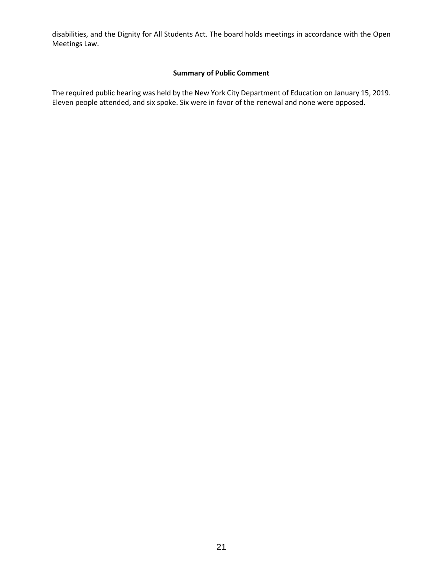disabilities, and the Dignity for All Students Act. The board holds meetings in accordance with the Open Meetings Law.

#### **Summary of Public Comment**

The required public hearing was held by the New York City Department of Education on January 15, 2019. Eleven people attended, and six spoke. Six were in favor of the renewal and none were opposed.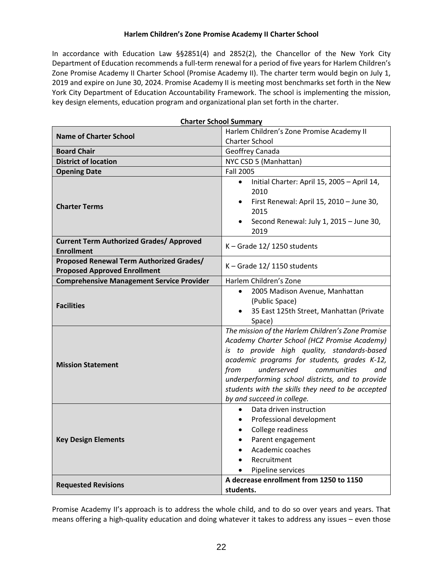### **Harlem Children's Zone Promise Academy II Charter School**

In accordance with Education Law §§2851(4) and 2852(2), the Chancellor of the New York City Department of Education recommends a full-term renewal for a period of five years for Harlem Children's Zone Promise Academy II Charter School (Promise Academy II). The charter term would begin on July 1, 2019 and expire on June 30, 2024. Promise Academy II is meeting most benchmarks set forth in the New York City Department of Education Accountability Framework. The school is implementing the mission, key design elements, education program and organizational plan set forth in the charter.

|                                                                                 | <b>Charter School Summary</b>                                                                                                                                                                                                                                                                                                                                                        |  |  |  |  |
|---------------------------------------------------------------------------------|--------------------------------------------------------------------------------------------------------------------------------------------------------------------------------------------------------------------------------------------------------------------------------------------------------------------------------------------------------------------------------------|--|--|--|--|
| <b>Name of Charter School</b>                                                   | Harlem Children's Zone Promise Academy II                                                                                                                                                                                                                                                                                                                                            |  |  |  |  |
|                                                                                 | <b>Charter School</b>                                                                                                                                                                                                                                                                                                                                                                |  |  |  |  |
| <b>Board Chair</b>                                                              | Geoffrey Canada                                                                                                                                                                                                                                                                                                                                                                      |  |  |  |  |
| <b>District of location</b>                                                     | NYC CSD 5 (Manhattan)                                                                                                                                                                                                                                                                                                                                                                |  |  |  |  |
| <b>Opening Date</b>                                                             | <b>Fall 2005</b>                                                                                                                                                                                                                                                                                                                                                                     |  |  |  |  |
| <b>Charter Terms</b>                                                            | Initial Charter: April 15, 2005 - April 14,<br>$\bullet$<br>2010<br>First Renewal: April 15, 2010 - June 30,<br>$\bullet$<br>2015<br>Second Renewal: July 1, 2015 - June 30,<br>2019                                                                                                                                                                                                 |  |  |  |  |
| <b>Current Term Authorized Grades/ Approved</b><br><b>Enrollment</b>            | $K -$ Grade 12/1250 students                                                                                                                                                                                                                                                                                                                                                         |  |  |  |  |
| Proposed Renewal Term Authorized Grades/<br><b>Proposed Approved Enrollment</b> | $K -$ Grade 12/1150 students                                                                                                                                                                                                                                                                                                                                                         |  |  |  |  |
| <b>Comprehensive Management Service Provider</b>                                | Harlem Children's Zone                                                                                                                                                                                                                                                                                                                                                               |  |  |  |  |
| <b>Facilities</b>                                                               | 2005 Madison Avenue, Manhattan<br>$\bullet$<br>(Public Space)<br>35 East 125th Street, Manhattan (Private<br>Space)                                                                                                                                                                                                                                                                  |  |  |  |  |
| <b>Mission Statement</b>                                                        | The mission of the Harlem Children's Zone Promise<br>Academy Charter School (HCZ Promise Academy)<br>is to provide high quality, standards-based<br>academic programs for students, grades K-12,<br>underserved<br>from<br>communities<br>and<br>underperforming school districts, and to provide<br>students with the skills they need to be accepted<br>by and succeed in college. |  |  |  |  |
| <b>Key Design Elements</b>                                                      | Data driven instruction<br>$\bullet$<br>Professional development<br>$\bullet$<br>College readiness<br>$\bullet$<br>Parent engagement<br>$\bullet$<br>Academic coaches<br>$\bullet$<br>Recruitment<br>Pipeline services                                                                                                                                                               |  |  |  |  |
| <b>Requested Revisions</b>                                                      | A decrease enrollment from 1250 to 1150<br>students.                                                                                                                                                                                                                                                                                                                                 |  |  |  |  |

Promise Academy II's approach is to address the whole child, and to do so over years and years. That means offering a high-quality education and doing whatever it takes to address any issues – even those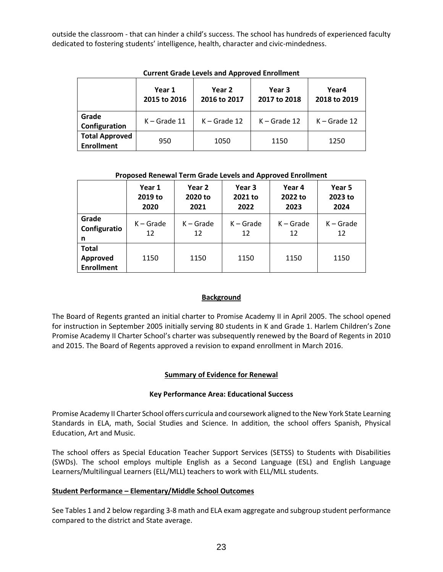outside the classroom - that can hinder a child's success. The school has hundreds of experienced faculty dedicated to fostering students' intelligence, health, character and civic-mindedness.

| Carrent Grade Ecvers and Approved Enromment |                                                  |                |                        |                       |  |  |  |  |  |
|---------------------------------------------|--------------------------------------------------|----------------|------------------------|-----------------------|--|--|--|--|--|
|                                             | Year 1<br>Year 2<br>2015 to 2016<br>2016 to 2017 |                | Year 3<br>2017 to 2018 | Year4<br>2018 to 2019 |  |  |  |  |  |
| Grade<br>Configuration                      | $K -$ Grade 11                                   | $K -$ Grade 12 | $K -$ Grade 12         | $K -$ Grade 12        |  |  |  |  |  |
| <b>Total Approved</b><br><b>Enrollment</b>  | 950                                              | 1050           | 1150                   | 1250                  |  |  |  |  |  |

**Current Grade Levels and Approved Enrollment**

### **Proposed Renewal Term Grade Levels and Approved Enrollment**

|                                               | Year 1<br>2019 to<br>2020 | Year 2<br>2020 to<br>2021 | Year 3<br>2021 to<br>2022 | Year 4<br>2022 to<br>2023 | Year 5<br>2023 to<br>2024 |
|-----------------------------------------------|---------------------------|---------------------------|---------------------------|---------------------------|---------------------------|
| Grade<br>Configuratio<br>n                    | $K -$ Grade<br>12         | $K -$ Grade<br>12         | $K -$ Grade<br>12         | $K -$ Grade<br>12         | $K -$ Grade<br>12         |
| <b>Total</b><br>Approved<br><b>Enrollment</b> | 1150                      | 1150                      | 1150                      | 1150                      | 1150                      |

# **Background**

The Board of Regents granted an initial charter to Promise Academy II in April 2005. The school opened for instruction in September 2005 initially serving 80 students in K and Grade 1. Harlem Children's Zone Promise Academy II Charter School's charter was subsequently renewed by the Board of Regents in 2010 and 2015. The Board of Regents approved a revision to expand enrollment in March 2016.

# **Summary of Evidence for Renewal**

# **Key Performance Area: Educational Success**

Promise Academy II Charter School offers curricula and coursework aligned to the New York State Learning Standards in ELA, math, Social Studies and Science. In addition, the school offers Spanish, Physical Education, Art and Music.

The school offers as Special Education Teacher Support Services (SETSS) to Students with Disabilities (SWDs). The school employs multiple English as a Second Language (ESL) and English Language Learners/Multilingual Learners (ELL/MLL) teachers to work with ELL/MLL students.

# **Student Performance – Elementary/Middle School Outcomes**

See Tables 1 and 2 below regarding 3-8 math and ELA exam aggregate and subgroup student performance compared to the district and State average.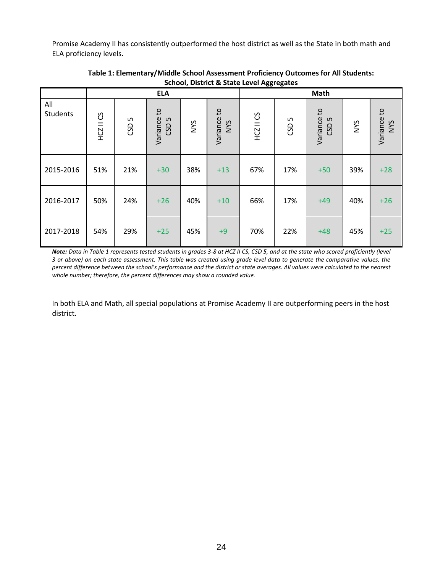Promise Academy II has consistently outperformed the host district as well as the State in both math and ELA proficiency levels.

|                 |           |          | <b>ELA</b>               |     |                           |           |          | Math                    |            |                           |
|-----------------|-----------|----------|--------------------------|-----|---------------------------|-----------|----------|-------------------------|------------|---------------------------|
| All<br>Students | HCZ II CS | S<br>CSD | Variance to<br>LN<br>GSD | NYS | Variance to<br><b>NYS</b> | HCZ II CS | S<br>GSD | Variance to<br>S<br>CSD | <b>NVS</b> | Variance to<br><b>NYS</b> |
| 2015-2016       | 51%       | 21%      | $+30$                    | 38% | $+13$                     | 67%       | 17%      | $+50$                   | 39%        | $+28$                     |
| 2016-2017       | 50%       | 24%      | $+26$                    | 40% | $+10$                     | 66%       | 17%      | $+49$                   | 40%        | $+26$                     |
| 2017-2018       | 54%       | 29%      | $+25$                    | 45% | $+9$                      | 70%       | 22%      | $+48$                   | 45%        | $+25$                     |

**Table 1: Elementary/Middle School Assessment Proficiency Outcomes for All Students: School, District & State Level Aggregates**

*Note: Data in Table 1 represents tested students in grades 3-8 at HCZ II CS, CSD 5, and at the state who scored proficiently (level 3 or above) on each state assessment. This table was created using grade level data to generate the comparative values, the percent difference between the school's performance and the district or state averages. All values were calculated to the nearest whole number; therefore, the percent differences may show a rounded value.*

In both ELA and Math, all special populations at Promise Academy II are outperforming peers in the host district.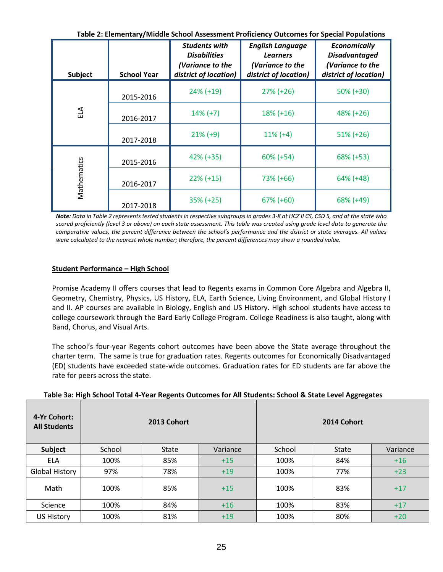| Table 2: Elementary/Middle School Assessment Proficiency Outcomes for Special Populations |  |  |
|-------------------------------------------------------------------------------------------|--|--|
|-------------------------------------------------------------------------------------------|--|--|

| Subject     | <b>School Year</b> | <b>Students with</b><br><b>Disabilities</b><br>(Variance to the<br>district of location) | <b>English Language</b><br><b>Learners</b><br>(Variance to the<br>district of location) | <b>Economically</b><br><b>Disadvantaged</b><br>(Variance to the<br>district of location) |
|-------------|--------------------|------------------------------------------------------------------------------------------|-----------------------------------------------------------------------------------------|------------------------------------------------------------------------------------------|
|             | 2015-2016          | $24\% (+19)$                                                                             | $27\% (+26)$                                                                            | $50\%$ (+30)                                                                             |
| $E\Delta$   | 2016-2017          | $14\% (+7)$                                                                              | $18\% (+16)$                                                                            | 48% (+26)                                                                                |
|             | 2017-2018          | $21\% (+9)$                                                                              | $11\% (+4)$                                                                             | $51\% (+26)$                                                                             |
|             | 2015-2016          | $42\% (+35)$                                                                             | $60\%$ (+54)                                                                            | 68% (+53)                                                                                |
| Mathematics | 2016-2017          | $22\% (+15)$                                                                             | 73% (+66)                                                                               | 64% (+48)                                                                                |
|             | 2017-2018          | $35\% (+25)$                                                                             | $67\%$ (+60)                                                                            | 68% (+49)                                                                                |

*Note: Data in Table 2 represents tested students in respective subgroups in grades 3-8 at HCZ II CS, CSD 5, and at the state who scored proficiently (level 3 or above) on each state assessment. This table was created using grade level data to generate the comparative values, the percent difference between the school's performance and the district or state averages. All values were calculated to the nearest whole number; therefore, the percent differences may show a rounded value.*

# **Student Performance – High School**

Promise Academy II offers courses that lead to Regents exams in Common Core Algebra and Algebra II, Geometry, Chemistry, Physics, US History, ELA, Earth Science, Living Environment, and Global History I and II. AP courses are available in Biology, English and US History. High school students have access to college coursework through the Bard Early College Program. College Readiness is also taught, along with Band, Chorus, and Visual Arts.

The school's four-year Regents cohort outcomes have been above the State average throughout the charter term. The same is true for graduation rates. Regents outcomes for Economically Disadvantaged (ED) students have exceeded state-wide outcomes. Graduation rates for ED students are far above the rate for peers across the state.

| 4-Yr Cohort:<br><b>All Students</b> |        | 2013 Cohort  |          |        | 2014 Cohort  |          |
|-------------------------------------|--------|--------------|----------|--------|--------------|----------|
| Subject                             | School | <b>State</b> | Variance | School | <b>State</b> | Variance |
| <b>ELA</b>                          | 100%   | 85%          | $+15$    | 100%   | 84%          | $+16$    |
| <b>Global History</b>               | 97%    | 78%          | $+19$    | 100%   | 77%          | $+23$    |
| Math                                | 100%   | 85%          | $+15$    | 100%   | 83%          | $+17$    |
| Science                             | 100%   | 84%          | $+16$    | 100%   | 83%          | $+17$    |
| <b>US History</b>                   | 100%   | 81%          | $+19$    | 100%   | 80%          | $+20$    |

### **Table 3a: High School Total 4-Year Regents Outcomes for All Students: School & State Level Aggregates**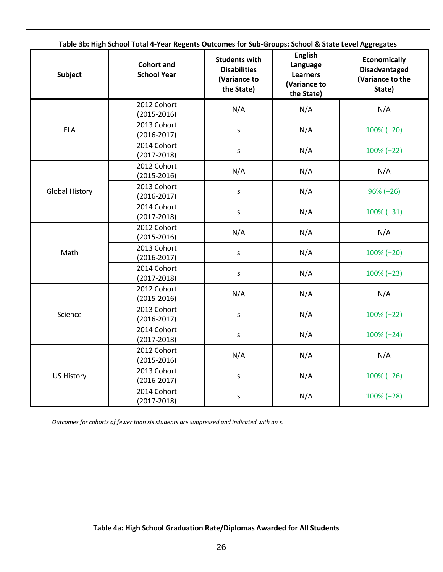| <b>Subject</b>        | Table 3b: High School Total 4-Year Regents Outcomes for Sub-Groups: School & State Level Aggregates<br><b>Cohort and</b><br><b>School Year</b> | <b>Students with</b><br><b>Disabilities</b><br>(Variance to<br>the State) | <b>English</b><br>Language<br><b>Learners</b><br>(Variance to<br>the State) | <b>Economically</b><br><b>Disadvantaged</b><br>(Variance to the<br>State) |
|-----------------------|------------------------------------------------------------------------------------------------------------------------------------------------|---------------------------------------------------------------------------|-----------------------------------------------------------------------------|---------------------------------------------------------------------------|
|                       | 2012 Cohort<br>$(2015 - 2016)$                                                                                                                 | N/A                                                                       | N/A                                                                         | N/A                                                                       |
| <b>ELA</b>            | 2013 Cohort<br>$(2016 - 2017)$                                                                                                                 | S                                                                         | N/A                                                                         | 100% (+20)                                                                |
|                       | 2014 Cohort<br>$(2017 - 2018)$                                                                                                                 | S                                                                         | N/A                                                                         | 100% (+22)                                                                |
|                       | 2012 Cohort<br>$(2015 - 2016)$                                                                                                                 | N/A                                                                       | N/A                                                                         | N/A                                                                       |
| <b>Global History</b> | 2013 Cohort<br>$(2016 - 2017)$                                                                                                                 | $\sf S$                                                                   | N/A                                                                         | $96\% (+26)$                                                              |
|                       | 2014 Cohort<br>$(2017 - 2018)$                                                                                                                 | N/A<br>S                                                                  | $100\% (+31)$                                                               |                                                                           |
|                       | 2012 Cohort<br>$(2015 - 2016)$                                                                                                                 | N/A                                                                       | N/A                                                                         | N/A                                                                       |
| Math                  | 2013 Cohort<br>$(2016 - 2017)$                                                                                                                 | S                                                                         | N/A                                                                         | 100% (+20)                                                                |
|                       | 2014 Cohort<br>$(2017 - 2018)$                                                                                                                 | S                                                                         | N/A                                                                         | $100\% (+23)$                                                             |
|                       | 2012 Cohort<br>$(2015 - 2016)$                                                                                                                 | N/A                                                                       | N/A                                                                         | N/A                                                                       |
| Science               | 2013 Cohort<br>$(2016 - 2017)$                                                                                                                 | S                                                                         | N/A                                                                         | 100% (+22)                                                                |
|                       | 2014 Cohort<br>$(2017 - 2018)$                                                                                                                 | S                                                                         | N/A                                                                         | $100\% (+24)$                                                             |
|                       | 2012 Cohort<br>$(2015 - 2016)$                                                                                                                 | N/A                                                                       | N/A                                                                         | N/A                                                                       |
| <b>US History</b>     | 2013 Cohort<br>$(2016 - 2017)$                                                                                                                 | $\sf S$                                                                   | N/A                                                                         | $100\% (+26)$                                                             |
|                       | 2014 Cohort<br>$(2017 - 2018)$                                                                                                                 | $\sf S$                                                                   | N/A                                                                         | 100% (+28)                                                                |

**Table 3b: High School Total 4-Year Regents Outcomes for Sub-Groups: School & State Level Aggregates**

*Outcomes for cohorts of fewer than six students are suppressed and indicated with an s.*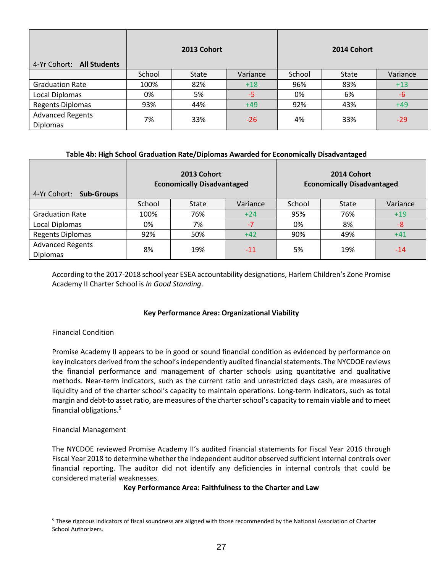| 4-Yr Cohort: All Students                  |        | 2013 Cohort |          |        | 2014 Cohort |          |
|--------------------------------------------|--------|-------------|----------|--------|-------------|----------|
|                                            | School | State       | Variance | School | State       | Variance |
| <b>Graduation Rate</b>                     | 100%   | 82%         | $+18$    | 96%    | 83%         | $+13$    |
| Local Diplomas                             | 0%     | 5%          | $-5$     | 0%     | 6%          | $-6$     |
| <b>Regents Diplomas</b>                    | 93%    | 44%         | $+49$    | 92%    | 43%         | $+49$    |
| <b>Advanced Regents</b><br><b>Diplomas</b> | 7%     | 33%         | $-26$    | 4%     | 33%         | $-29$    |

### **Table 4b: High School Graduation Rate/Diplomas Awarded for Economically Disadvantaged**

| 4-Yr Cohort:<br><b>Sub-Groups</b>          | 2013 Cohort<br><b>Economically Disadvantaged</b> |       |          |        | 2014 Cohort<br><b>Economically Disadvantaged</b> |          |
|--------------------------------------------|--------------------------------------------------|-------|----------|--------|--------------------------------------------------|----------|
|                                            | School                                           | State | Variance | School | <b>State</b>                                     | Variance |
| <b>Graduation Rate</b>                     | 100%                                             | 76%   | $+24$    | 95%    | 76%                                              | $+19$    |
| Local Diplomas                             | 0%                                               | 7%    | $-7$     | 0%     | 8%                                               | $-8$     |
| <b>Regents Diplomas</b>                    | 92%                                              | 50%   | $+42$    | 90%    | 49%                                              | $+41$    |
| <b>Advanced Regents</b><br><b>Diplomas</b> | 8%                                               | 19%   | $-11$    | 5%     | 19%                                              | $-14$    |

According to the 2017-2018 school year ESEA accountability designations, Harlem Children's Zone Promise Academy II Charter School is *In Good Standing*.

### **Key Performance Area: Organizational Viability**

### Financial Condition

Promise Academy II appears to be in good or sound financial condition as evidenced by performance on key indicators derived from the school's independently audited financial statements. The NYCDOE reviews the financial performance and management of charter schools using quantitative and qualitative methods. Near‐term indicators, such as the current ratio and unrestricted days cash, are measures of liquidity and of the charter school's capacity to maintain operations. Long-term indicators, such as total margin and debt-to asset ratio, are measures of the charter school's capacity to remain viable and to meet financial obligations.<sup>5</sup>

#### Financial Management

The NYCDOE reviewed Promise Academy II's audited financial statements for Fiscal Year 2016 through Fiscal Year 2018 to determine whether the independent auditor observed sufficient internal controls over financial reporting. The auditor did not identify any deficiencies in internal controls that could be considered material weaknesses.

#### **Key Performance Area: Faithfulness to the Charter and Law**

<sup>5</sup> These rigorous indicators of fiscal soundness are aligned with those recommended by the National Association of Charter School Authorizers.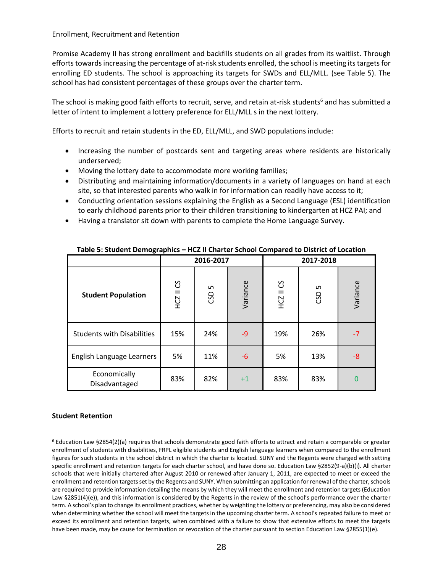Enrollment, Recruitment and Retention

Promise Academy II has strong enrollment and backfills students on all grades from its waitlist. Through efforts towards increasing the percentage of at-risk students enrolled, the school is meeting its targets for enrolling ED students. The school is approaching its targets for SWDs and ELL/MLL. (see Table 5). The school has had consistent percentages of these groups over the charter term.

The school is making good faith efforts to recruit, serve, and retain at-risk students<sup>6</sup> and has submitted a letter of intent to implement a lottery preference for ELL/MLL s in the next lottery.

Efforts to recruit and retain students in the ED, ELL/MLL, and SWD populations include:

- Increasing the number of postcards sent and targeting areas where residents are historically underserved;
- Moving the lottery date to accommodate more working families;
- Distributing and maintaining information/documents in a variety of languages on hand at each site, so that interested parents who walk in for information can readily have access to it;
- Conducting orientation sessions explaining the English as a Second Language (ESL) identification to early childhood parents prior to their children transitioning to kindergarten at HCZ PAI; and
- Having a translator sit down with parents to complete the Home Language Survey.

| $18000$ $3100000$ $100000$ $10000$<br>The High Hold Control Compared to District of Eccation |           |           |          |           |           |          |  |  |
|----------------------------------------------------------------------------------------------|-----------|-----------|----------|-----------|-----------|----------|--|--|
|                                                                                              |           | 2016-2017 |          |           | 2017-2018 |          |  |  |
| <b>Student Population</b>                                                                    | HCZ II CS | w<br>GSD  | Variance | HCZ II CS | S<br>GSD  | Variance |  |  |
| <b>Students with Disabilities</b>                                                            | 15%       | 24%       | $-9$     | 19%       | 26%       | $-7$     |  |  |
| English Language Learners                                                                    | 5%        | 11%       | -6       | 5%        | 13%       | -8       |  |  |
| Economically<br>Disadvantaged                                                                | 83%       | 82%       | $+1$     | 83%       | 83%       | 0        |  |  |

**Table 5: Student Demographics – HCZ II Charter School Compared to District of Location**

### **Student Retention**

<sup>6</sup> Education Law §2854(2)(a) requires that schools demonstrate good faith efforts to attract and retain a comparable or greater enrollment of students with disabilities, FRPL eligible students and English language learners when compared to the enrollment figures for such students in the school district in which the charter is located. SUNY and the Regents were charged with setting specific enrollment and retention targets for each charter school, and have done so. Education Law §2852(9-a)(b)(i). All charter schools that were initially chartered after August 2010 or renewed after January 1, 2011, are expected to meet or exceed the enrollment and retention targets set by the Regents and SUNY. When submitting an application for renewal of the charter, schools are required to provide information detailing the means by which they will meet the enrollment and retention targets (Education Law §2851(4)(e)), and this information is considered by the Regents in the review of the school's performance over the charter term. A school's plan to change its enrollment practices, whether by weighting the lottery or preferencing, may also be considered when determining whether the school will meet the targets in the upcoming charter term. A school's repeated failure to meet or exceed its enrollment and retention targets, when combined with a failure to show that extensive efforts to meet the targets have been made, may be cause for termination or revocation of the charter pursuant to section Education Law §2855(1)(e).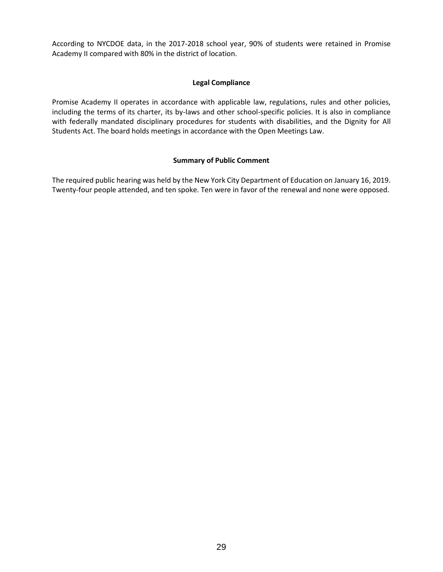According to NYCDOE data, in the 2017-2018 school year, 90% of students were retained in Promise Academy II compared with 80% in the district of location.

### **Legal Compliance**

Promise Academy II operates in accordance with applicable law, regulations, rules and other policies, including the terms of its charter, its by-laws and other school-specific policies. It is also in compliance with federally mandated disciplinary procedures for students with disabilities, and the Dignity for All Students Act. The board holds meetings in accordance with the Open Meetings Law.

## **Summary of Public Comment**

The required public hearing was held by the New York City Department of Education on January 16, 2019. Twenty-four people attended, and ten spoke. Ten were in favor of the renewal and none were opposed.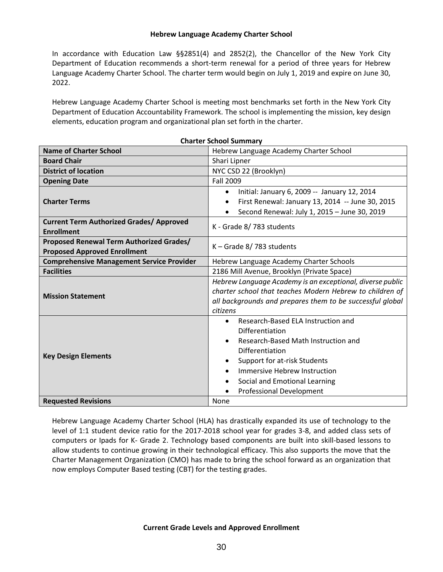#### **Hebrew Language Academy Charter School**

In accordance with Education Law §§2851(4) and 2852(2), the Chancellor of the New York City Department of Education recommends a short-term renewal for a period of three years for Hebrew Language Academy Charter School. The charter term would begin on July 1, 2019 and expire on June 30, 2022.

Hebrew Language Academy Charter School is meeting most benchmarks set forth in the New York City Department of Education Accountability Framework. The school is implementing the mission, key design elements, education program and organizational plan set forth in the charter.

|                                                                                 | Charter School Summary                                                                                                                                                                                                                                                             |  |  |  |
|---------------------------------------------------------------------------------|------------------------------------------------------------------------------------------------------------------------------------------------------------------------------------------------------------------------------------------------------------------------------------|--|--|--|
| <b>Name of Charter School</b>                                                   | Hebrew Language Academy Charter School                                                                                                                                                                                                                                             |  |  |  |
| <b>Board Chair</b>                                                              | Shari Lipner                                                                                                                                                                                                                                                                       |  |  |  |
| <b>District of location</b>                                                     | NYC CSD 22 (Brooklyn)                                                                                                                                                                                                                                                              |  |  |  |
| <b>Opening Date</b>                                                             | <b>Fall 2009</b>                                                                                                                                                                                                                                                                   |  |  |  |
| <b>Charter Terms</b>                                                            | Initial: January 6, 2009 -- January 12, 2014<br>$\bullet$<br>First Renewal: January 13, 2014 -- June 30, 2015<br>$\bullet$<br>Second Renewal: July 1, 2015 - June 30, 2019                                                                                                         |  |  |  |
| <b>Current Term Authorized Grades/ Approved</b><br><b>Enrollment</b>            | K - Grade 8/783 students                                                                                                                                                                                                                                                           |  |  |  |
| Proposed Renewal Term Authorized Grades/<br><b>Proposed Approved Enrollment</b> | $K -$ Grade 8/783 students                                                                                                                                                                                                                                                         |  |  |  |
| <b>Comprehensive Management Service Provider</b>                                | Hebrew Language Academy Charter Schools                                                                                                                                                                                                                                            |  |  |  |
| <b>Facilities</b>                                                               | 2186 Mill Avenue, Brooklyn (Private Space)                                                                                                                                                                                                                                         |  |  |  |
| <b>Mission Statement</b>                                                        | Hebrew Language Academy is an exceptional, diverse public<br>charter school that teaches Modern Hebrew to children of<br>all backgrounds and prepares them to be successful global<br>citizens                                                                                     |  |  |  |
| <b>Key Design Elements</b>                                                      | Research-Based ELA Instruction and<br>$\bullet$<br>Differentiation<br>Research-Based Math Instruction and<br>$\bullet$<br>Differentiation<br>Support for at-risk Students<br>Immersive Hebrew Instruction<br>Social and Emotional Learning<br>٠<br><b>Professional Development</b> |  |  |  |
| <b>Requested Revisions</b>                                                      | None                                                                                                                                                                                                                                                                               |  |  |  |

**Charter School Summary**

Hebrew Language Academy Charter School (HLA) has drastically expanded its use of technology to the level of 1:1 student device ratio for the 2017-2018 school year for grades 3-8, and added class sets of computers or Ipads for K- Grade 2. Technology based components are built into skill-based lessons to allow students to continue growing in their technological efficacy. This also supports the move that the Charter Management Organization (CMO) has made to bring the school forward as an organization that now employs Computer Based testing (CBT) for the testing grades.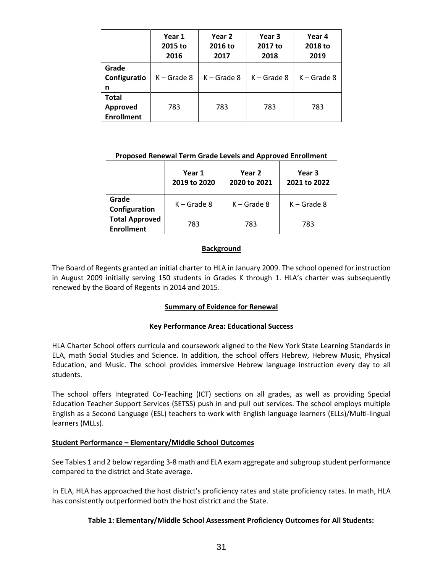|                                               | Year 1<br>2015 to<br>2016 | Year 2<br>2016 to<br>2017 | Year 3<br>2017 to<br>2018 | Year 4<br>2018 to<br>2019 |
|-----------------------------------------------|---------------------------|---------------------------|---------------------------|---------------------------|
| Grade<br>Configuratio<br>n                    | $K -$ Grade 8             | $K -$ Grade 8             | $K -$ Grade 8             | $K -$ Grade 8             |
| <b>Total</b><br>Approved<br><b>Enrollment</b> | 783                       | 783                       | 783                       | 783                       |

#### **Proposed Renewal Term Grade Levels and Approved Enrollment**

|                                            | Year 1<br>2019 to 2020 | Year 2<br>2020 to 2021 | Year 3<br>2021 to 2022 |
|--------------------------------------------|------------------------|------------------------|------------------------|
| Grade<br>Configuration                     | $K -$ Grade 8          | $K -$ Grade 8          | $K -$ Grade 8          |
| <b>Total Approved</b><br><b>Enrollment</b> | 783                    | 783                    | 783                    |

### **Background**

The Board of Regents granted an initial charter to HLA in January 2009. The school opened for instruction in August 2009 initially serving 150 students in Grades K through 1. HLA's charter was subsequently renewed by the Board of Regents in 2014 and 2015.

### **Summary of Evidence for Renewal**

### **Key Performance Area: Educational Success**

HLA Charter School offers curricula and coursework aligned to the New York State Learning Standards in ELA, math Social Studies and Science. In addition, the school offers Hebrew, Hebrew Music, Physical Education, and Music. The school provides immersive Hebrew language instruction every day to all students.

The school offers Integrated Co-Teaching (ICT) sections on all grades, as well as providing Special Education Teacher Support Services (SETSS) push in and pull out services. The school employs multiple English as a Second Language (ESL) teachers to work with English language learners (ELLs)/Multi-lingual learners (MLLs).

# **Student Performance – Elementary/Middle School Outcomes**

See Tables 1 and 2 below regarding 3-8 math and ELA exam aggregate and subgroup student performance compared to the district and State average.

In ELA, HLA has approached the host district's proficiency rates and state proficiency rates. In math, HLA has consistently outperformed both the host district and the State.

### **Table 1: Elementary/Middle School Assessment Proficiency Outcomes for All Students:**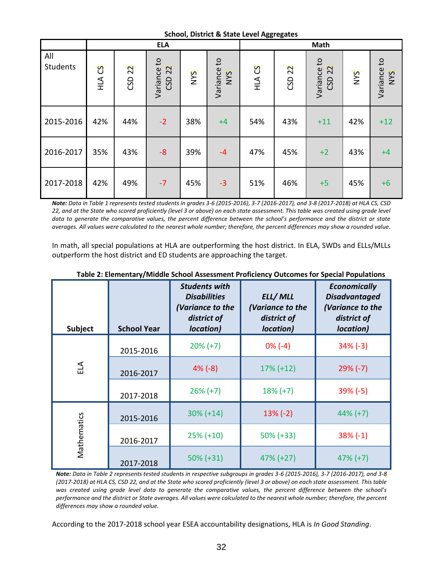**School, District & State Level Aggregates**

|                        |           |        | <b>ELA</b>                            |     |                    |              | ິ                 | Math                     |     |                    |
|------------------------|-----------|--------|---------------------------------------|-----|--------------------|--------------|-------------------|--------------------------|-----|--------------------|
| All<br><b>Students</b> | S)<br>ATH | CSD 22 | Variance to<br>$\overline{22}$<br>CSD | NYS | Variance to<br>NYS | <b>HLACS</b> | CSD <sub>22</sub> | Variance to<br>22<br>CSD | NYS | Variance to<br>NYS |
| 2015-2016              | 42%       | 44%    | $-2$                                  | 38% | $+4$               | 54%          | 43%               | $+11$                    | 42% | $+12$              |
| 2016-2017              | 35%       | 43%    | $-8$                                  | 39% | $-4$               | 47%          | 45%               | $+2$                     | 43% | $+4$               |
| 2017-2018              | 42%       | 49%    | $-7$                                  | 45% | $-3$               | 51%          | 46%               | $+5$                     | 45% | $+6$               |

*Note: Data in Table 1 represents tested students in grades 3-6 (2015-2016), 3-7 (2016-2017), and 3-8 (2017-2018) at HLA CS, CSD 22, and at the State who scored proficiently (level 3 or above) on each state assessment. This table was created using grade level data to generate the comparative values, the percent difference between the school's performance and the district or state averages. All values were calculated to the nearest whole number; therefore, the percent differences may show a rounded value.*

In math, all special populations at HLA are outperforming the host district. In ELA, SWDs and ELLs/MLLs outperform the host district and ED students are approaching the target.

| <b>Subject</b> | <b>School Year</b> | <b>Students with</b><br><b>Disabilities</b><br>(Variance to the<br>district of<br>location) | ELL/MLL<br>(Variance to the<br>district of<br>location) | <b>Economically</b><br><b>Disadvantaged</b><br>(Variance to the<br>district of<br>location) |
|----------------|--------------------|---------------------------------------------------------------------------------------------|---------------------------------------------------------|---------------------------------------------------------------------------------------------|
|                | 2015-2016          | $20\% (+7)$                                                                                 | $0\%$ (-4)                                              | $34\%$ (-3)                                                                                 |
| ELA            | 2016-2017          | $4\%$ (-8)                                                                                  | $17\% (+12)$                                            | $29\%$ (-7)                                                                                 |
|                | 2017-2018          | $26\% (+7)$                                                                                 | $18% (+7)$                                              | $39\%$ (-5)                                                                                 |
|                | 2015-2016          | $30\% (+14)$                                                                                | $13\%$ (-2)                                             | $44\%$ (+7)                                                                                 |
| Mathematics    | 2016-2017          | $25\% (+10)$                                                                                | $50\% (+33)$                                            | $38\%$ (-1)                                                                                 |
|                | 2017-2018          | $50\% (+31)$                                                                                | $47\% (+27)$                                            | $47\% (+7)$                                                                                 |

**Table 2: Elementary/Middle School Assessment Proficiency Outcomes for Special Populations**

*Note: Data in Table 2 represents tested students in respective subgroups in grades 3-6 (2015-2016), 3-7 (2016-2017), and 3-8 (2017-2018) at HLA CS, CSD 22, and at the State who scored proficiently (level 3 or above) on each state assessment. This table was created using grade level data to generate the comparative values, the percent difference between the school's performance and the district or State averages. All values were calculated to the nearest whole number; therefore, the percent differences may show a rounded value.*

According to the 2017-2018 school year ESEA accountability designations, HLA is *In Good Standing*.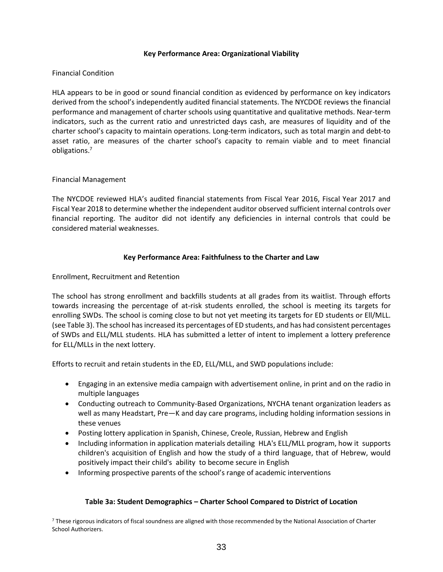### **Key Performance Area: Organizational Viability**

#### Financial Condition

HLA appears to be in good or sound financial condition as evidenced by performance on key indicators derived from the school's independently audited financial statements. The NYCDOE reviews the financial performance and management of charter schools using quantitative and qualitative methods. Near‐term indicators, such as the current ratio and unrestricted days cash, are measures of liquidity and of the charter school's capacity to maintain operations. Long-term indicators, such as total margin and debt-to asset ratio, are measures of the charter school's capacity to remain viable and to meet financial obligations.<sup>7</sup>

#### Financial Management

The NYCDOE reviewed HLA's audited financial statements from Fiscal Year 2016, Fiscal Year 2017 and Fiscal Year 2018 to determine whether the independent auditor observed sufficient internal controls over financial reporting. The auditor did not identify any deficiencies in internal controls that could be considered material weaknesses.

#### **Key Performance Area: Faithfulness to the Charter and Law**

Enrollment, Recruitment and Retention

The school has strong enrollment and backfills students at all grades from its waitlist. Through efforts towards increasing the percentage of at-risk students enrolled, the school is meeting its targets for enrolling SWDs. The school is coming close to but not yet meeting its targets for ED students or Ell/MLL. (see Table 3). The school has increased its percentages of ED students, and has had consistent percentages of SWDs and ELL/MLL students. HLA has submitted a letter of intent to implement a lottery preference for ELL/MLLs in the next lottery.

Efforts to recruit and retain students in the ED, ELL/MLL, and SWD populations include:

- Engaging in an extensive media campaign with advertisement online, in print and on the radio in multiple languages
- Conducting outreach to Community-Based Organizations, NYCHA tenant organization leaders as well as many Headstart, Pre—K and day care programs, including holding information sessions in these venues
- Posting lottery application in Spanish, Chinese, Creole, Russian, Hebrew and English
- Including information in application materials detailing HLA's ELL/MLL program, how it supports children's acquisition of English and how the study of a third language, that of Hebrew, would positively impact their child's ability to become secure in English
- Informing prospective parents of the school's range of academic interventions

### **Table 3a: Student Demographics – Charter School Compared to District of Location**

<sup>7</sup> These rigorous indicators of fiscal soundness are aligned with those recommended by the National Association of Charter School Authorizers.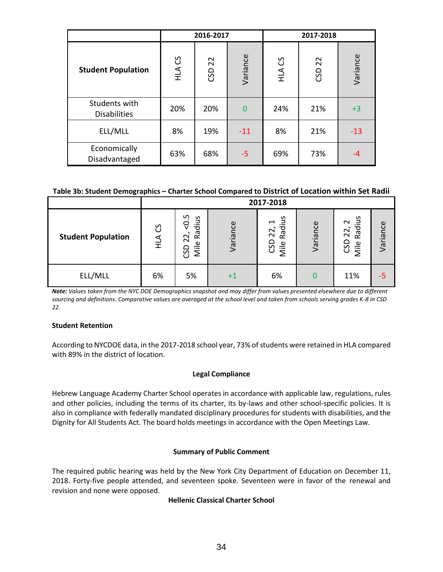|                                      |        | 2016-2017 |          | 2017-2018 |        |          |  |
|--------------------------------------|--------|-----------|----------|-----------|--------|----------|--|
| <b>Student Population</b>            | HLA CS | CSD 22    | Variance | HLA CS    | CSD 22 | Variance |  |
| Students with<br><b>Disabilities</b> | 20%    | 20%       | $\Omega$ | 24%       | 21%    | $+3$     |  |
| ELL/MLL                              | 8%     | 19%       | $-11$    | 8%        | 21%    | $-13$    |  |
| Economically<br>Disadvantaged        | 63%    | 68%       | $-5$     | 69%       | 73%    | $-4$     |  |

### **Table 3b: Student Demographics – Charter School Compared to District of Location within Set Radii**

|                           |              | 2017-2018                                                          |             |                                                       |          |                                        |          |  |  |
|---------------------------|--------------|--------------------------------------------------------------------|-------------|-------------------------------------------------------|----------|----------------------------------------|----------|--|--|
| <b>Student Population</b> | ပိ<br>⋖<br>로 | ഗ<br>Radius<br>ê<br>$\sim$<br>$\overline{\mathsf{N}}$<br>Mile<br>უ | Variance    | Radius<br>$\overline{\phantom{0}}$<br>CSD 22,<br>Mile | Variance | Radius<br>$\sim$<br>22,<br>CSD<br>Mile | Variance |  |  |
| ELL/MLL                   | 6%           | 5%                                                                 | $^{\rm +1}$ | 6%                                                    |          | 11%                                    |          |  |  |

*Note: Values taken from the NYC DOE Demographics snapshot and may differ from values presented elsewhere due to different sourcing and definitions. Comparative values are averaged at the school level and taken from schools serving grades K-8 in CSD 22.*

### **Student Retention**

According to NYCDOE data, in the 2017-2018 school year, 73% of students were retained in HLA compared with 89% in the district of location.

### **Legal Compliance**

Hebrew Language Academy Charter School operates in accordance with applicable law, regulations, rules and other policies, including the terms of its charter, its by-laws and other school-specific policies. It is also in compliance with federally mandated disciplinary procedures for students with disabilities, and the Dignity for All Students Act. The board holds meetings in accordance with the Open Meetings Law.

#### **Summary of Public Comment**

The required public hearing was held by the New York City Department of Education on December 11, 2018. Forty-five people attended, and seventeen spoke. Seventeen were in favor of the renewal and revision and none were opposed.

### **Hellenic Classical Charter School**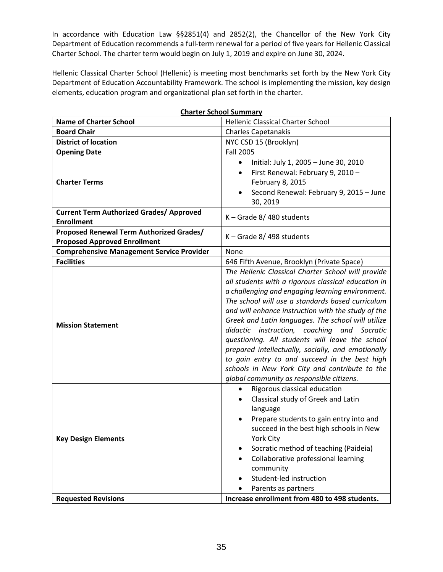In accordance with Education Law §§2851(4) and 2852(2), the Chancellor of the New York City Department of Education recommends a full-term renewal for a period of five years for Hellenic Classical Charter School. The charter term would begin on July 1, 2019 and expire on June 30, 2024.

Hellenic Classical Charter School (Hellenic) is meeting most benchmarks set forth by the New York City Department of Education Accountability Framework. The school is implementing the mission, key design elements, education program and organizational plan set forth in the charter.

| <b>Name of Charter School</b>                                                   | <b>Hellenic Classical Charter School</b>                                                                                                                                                                                                                                                                                                                                                                                                                                                                                                                                                                                              |
|---------------------------------------------------------------------------------|---------------------------------------------------------------------------------------------------------------------------------------------------------------------------------------------------------------------------------------------------------------------------------------------------------------------------------------------------------------------------------------------------------------------------------------------------------------------------------------------------------------------------------------------------------------------------------------------------------------------------------------|
| <b>Board Chair</b>                                                              | <b>Charles Capetanakis</b>                                                                                                                                                                                                                                                                                                                                                                                                                                                                                                                                                                                                            |
| <b>District of location</b>                                                     | NYC CSD 15 (Brooklyn)                                                                                                                                                                                                                                                                                                                                                                                                                                                                                                                                                                                                                 |
| <b>Opening Date</b>                                                             | <b>Fall 2005</b>                                                                                                                                                                                                                                                                                                                                                                                                                                                                                                                                                                                                                      |
| <b>Charter Terms</b>                                                            | Initial: July 1, 2005 - June 30, 2010<br>$\bullet$<br>First Renewal: February 9, 2010 -<br>$\bullet$<br>February 8, 2015<br>Second Renewal: February 9, 2015 - June<br>30, 2019                                                                                                                                                                                                                                                                                                                                                                                                                                                       |
| <b>Current Term Authorized Grades/ Approved</b><br><b>Enrollment</b>            | K - Grade 8/480 students                                                                                                                                                                                                                                                                                                                                                                                                                                                                                                                                                                                                              |
| Proposed Renewal Term Authorized Grades/<br><b>Proposed Approved Enrollment</b> | K - Grade 8/498 students                                                                                                                                                                                                                                                                                                                                                                                                                                                                                                                                                                                                              |
| <b>Comprehensive Management Service Provider</b>                                | None                                                                                                                                                                                                                                                                                                                                                                                                                                                                                                                                                                                                                                  |
| <b>Facilities</b>                                                               | 646 Fifth Avenue, Brooklyn (Private Space)                                                                                                                                                                                                                                                                                                                                                                                                                                                                                                                                                                                            |
| <b>Mission Statement</b>                                                        | The Hellenic Classical Charter School will provide<br>all students with a rigorous classical education in<br>a challenging and engaging learning environment.<br>The school will use a standards based curriculum<br>and will enhance instruction with the study of the<br>Greek and Latin languages. The school will utilize<br>didactic instruction, coaching and Socratic<br>questioning. All students will leave the school<br>prepared intellectually, socially, and emotionally<br>to gain entry to and succeed in the best high<br>schools in New York City and contribute to the<br>global community as responsible citizens. |
| <b>Key Design Elements</b><br><b>Requested Revisions</b>                        | Rigorous classical education<br>$\bullet$<br>Classical study of Greek and Latin<br>language<br>Prepare students to gain entry into and<br>succeed in the best high schools in New<br>York City<br>Socratic method of teaching (Paideia)<br>Collaborative professional learning<br>$\bullet$<br>community<br>Student-led instruction<br>Parents as partners<br>Increase enrollment from 480 to 498 students.                                                                                                                                                                                                                           |

#### **Charter School Summary**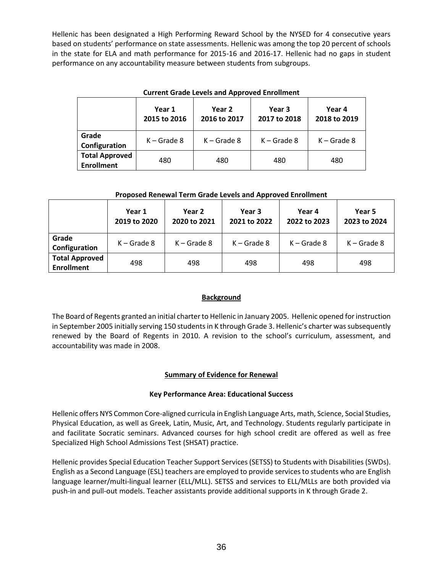Hellenic has been designated a High Performing Reward School by the NYSED for 4 consecutive years based on students' performance on state assessments. Hellenic was among the top 20 percent of schools in the state for ELA and math performance for 2015-16 and 2016-17. Hellenic had no gaps in student performance on any accountability measure between students from subgroups.

|                                            | Year 1<br>2015 to 2016 | Current Grade Levels and Approved Enrollment<br>Year 2<br>2016 to 2017 | Year 3<br>2017 to 2018 | Year 4<br>2018 to 2019 |
|--------------------------------------------|------------------------|------------------------------------------------------------------------|------------------------|------------------------|
| Grade<br>Configuration                     | $K -$ Grade 8          | $K -$ Grade 8                                                          | $K -$ Grade 8          | $K -$ Grade 8          |
| <b>Total Approved</b><br><b>Enrollment</b> | 480                    | 480                                                                    | 480                    | 480                    |

# **Current Grade Levels and Approved Enrollment**

### **Proposed Renewal Term Grade Levels and Approved Enrollment**

|                                            | Year 1<br>2019 to 2020 | Year 2<br>2020 to 2021 | Year 3<br>2021 to 2022 | Year 4<br>2022 to 2023 | Year 5<br>2023 to 2024 |
|--------------------------------------------|------------------------|------------------------|------------------------|------------------------|------------------------|
| Grade<br>Configuration                     | $K -$ Grade 8          | $K -$ Grade 8          | $K -$ Grade 8          | $K -$ Grade 8          | $K -$ Grade 8          |
| <b>Total Approved</b><br><b>Enrollment</b> | 498                    | 498                    | 498                    | 498                    | 498                    |

### **Background**

The Board of Regents granted an initial charter to Hellenic in January 2005. Hellenic opened for instruction in September 2005 initially serving 150 students in K through Grade 3. Hellenic's charter was subsequently renewed by the Board of Regents in 2010. A revision to the school's curriculum, assessment, and accountability was made in 2008.

### **Summary of Evidence for Renewal**

### **Key Performance Area: Educational Success**

Hellenic offers NYS Common Core-aligned curricula in English Language Arts, math, Science, Social Studies, Physical Education, as well as Greek, Latin, Music, Art, and Technology. Students regularly participate in and facilitate Socratic seminars. Advanced courses for high school credit are offered as well as free Specialized High School Admissions Test (SHSAT) practice.

Hellenic provides Special Education Teacher Support Services (SETSS) to Students with Disabilities (SWDs). English as a Second Language (ESL) teachers are employed to provide services to students who are English language learner/multi-lingual learner (ELL/MLL). SETSS and services to ELL/MLLs are both provided via push-in and pull-out models. Teacher assistants provide additional supports in K through Grade 2.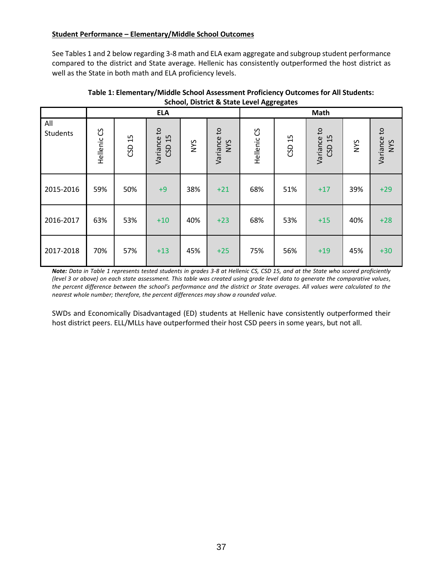# **Student Performance – Elementary/Middle School Outcomes**

See Tables 1 and 2 below regarding 3-8 math and ELA exam aggregate and subgroup student performance compared to the district and State average. Hellenic has consistently outperformed the host district as well as the State in both math and ELA proficiency levels.

| Scribbi, District & State Lever Aggregates |             |        |                          |            |                           |             |                        |                          |     |                           |
|--------------------------------------------|-------------|--------|--------------------------|------------|---------------------------|-------------|------------------------|--------------------------|-----|---------------------------|
|                                            | <b>ELA</b>  |        |                          |            | Math                      |             |                        |                          |     |                           |
| All<br>Students                            | Hellenic CS | CSD 15 | Variance to<br>15<br>CSD | <b>NYS</b> | Variance to<br><b>NYS</b> | Hellenic CS | $\overline{15}$<br>GSD | Variance to<br>15<br>CSD | NYS | Variance to<br><b>SAN</b> |
| 2015-2016                                  | 59%         | 50%    | $+9$                     | 38%        | $+21$                     | 68%         | 51%                    | $+17$                    | 39% | $+29$                     |
| 2016-2017                                  | 63%         | 53%    | $+10$                    | 40%        | $+23$                     | 68%         | 53%                    | $+15$                    | 40% | $+28$                     |
| 2017-2018                                  | 70%         | 57%    | $+13$                    | 45%        | $+25$                     | 75%         | 56%                    | $+19$                    | 45% | $+30$                     |

## **Table 1: Elementary/Middle School Assessment Proficiency Outcomes for All Students: School, District & State Level Aggregates**

*Note: Data in Table 1 represents tested students in grades 3-8 at Hellenic CS, CSD 15, and at the State who scored proficiently (level 3 or above) on each state assessment. This table was created using grade level data to generate the comparative values, the percent difference between the school's performance and the district or State averages. All values were calculated to the nearest whole number; therefore, the percent differences may show a rounded value.*

SWDs and Economically Disadvantaged (ED) students at Hellenic have consistently outperformed their host district peers. ELL/MLLs have outperformed their host CSD peers in some years, but not all.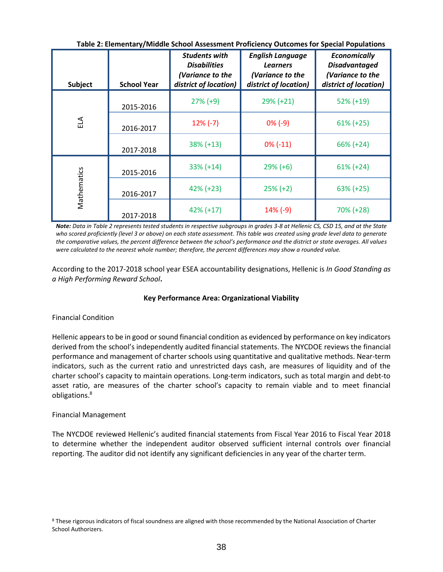| Subject     | <b>School Year</b> | <b>Students with</b><br><b>Disabilities</b><br>(Variance to the<br>district of location) | <b>English Language</b><br><b>Learners</b><br>(Variance to the<br>district of location) | <b>Economically</b><br><b>Disadvantaged</b><br>(Variance to the<br>district of location) |
|-------------|--------------------|------------------------------------------------------------------------------------------|-----------------------------------------------------------------------------------------|------------------------------------------------------------------------------------------|
|             | 2015-2016          | $27\% (+9)$                                                                              | $29\% (+21)$                                                                            | $52\% (+19)$                                                                             |
| $\Xi$       | 2016-2017          | $12\%$ (-7)                                                                              | $0\%$ (-9)                                                                              | $61\% (+25)$                                                                             |
|             | 2017-2018          | $38\% (+13)$                                                                             | $0\%$ (-11)                                                                             | $66\% (+24)$                                                                             |
|             | 2015-2016          | $33\% (+14)$                                                                             | $29\% (+6)$                                                                             | $61\% (+24)$                                                                             |
| Mathematics | 2016-2017          | $42\% (+23)$                                                                             | $25\% (+2)$                                                                             | $63\% (+25)$                                                                             |
|             | 2017-2018          | $42\% (+17)$                                                                             | $14\%$ (-9)                                                                             | 70% (+28)                                                                                |

**Table 2: Elementary/Middle School Assessment Proficiency Outcomes for Special Populations**

*Note: Data in Table 2 represents tested students in respective subgroups in grades 3-8 at Hellenic CS, CSD 15, and at the State who scored proficiently (level 3 or above) on each state assessment. This table was created using grade level data to generate the comparative values, the percent difference between the school's performance and the district or state averages. All values were calculated to the nearest whole number; therefore, the percent differences may show a rounded value.*

According to the 2017-2018 school year ESEA accountability designations, Hellenic is *In Good Standing as a High Performing Reward School***.**

### **Key Performance Area: Organizational Viability**

### Financial Condition

Hellenic appears to be in good or sound financial condition as evidenced by performance on key indicators derived from the school's independently audited financial statements. The NYCDOE reviews the financial performance and management of charter schools using quantitative and qualitative methods. Near‐term indicators, such as the current ratio and unrestricted days cash, are measures of liquidity and of the charter school's capacity to maintain operations. Long‐term indicators, such as total margin and debt‐to asset ratio, are measures of the charter school's capacity to remain viable and to meet financial obligations.<sup>8</sup>

#### Financial Management

The NYCDOE reviewed Hellenic's audited financial statements from Fiscal Year 2016 to Fiscal Year 2018 to determine whether the independent auditor observed sufficient internal controls over financial reporting. The auditor did not identify any significant deficiencies in any year of the charter term.

<sup>8</sup> These rigorous indicators of fiscal soundness are aligned with those recommended by the National Association of Charter School Authorizers.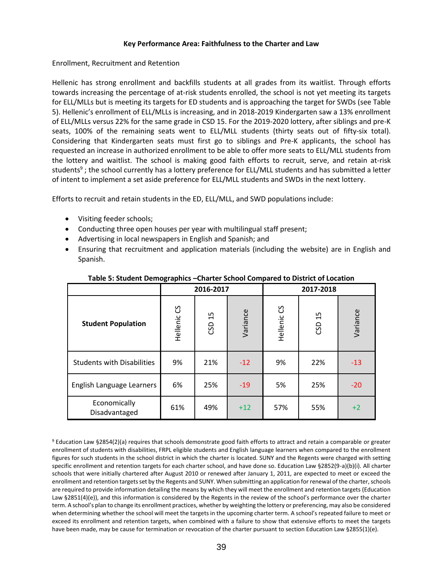## **Key Performance Area: Faithfulness to the Charter and Law**

### Enrollment, Recruitment and Retention

Hellenic has strong enrollment and backfills students at all grades from its waitlist. Through efforts towards increasing the percentage of at-risk students enrolled, the school is not yet meeting its targets for ELL/MLLs but is meeting its targets for ED students and is approaching the target for SWDs (see Table 5). Hellenic's enrollment of ELL/MLLs is increasing, and in 2018-2019 Kindergarten saw a 13% enrollment of ELL/MLLs versus 22% for the same grade in CSD 15. For the 2019-2020 lottery, after siblings and pre-K seats, 100% of the remaining seats went to ELL/MLL students (thirty seats out of fifty-six total). Considering that Kindergarten seats must first go to siblings and Pre-K applicants, the school has requested an increase in authorized enrollment to be able to offer more seats to ELL/MLL students from the lottery and waitlist. The school is making good faith efforts to recruit, serve, and retain at-risk students<sup>9</sup>; the school currently has a lottery preference for ELL/MLL students and has submitted a letter of intent to implement a set aside preference for ELL/MLL students and SWDs in the next lottery.

Efforts to recruit and retain students in the ED, ELL/MLL, and SWD populations include:

- Visiting feeder schools;
- Conducting three open houses per year with multilingual staff present;
- Advertising in local newspapers in English and Spanish; and
- Ensuring that recruitment and application materials (including the website) are in English and Spanish.

|                                   |             | 2016-2017 |          | 2017-2018     |        |          |  |
|-----------------------------------|-------------|-----------|----------|---------------|--------|----------|--|
| <b>Student Population</b>         | Hellenic CS | 15<br>CSD | Variance | უ<br>Hellenic | CSD 15 | Variance |  |
| <b>Students with Disabilities</b> | 9%          | 21%       | $-12$    | 9%            | 22%    | $-13$    |  |
| English Language Learners         | 6%          | 25%       | $-19$    | 5%            | 25%    | $-20$    |  |
| Economically<br>Disadvantaged     | 61%         | 49%       | $+12$    | 57%           | 55%    | $+2$     |  |

#### **Table 5: Student Demographics –Charter School Compared to District of Location**

<sup>9</sup> Education Law §2854(2)(a) requires that schools demonstrate good faith efforts to attract and retain a comparable or greater enrollment of students with disabilities, FRPL eligible students and English language learners when compared to the enrollment figures for such students in the school district in which the charter is located. SUNY and the Regents were charged with setting specific enrollment and retention targets for each charter school, and have done so. Education Law §2852(9-a)(b)(i). All charter schools that were initially chartered after August 2010 or renewed after January 1, 2011, are expected to meet or exceed the enrollment and retention targets set by the Regents and SUNY. When submitting an application for renewal of the charter, schools are required to provide information detailing the means by which they will meet the enrollment and retention targets (Education Law §2851(4)(e)), and this information is considered by the Regents in the review of the school's performance over the charter term. A school's plan to change its enrollment practices, whether by weighting the lottery or preferencing, may also be considered when determining whether the school will meet the targets in the upcoming charter term. A school's repeated failure to meet or exceed its enrollment and retention targets, when combined with a failure to show that extensive efforts to meet the targets have been made, may be cause for termination or revocation of the charter pursuant to section Education Law §2855(1)(e).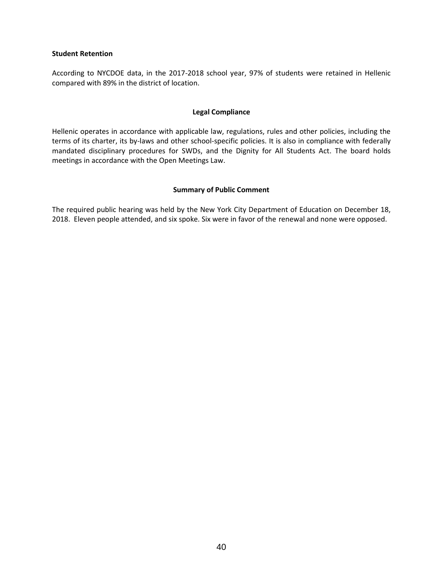#### **Student Retention**

According to NYCDOE data, in the 2017-2018 school year, 97% of students were retained in Hellenic compared with 89% in the district of location.

#### **Legal Compliance**

Hellenic operates in accordance with applicable law, regulations, rules and other policies, including the terms of its charter, its by-laws and other school-specific policies. It is also in compliance with federally mandated disciplinary procedures for SWDs, and the Dignity for All Students Act. The board holds meetings in accordance with the Open Meetings Law.

#### **Summary of Public Comment**

The required public hearing was held by the New York City Department of Education on December 18, 2018. Eleven people attended, and six spoke. Six were in favor of the renewal and none were opposed.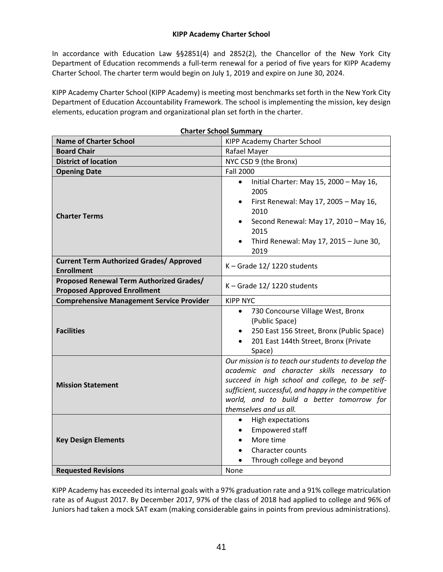In accordance with Education Law §§2851(4) and 2852(2), the Chancellor of the New York City Department of Education recommends a full-term renewal for a period of five years for KIPP Academy Charter School. The charter term would begin on July 1, 2019 and expire on June 30, 2024.

KIPP Academy Charter School (KIPP Academy) is meeting most benchmarks set forth in the New York City Department of Education Accountability Framework. The school is implementing the mission, key design elements, education program and organizational plan set forth in the charter.

|                                                                                 | <b>Charter School Summary</b>                                                                                                                                                                                                                                                       |  |  |  |
|---------------------------------------------------------------------------------|-------------------------------------------------------------------------------------------------------------------------------------------------------------------------------------------------------------------------------------------------------------------------------------|--|--|--|
| <b>Name of Charter School</b>                                                   | KIPP Academy Charter School                                                                                                                                                                                                                                                         |  |  |  |
| <b>Board Chair</b>                                                              | Rafael Mayer                                                                                                                                                                                                                                                                        |  |  |  |
| <b>District of location</b>                                                     | NYC CSD 9 (the Bronx)                                                                                                                                                                                                                                                               |  |  |  |
| <b>Opening Date</b>                                                             | <b>Fall 2000</b>                                                                                                                                                                                                                                                                    |  |  |  |
| <b>Charter Terms</b>                                                            | Initial Charter: May 15, 2000 - May 16,<br>$\bullet$<br>2005<br>First Renewal: May 17, 2005 - May 16,<br>$\bullet$<br>2010<br>Second Renewal: May 17, 2010 - May 16,<br>$\bullet$<br>2015<br>Third Renewal: May 17, 2015 - June 30,<br>$\bullet$<br>2019                            |  |  |  |
| <b>Current Term Authorized Grades/ Approved</b><br><b>Enrollment</b>            | $K -$ Grade 12/1220 students                                                                                                                                                                                                                                                        |  |  |  |
| Proposed Renewal Term Authorized Grades/<br><b>Proposed Approved Enrollment</b> | $K -$ Grade 12/1220 students                                                                                                                                                                                                                                                        |  |  |  |
| <b>Comprehensive Management Service Provider</b>                                | <b>KIPP NYC</b>                                                                                                                                                                                                                                                                     |  |  |  |
| <b>Facilities</b>                                                               | 730 Concourse Village West, Bronx<br>$\bullet$<br>(Public Space)<br>250 East 156 Street, Bronx (Public Space)<br>201 East 144th Street, Bronx (Private<br>Space)                                                                                                                    |  |  |  |
| <b>Mission Statement</b>                                                        | Our mission is to teach our students to develop the<br>academic and character skills necessary to<br>succeed in high school and college, to be self-<br>sufficient, successful, and happy in the competitive<br>world, and to build a better tomorrow for<br>themselves and us all. |  |  |  |
| <b>Key Design Elements</b><br><b>Requested Revisions</b>                        | High expectations<br>$\bullet$<br>Empowered staff<br>$\bullet$<br>More time<br>$\bullet$<br><b>Character counts</b><br>Through college and beyond<br>None                                                                                                                           |  |  |  |

KIPP Academy has exceeded its internal goals with a 97% graduation rate and a 91% college matriculation rate as of August 2017. By December 2017, 97% of the class of 2018 had applied to college and 96% of Juniors had taken a mock SAT exam (making considerable gains in points from previous administrations).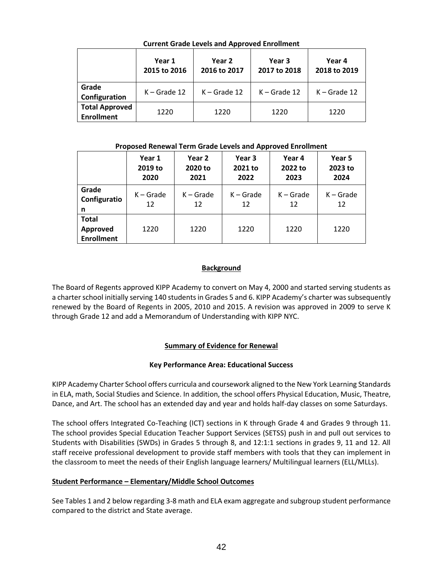|                                            | Year 1<br>2015 to 2016 | Year 2<br>2016 to 2017 | Year 3<br>2017 to 2018 | Year 4<br>2018 to 2019 |
|--------------------------------------------|------------------------|------------------------|------------------------|------------------------|
| Grade<br>Configuration                     | $K -$ Grade 12         | $K -$ Grade 12         | $K -$ Grade 12         | $K -$ Grade 12         |
| <b>Total Approved</b><br><b>Enrollment</b> | 1220                   | 1220                   | 1220                   | 1220                   |

**Current Grade Levels and Approved Enrollment**

#### **Proposed Renewal Term Grade Levels and Approved Enrollment**

|                                               | Year 1<br>2019 to<br>2020 | Year 2<br>2020 to<br>2021 | Year 3<br>2021 to<br>2022 | Year 4<br>2022 to<br>2023 | Year 5<br>2023 to<br>2024 |
|-----------------------------------------------|---------------------------|---------------------------|---------------------------|---------------------------|---------------------------|
| Grade<br>Configuratio<br>n                    | $K -$ Grade<br>12         | $K -$ Grade<br>12         | $K -$ Grade<br>12         | $K -$ Grade<br>12         | $K -$ Grade<br>12         |
| <b>Total</b><br>Approved<br><b>Enrollment</b> | 1220                      | 1220                      | 1220                      | 1220                      | 1220                      |

# **Background**

The Board of Regents approved KIPP Academy to convert on May 4, 2000 and started serving students as a charter school initially serving 140 students in Grades 5 and 6. KIPP Academy's charter was subsequently renewed by the Board of Regents in 2005, 2010 and 2015. A revision was approved in 2009 to serve K through Grade 12 and add a Memorandum of Understanding with KIPP NYC.

# **Summary of Evidence for Renewal**

# **Key Performance Area: Educational Success**

KIPP Academy Charter School offers curricula and coursework aligned to the New York Learning Standards in ELA, math, Social Studies and Science. In addition, the school offers Physical Education, Music, Theatre, Dance, and Art. The school has an extended day and year and holds half-day classes on some Saturdays.

The school offers Integrated Co-Teaching (ICT) sections in K through Grade 4 and Grades 9 through 11. The school provides Special Education Teacher Support Services (SETSS) push in and pull out services to Students with Disabilities (SWDs) in Grades 5 through 8, and 12:1:1 sections in grades 9, 11 and 12. All staff receive professional development to provide staff members with tools that they can implement in the classroom to meet the needs of their English language learners/ Multilingual learners (ELL/MLLs).

# **Student Performance – Elementary/Middle School Outcomes**

See Tables 1 and 2 below regarding 3-8 math and ELA exam aggregate and subgroup student performance compared to the district and State average.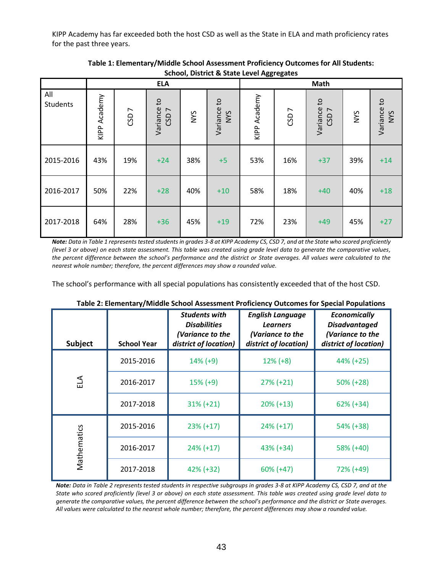KIPP Academy has far exceeded both the host CSD as well as the State in ELA and math proficiency rates for the past three years.

|                 |              |                  | <b>ELA</b>                      |            |                           | Math         |                  |                                      |            |                    |
|-----------------|--------------|------------------|---------------------------------|------------|---------------------------|--------------|------------------|--------------------------------------|------------|--------------------|
| All<br>Students | KIPP Academy | CSD <sub>7</sub> | Variance to<br>CSD <sub>7</sub> | <b>NYS</b> | Variance to<br><b>NYS</b> | KIPP Academy | CSD <sub>7</sub> | Variance to<br>$\overline{ }$<br>CSD | <b>NYS</b> | Variance to<br>NYS |
| 2015-2016       | 43%          | 19%              | $+24$                           | 38%        | $+5$                      | 53%          | 16%              | $+37$                                | 39%        | $+14$              |
| 2016-2017       | 50%          | 22%              | $+28$                           | 40%        | $+10$                     | 58%          | 18%              | $+40$                                | 40%        | $+18$              |
| 2017-2018       | 64%          | 28%              | $+36$                           | 45%        | $+19$                     | 72%          | 23%              | $+49$                                | 45%        | $+27$              |

**Table 1: Elementary/Middle School Assessment Proficiency Outcomes for All Students: School, District & State Level Aggregates**

*Note: Data in Table 1 represents tested students in grades 3-8 at KIPP Academy CS, CSD 7, and at the State who scored proficiently (level 3 or above) on each state assessment. This table was created using grade level data to generate the comparative values,*  the percent difference between the school's performance and the district or State averages. All values were calculated to the *nearest whole number; therefore, the percent differences may show a rounded value.*

The school's performance with all special populations has consistently exceeded that of the host CSD.

| <b>Subject</b> | <b>School Year</b> | <b>Students with</b><br><b>Disabilities</b><br>(Variance to the<br>district of location) | <b>English Language</b><br><b>Learners</b><br>(Variance to the<br>district of location) | <b>Economically</b><br><b>Disadvantaged</b><br>(Variance to the<br>district of location) |
|----------------|--------------------|------------------------------------------------------------------------------------------|-----------------------------------------------------------------------------------------|------------------------------------------------------------------------------------------|
|                | 2015-2016          | $14\%$ (+9)                                                                              | $12\% (+8)$                                                                             | 44% (+25)                                                                                |
| ELA            | 2016-2017          | $15\% (+9)$                                                                              | $27\% (+21)$                                                                            | $50\%$ (+28)                                                                             |
|                | 2017-2018          | $31\% (+21)$                                                                             | $20\% (+13)$                                                                            | $62\% (+34)$                                                                             |
|                | 2015-2016          | $23\% (+17)$                                                                             | $24\% (+17)$                                                                            | 54% (+38)                                                                                |
| Mathematics    | 2016-2017          | $24\% (+17)$                                                                             | $43\% (+34)$                                                                            | 58% (+40)                                                                                |
|                | 2017-2018          | 42% (+32)                                                                                | $60\% (+47)$                                                                            | 72% (+49)                                                                                |

**Table 2: Elementary/Middle School Assessment Proficiency Outcomes for Special Populations**

*Note: Data in Table 2 represents tested students in respective subgroups in grades 3-8 at KIPP Academy CS, CSD 7, and at the State who scored proficiently (level 3 or above) on each state assessment. This table was created using grade level data to generate the comparative values, the percent difference between the school's performance and the district or State averages. All values were calculated to the nearest whole number; therefore, the percent differences may show a rounded value.*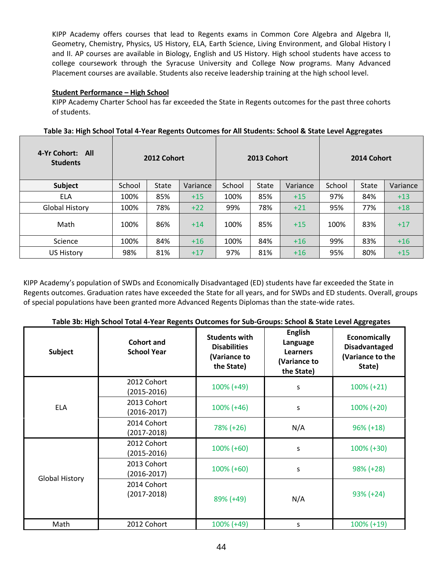KIPP Academy offers courses that lead to Regents exams in Common Core Algebra and Algebra II, Geometry, Chemistry, Physics, US History, ELA, Earth Science, Living Environment, and Global History I and II. AP courses are available in Biology, English and US History. High school students have access to college coursework through the Syracuse University and College Now programs. Many Advanced Placement courses are available. Students also receive leadership training at the high school level.

## **Student Performance – High School**

KIPP Academy Charter School has far exceeded the State in Regents outcomes for the past three cohorts of students.

| 4-Yr Cohort: All<br><b>Students</b> |        | 2012 Cohort  |          | 2013 Cohort |              |          | 2014 Cohort |              |          |
|-------------------------------------|--------|--------------|----------|-------------|--------------|----------|-------------|--------------|----------|
| Subject                             | School | <b>State</b> | Variance | School      | <b>State</b> | Variance | School      | <b>State</b> | Variance |
| <b>ELA</b>                          | 100%   | 85%          | $+15$    | 100%        | 85%          | $+15$    | 97%         | 84%          | $+13$    |
| <b>Global History</b>               | 100%   | 78%          | $+22$    | 99%         | 78%          | $+21$    | 95%         | 77%          | $+18$    |
| Math                                | 100%   | 86%          | $+14$    | 100%        | 85%          | $+15$    | 100%        | 83%          | $+17$    |
| Science                             | 100%   | 84%          | $+16$    | 100%        | 84%          | $+16$    | 99%         | 83%          | $+16$    |
| <b>US History</b>                   | 98%    | 81%          | $+17$    | 97%         | 81%          | $+16$    | 95%         | 80%          | $+15$    |

| Table 3a: High School Total 4-Year Regents Outcomes for All Students: School & State Level Aggregates |  |  |  |
|-------------------------------------------------------------------------------------------------------|--|--|--|
|                                                                                                       |  |  |  |

KIPP Academy's population of SWDs and Economically Disadvantaged (ED) students have far exceeded the State in Regents outcomes. Graduation rates have exceeded the State for all years, and for SWDs and ED students. Overall, groups of special populations have been granted more Advanced Regents Diplomas than the state-wide rates.

|  | Table 3b: High School Total 4-Year Regents Outcomes for Sub-Groups: School & State Level Aggregates |  |
|--|-----------------------------------------------------------------------------------------------------|--|
|--|-----------------------------------------------------------------------------------------------------|--|

| <b>Subject</b>        | <b>Cohort and</b><br><b>School Year</b> | <b>Students with</b><br><b>Disabilities</b><br>(Variance to<br>the State) | <b>English</b><br>Language<br><b>Learners</b><br>(Variance to<br>the State) | <b>Economically</b><br><b>Disadvantaged</b><br>(Variance to the<br>State) |
|-----------------------|-----------------------------------------|---------------------------------------------------------------------------|-----------------------------------------------------------------------------|---------------------------------------------------------------------------|
|                       | 2012 Cohort<br>(2015-2016)              | $100\% (+49)$                                                             | S                                                                           | $100\% (+21)$                                                             |
| <b>ELA</b>            | 2013 Cohort<br>$(2016 - 2017)$          | $100\% (+46)$                                                             | S                                                                           | $100\% (+20)$                                                             |
|                       | 2014 Cohort<br>(2017-2018)              | 78% (+26)                                                                 | N/A                                                                         | $96\% (+18)$                                                              |
|                       | 2012 Cohort<br>(2015-2016)              | $100\% (+60)$                                                             | S                                                                           | $100\% (+30)$                                                             |
|                       | 2013 Cohort<br>$(2016 - 2017)$          | $100\% (+60)$                                                             | S                                                                           | $98\% (+28)$                                                              |
| <b>Global History</b> | 2014 Cohort<br>$(2017 - 2018)$          | 89% (+49)                                                                 | N/A                                                                         | $93\% (+24)$                                                              |
| Math                  | 2012 Cohort                             | 100% (+49)                                                                | S                                                                           | $100\% (+19)$                                                             |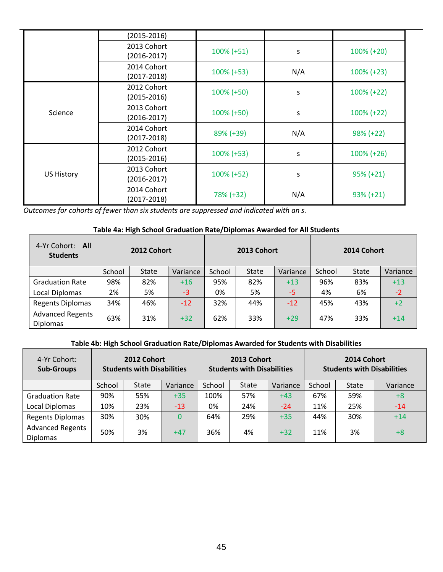|                   | $(2015 - 2016)$                |                    |     |               |
|-------------------|--------------------------------|--------------------|-----|---------------|
|                   | 2013 Cohort<br>(2016-2017)     | $100\% (+51)$<br>S |     | $100\% (+20)$ |
|                   | 2014 Cohort<br>$(2017 - 2018)$ | $100\% (+53)$      | N/A | $100\% (+23)$ |
| Science           | 2012 Cohort<br>$(2015 - 2016)$ | $100\% (+50)$      | s   | $100\% (+22)$ |
|                   | 2013 Cohort<br>(2016-2017)     | $100\%$ (+50)      | S   | $100\% (+22)$ |
|                   | 2014 Cohort<br>$(2017 - 2018)$ | 89% (+39)          | N/A | $98\% (+22)$  |
|                   | 2012 Cohort<br>$(2015 - 2016)$ | $100\% (+53)$      | S   | $100\% (+26)$ |
| <b>US History</b> | 2013 Cohort<br>$(2016 - 2017)$ | 100% (+52)         | S   | $95\% (+21)$  |
|                   | 2014 Cohort<br>(2017-2018)     | 78% (+32)          | N/A | $93\% (+21)$  |

*Outcomes for cohorts of fewer than six students are suppressed and indicated with an s.*

## **Table 4a: High School Graduation Rate/Diplomas Awarded for All Students**

| 4-Yr Cohort: All<br><b>Students</b>        | 2012 Cohort |       |          | 2013 Cohort |       |          | 2014 Cohort |              |          |
|--------------------------------------------|-------------|-------|----------|-------------|-------|----------|-------------|--------------|----------|
|                                            | School      | State | Variance | School      | State | Variance | School      | <b>State</b> | Variance |
| <b>Graduation Rate</b>                     | 98%         | 82%   | $+16$    | 95%         | 82%   | $+13$    | 96%         | 83%          | $+13$    |
| Local Diplomas                             | 2%          | 5%    | $-3$     | 0%          | 5%    | $-5$     | 4%          | 6%           | $-2$     |
| <b>Regents Diplomas</b>                    | 34%         | 46%   | $-12$    | 32%         | 44%   | $-12$    | 45%         | 43%          | $+2$     |
| <b>Advanced Regents</b><br><b>Diplomas</b> | 63%         | 31%   | $+32$    | 62%         | 33%   | $+29$    | 47%         | 33%          | $+14$    |

# **Table 4b: High School Graduation Rate/Diplomas Awarded for Students with Disabilities**

| 4-Yr Cohort:<br><b>Sub-Groups</b>          | 2012 Cohort<br><b>Students with Disabilities</b> |              |          | 2013 Cohort<br><b>Students with Disabilities</b> |              |          | 2014 Cohort<br><b>Students with Disabilities</b> |              |          |
|--------------------------------------------|--------------------------------------------------|--------------|----------|--------------------------------------------------|--------------|----------|--------------------------------------------------|--------------|----------|
|                                            | School                                           | <b>State</b> | Variance | School                                           | <b>State</b> | Variance | School                                           | <b>State</b> | Variance |
| <b>Graduation Rate</b>                     | 90%                                              | 55%          | $+35$    | 100%                                             | 57%          | $+43$    | 67%                                              | 59%          | $+8$     |
| <b>Local Diplomas</b>                      | 10%                                              | 23%          | $-13$    | 0%                                               | 24%          | $-24$    | 11%                                              | 25%          | $-14$    |
| <b>Regents Diplomas</b>                    | 30%                                              | 30%          |          | 64%                                              | 29%          | $+35$    | 44%                                              | 30%          | $+14$    |
| <b>Advanced Regents</b><br><b>Diplomas</b> | 50%                                              | 3%           | $+47$    | 36%                                              | 4%           | $+32$    | 11%                                              | 3%           | $+8$     |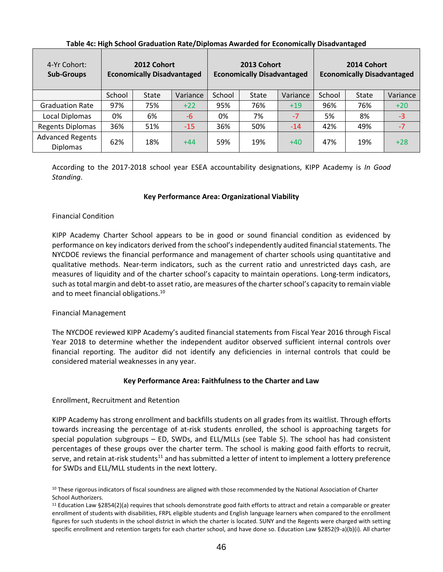| 4-Yr Cohort:<br><b>Sub-Groups</b>          | 2012 Cohort<br><b>Economically Disadvantaged</b> |              |          | 2013 Cohort<br><b>Economically Disadvantaged</b> |       |          | 2014 Cohort<br><b>Economically Disadvantaged</b> |              |          |
|--------------------------------------------|--------------------------------------------------|--------------|----------|--------------------------------------------------|-------|----------|--------------------------------------------------|--------------|----------|
|                                            | School                                           | <b>State</b> | Variance | School                                           | State | Variance | School                                           | <b>State</b> | Variance |
| <b>Graduation Rate</b>                     | 97%                                              | 75%          | $+22$    | 95%                                              | 76%   | $+19$    | 96%                                              | 76%          | $+20$    |
| Local Diplomas                             | 0%                                               | 6%           | -6       | 0%                                               | 7%    | $-7$     | 5%                                               | 8%           | $-3$     |
| <b>Regents Diplomas</b>                    | 36%                                              | 51%          | $-15$    | 36%                                              | 50%   | $-14$    | 42%                                              | 49%          | $-7$     |
| <b>Advanced Regents</b><br><b>Diplomas</b> | 62%                                              | 18%          | $+44$    | 59%                                              | 19%   | $+40$    | 47%                                              | 19%          | $+28$    |

# **Table 4c: High School Graduation Rate/Diplomas Awarded for Economically Disadvantaged**

According to the 2017-2018 school year ESEA accountability designations, KIPP Academy is *In Good Standing*.

### **Key Performance Area: Organizational Viability**

#### Financial Condition

KIPP Academy Charter School appears to be in good or sound financial condition as evidenced by performance on key indicators derived from the school's independently audited financial statements. The NYCDOE reviews the financial performance and management of charter schools using quantitative and qualitative methods. Near‐term indicators, such as the current ratio and unrestricted days cash, are measures of liquidity and of the charter school's capacity to maintain operations. Long-term indicators, such as total margin and debt‐to asset ratio, are measures of the charter school's capacity to remain viable and to meet financial obligations.<sup>10</sup>

### Financial Management

The NYCDOE reviewed KIPP Academy's audited financial statements from Fiscal Year 2016 through Fiscal Year 2018 to determine whether the independent auditor observed sufficient internal controls over financial reporting. The auditor did not identify any deficiencies in internal controls that could be considered material weaknesses in any year.

### **Key Performance Area: Faithfulness to the Charter and Law**

### Enrollment, Recruitment and Retention

KIPP Academy has strong enrollment and backfills students on all grades from its waitlist. Through efforts towards increasing the percentage of at-risk students enrolled, the school is approaching targets for special population subgroups – ED, SWDs, and ELL/MLLs (see Table 5). The school has had consistent percentages of these groups over the charter term. The school is making good faith efforts to recruit, serve, and retain at-risk students<sup>11</sup> and has submitted a letter of intent to implement a lottery preference for SWDs and ELL/MLL students in the next lottery.

<sup>&</sup>lt;sup>10</sup> These rigorous indicators of fiscal soundness are aligned with those recommended by the National Association of Charter School Authorizers.

 $11$  Education Law §2854(2)(a) requires that schools demonstrate good faith efforts to attract and retain a comparable or greater enrollment of students with disabilities, FRPL eligible students and English language learners when compared to the enrollment figures for such students in the school district in which the charter is located. SUNY and the Regents were charged with setting specific enrollment and retention targets for each charter school, and have done so. Education Law §2852(9-a)(b)(i). All charter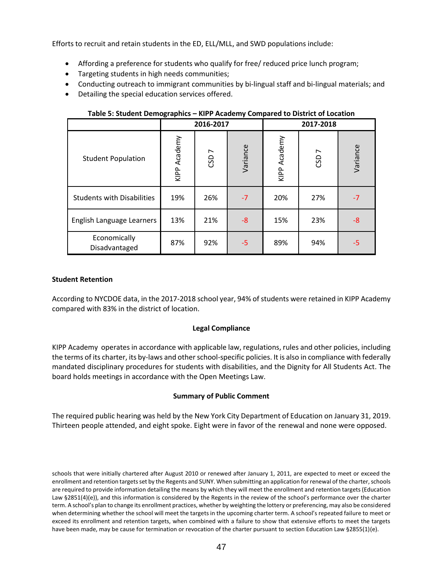Efforts to recruit and retain students in the ED, ELL/MLL, and SWD populations include:

- Affording a preference for students who qualify for free/ reduced price lunch program;
- Targeting students in high needs communities;
- Conducting outreach to immigrant communities by bi-lingual staff and bi-lingual materials; and
- Detailing the special education services offered.

| Table 5. Student Demographies<br><b>KIFF ACQUEING COMPAIGN TO DISTRICT OF LOCATION</b> |              |                  |          |              |                  |          |  |
|----------------------------------------------------------------------------------------|--------------|------------------|----------|--------------|------------------|----------|--|
|                                                                                        |              | 2016-2017        |          | 2017-2018    |                  |          |  |
| <b>Student Population</b>                                                              | KIPP Academy | CSD <sub>7</sub> | Variance | KIPP Academy | CSD <sub>7</sub> | Variance |  |
| <b>Students with Disabilities</b>                                                      | 19%          | 26%              | $-7$     | 20%          | 27%              | $-7$     |  |
| English Language Learners                                                              | 13%          | 21%              | $-8$     | 15%          | 23%              | -8       |  |
| Economically<br>Disadvantaged                                                          | 87%          | 92%              | $-5$     | 89%          | 94%              | -5       |  |

**Table 5: Student Demographics – KIPP Academy Compared to District of Location**

#### **Student Retention**

According to NYCDOE data, in the 2017-2018 school year, 94% of students were retained in KIPP Academy compared with 83% in the district of location.

### **Legal Compliance**

KIPP Academy operates in accordance with applicable law, regulations, rules and other policies, including the terms of its charter, its by-laws and other school-specific policies. It is also in compliance with federally mandated disciplinary procedures for students with disabilities, and the Dignity for All Students Act. The board holds meetings in accordance with the Open Meetings Law.

### **Summary of Public Comment**

The required public hearing was held by the New York City Department of Education on January 31, 2019. Thirteen people attended, and eight spoke. Eight were in favor of the renewal and none were opposed.

schools that were initially chartered after August 2010 or renewed after January 1, 2011, are expected to meet or exceed the enrollment and retention targets set by the Regents and SUNY. When submitting an application for renewal of the charter, schools are required to provide information detailing the means by which they will meet the enrollment and retention targets (Education Law §2851(4)(e)), and this information is considered by the Regents in the review of the school's performance over the charter term. A school's plan to change its enrollment practices, whether by weighting the lottery or preferencing, may also be considered when determining whether the school will meet the targets in the upcoming charter term. A school's repeated failure to meet or exceed its enrollment and retention targets, when combined with a failure to show that extensive efforts to meet the targets have been made, may be cause for termination or revocation of the charter pursuant to section Education Law §2855(1)(e).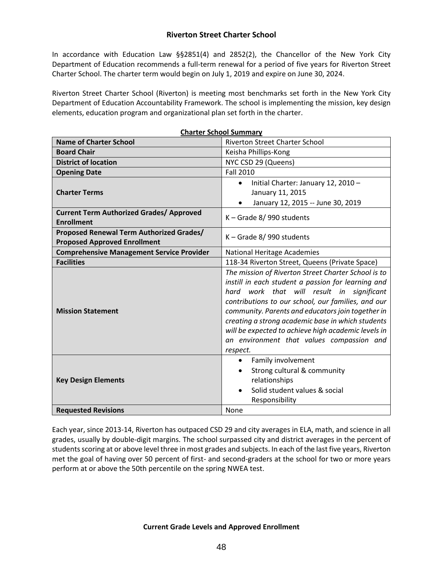In accordance with Education Law §§2851(4) and 2852(2), the Chancellor of the New York City Department of Education recommends a full-term renewal for a period of five years for Riverton Street Charter School. The charter term would begin on July 1, 2019 and expire on June 30, 2024.

Riverton Street Charter School (Riverton) is meeting most benchmarks set forth in the New York City Department of Education Accountability Framework. The school is implementing the mission, key design elements, education program and organizational plan set forth in the charter.

|                                                                                 | <b>Charter School Summary</b>                                                                                                                                                                                                                                                                                                                                                                                                          |  |  |  |  |
|---------------------------------------------------------------------------------|----------------------------------------------------------------------------------------------------------------------------------------------------------------------------------------------------------------------------------------------------------------------------------------------------------------------------------------------------------------------------------------------------------------------------------------|--|--|--|--|
| <b>Name of Charter School</b>                                                   | <b>Riverton Street Charter School</b>                                                                                                                                                                                                                                                                                                                                                                                                  |  |  |  |  |
| <b>Board Chair</b>                                                              | Keisha Phillips-Kong                                                                                                                                                                                                                                                                                                                                                                                                                   |  |  |  |  |
| <b>District of location</b>                                                     | NYC CSD 29 (Queens)                                                                                                                                                                                                                                                                                                                                                                                                                    |  |  |  |  |
| <b>Opening Date</b>                                                             | <b>Fall 2010</b>                                                                                                                                                                                                                                                                                                                                                                                                                       |  |  |  |  |
| <b>Charter Terms</b>                                                            | Initial Charter: January 12, 2010 -<br>$\bullet$<br>January 11, 2015<br>January 12, 2015 -- June 30, 2019                                                                                                                                                                                                                                                                                                                              |  |  |  |  |
| <b>Current Term Authorized Grades/ Approved</b><br><b>Enrollment</b>            | K - Grade 8/990 students                                                                                                                                                                                                                                                                                                                                                                                                               |  |  |  |  |
| Proposed Renewal Term Authorized Grades/<br><b>Proposed Approved Enrollment</b> | K - Grade 8/990 students                                                                                                                                                                                                                                                                                                                                                                                                               |  |  |  |  |
| <b>Comprehensive Management Service Provider</b>                                | <b>National Heritage Academies</b>                                                                                                                                                                                                                                                                                                                                                                                                     |  |  |  |  |
| <b>Facilities</b>                                                               | 118-34 Riverton Street, Queens (Private Space)                                                                                                                                                                                                                                                                                                                                                                                         |  |  |  |  |
| <b>Mission Statement</b>                                                        | The mission of Riverton Street Charter School is to<br>instill in each student a passion for learning and<br>hard work that will result in significant<br>contributions to our school, our families, and our<br>community. Parents and educators join together in<br>creating a strong academic base in which students<br>will be expected to achieve high academic levels in<br>an environment that values compassion and<br>respect. |  |  |  |  |
| <b>Key Design Elements</b>                                                      | Family involvement<br>$\bullet$<br>Strong cultural & community<br>$\bullet$<br>relationships<br>Solid student values & social<br>$\bullet$<br>Responsibility                                                                                                                                                                                                                                                                           |  |  |  |  |
| <b>Requested Revisions</b>                                                      | None                                                                                                                                                                                                                                                                                                                                                                                                                                   |  |  |  |  |

Each year, since 2013-14, Riverton has outpaced CSD 29 and city averages in ELA, math, and science in all grades, usually by double-digit margins. The school surpassed city and district averages in the percent of students scoring at or above level three in most grades and subjects. In each of the last five years, Riverton met the goal of having over 50 percent of first- and second-graders at the school for two or more years perform at or above the 50th percentile on the spring NWEA test.

### **Current Grade Levels and Approved Enrollment**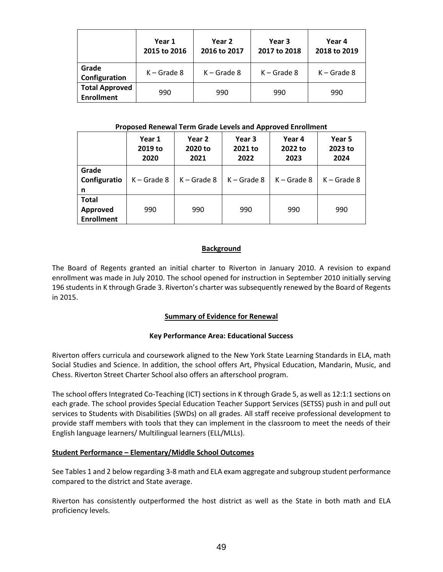|                                            | Year 1<br>2015 to 2016 | Year 2<br>2016 to 2017 | Year 3<br>2017 to 2018 | Year 4<br>2018 to 2019 |
|--------------------------------------------|------------------------|------------------------|------------------------|------------------------|
| Grade<br>Configuration                     | $K -$ Grade 8          | $K -$ Grade 8          | $K -$ Grade 8          | $K -$ Grade 8          |
| <b>Total Approved</b><br><b>Enrollment</b> | 990                    | 990                    | 990                    | 990                    |

#### **Proposed Renewal Term Grade Levels and Approved Enrollment**

|                                               | Year 1<br>2019 to<br>2020 | Year 2<br>2020 to<br>2021 | Year 3<br>2021 to<br>2022 | Year 4<br>2022 to<br>2023 | Year 5<br>2023 to<br>2024 |  |
|-----------------------------------------------|---------------------------|---------------------------|---------------------------|---------------------------|---------------------------|--|
| Grade<br>Configuratio<br>n                    | $K -$ Grade 8             | $K -$ Grade 8             | $K -$ Grade 8             | $K -$ Grade 8             | $K -$ Grade 8             |  |
| <b>Total</b><br>Approved<br><b>Enrollment</b> | 990                       | 990                       | 990                       | 990                       | 990                       |  |

## **Background**

The Board of Regents granted an initial charter to Riverton in January 2010. A revision to expand enrollment was made in July 2010. The school opened for instruction in September 2010 initially serving 196 students in K through Grade 3. Riverton's charter was subsequently renewed by the Board of Regents in 2015.

# **Summary of Evidence for Renewal**

### **Key Performance Area: Educational Success**

Riverton offers curricula and coursework aligned to the New York State Learning Standards in ELA, math Social Studies and Science. In addition, the school offers Art, Physical Education, Mandarin, Music, and Chess. Riverton Street Charter School also offers an afterschool program.

The school offers Integrated Co-Teaching (ICT) sections in K through Grade 5, as well as 12:1:1 sections on each grade. The school provides Special Education Teacher Support Services (SETSS) push in and pull out services to Students with Disabilities (SWDs) on all grades. All staff receive professional development to provide staff members with tools that they can implement in the classroom to meet the needs of their English language learners/ Multilingual learners (ELL/MLLs).

### **Student Performance – Elementary/Middle School Outcomes**

See Tables 1 and 2 below regarding 3-8 math and ELA exam aggregate and subgroup student performance compared to the district and State average.

Riverton has consistently outperformed the host district as well as the State in both math and ELA proficiency levels.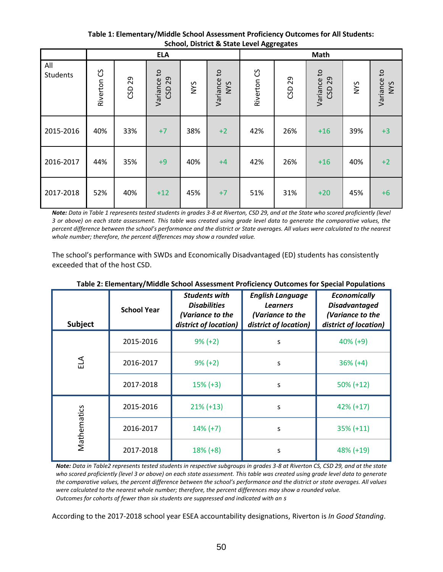**Table 1: Elementary/Middle School Assessment Proficiency Outcomes for All Students: School, District & State Level Aggregates**

|                 | <b>ELA</b>             |           |                          |            |                                 |                        | Math      |                          |            |                    |
|-----------------|------------------------|-----------|--------------------------|------------|---------------------------------|------------------------|-----------|--------------------------|------------|--------------------|
| All<br>Students | Riverton <sub>CS</sub> | 29<br>GSD | Variance to<br>29<br>CSD | <b>NYS</b> | $\mathsf{G}$<br>Variance<br>NYS | Riverton <sub>CS</sub> | 29<br>CSD | Variance to<br>29<br>CSD | <b>NYS</b> | Variance to<br>NYS |
| 2015-2016       | 40%                    | 33%       | $+7$                     | 38%        | $+2$                            | 42%                    | 26%       | $+16$                    | 39%        | $+3$               |
| 2016-2017       | 44%                    | 35%       | $+9$                     | 40%        | $+4$                            | 42%                    | 26%       | $+16$                    | 40%        | $+2$               |
| 2017-2018       | 52%                    | 40%       | $+12$                    | 45%        | $+7$                            | 51%                    | 31%       | $+20$                    | 45%        | $+6$               |

*Note: Data in Table 1 represents tested students in grades 3-8 at Riverton, CSD 29, and at the State who scored proficiently (level 3 or above) on each state assessment. This table was created using grade level data to generate the comparative values, the percent difference between the school's performance and the district or State averages. All values were calculated to the nearest whole number; therefore, the percent differences may show a rounded value.*

The school's performance with SWDs and Economically Disadvantaged (ED) students has consistently exceeded that of the host CSD.

| Subject     | <b>School Year</b> | <b>Students with</b><br><b>Disabilities</b><br>(Variance to the<br>district of location) | <b>English Language</b><br><b>Learners</b><br>(Variance to the<br>district of location) | <b>Economically</b><br><b>Disadvantaged</b><br>(Variance to the<br>district of location) |
|-------------|--------------------|------------------------------------------------------------------------------------------|-----------------------------------------------------------------------------------------|------------------------------------------------------------------------------------------|
|             | 2015-2016          | $9\% (+2)$                                                                               | S                                                                                       | $40\% (+9)$                                                                              |
| ELA         | 2016-2017          | $9\% (+2)$                                                                               | S                                                                                       | $36\% (+4)$                                                                              |
|             | 2017-2018          | $15\% (+3)$                                                                              | S                                                                                       | $50\% (+12)$                                                                             |
|             | 2015-2016          | $21\% (+13)$                                                                             | S                                                                                       | $42\% (+17)$                                                                             |
| Mathematics | 2016-2017          | $14\% (+7)$                                                                              | S                                                                                       | $35\% (+11)$                                                                             |
|             | 2017-2018          | $18% (+8)$                                                                               | S                                                                                       | 48% (+19)                                                                                |

**Table 2: Elementary/Middle School Assessment Proficiency Outcomes for Special Populations**

*Note: Data in Table2 represents tested students in respective subgroups in grades 3-8 at Riverton CS, CSD 29, and at the state who scored proficiently (level 3 or above) on each state assessment. This table was created using grade level data to generate the comparative values, the percent difference between the school's performance and the district or state averages. All values were calculated to the nearest whole number; therefore, the percent differences may show a rounded value. Outcomes for cohorts of fewer than six students are suppressed and indicated with an s*

According to the 2017-2018 school year ESEA accountability designations, Riverton is *In Good Standing*.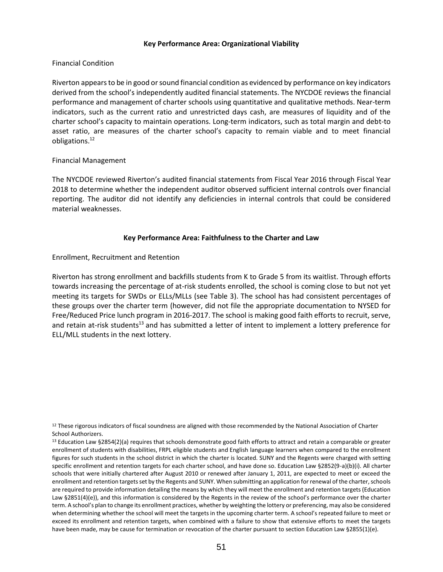#### **Key Performance Area: Organizational Viability**

## Financial Condition

Riverton appearsto be in good or sound financial condition as evidenced by performance on key indicators derived from the school's independently audited financial statements. The NYCDOE reviews the financial performance and management of charter schools using quantitative and qualitative methods. Near‐term indicators, such as the current ratio and unrestricted days cash, are measures of liquidity and of the charter school's capacity to maintain operations. Long‐term indicators, such as total margin and debt‐to asset ratio, are measures of the charter school's capacity to remain viable and to meet financial obligations.<sup>12</sup>

### Financial Management

The NYCDOE reviewed Riverton's audited financial statements from Fiscal Year 2016 through Fiscal Year 2018 to determine whether the independent auditor observed sufficient internal controls over financial reporting. The auditor did not identify any deficiencies in internal controls that could be considered material weaknesses.

### **Key Performance Area: Faithfulness to the Charter and Law**

Enrollment, Recruitment and Retention

Riverton has strong enrollment and backfills students from K to Grade 5 from its waitlist. Through efforts towards increasing the percentage of at-risk students enrolled, the school is coming close to but not yet meeting its targets for SWDs or ELLs/MLLs (see Table 3). The school has had consistent percentages of these groups over the charter term (however, did not file the appropriate documentation to NYSED for Free/Reduced Price lunch program in 2016-2017. The school is making good faith efforts to recruit, serve, and retain at-risk students<sup>13</sup> and has submitted a letter of intent to implement a lottery preference for ELL/MLL students in the next lottery.

<sup>&</sup>lt;sup>12</sup> These rigorous indicators of fiscal soundness are aligned with those recommended by the National Association of Charter School Authorizers.

<sup>13</sup> Education Law §2854(2)(a) requires that schools demonstrate good faith efforts to attract and retain a comparable or greater enrollment of students with disabilities, FRPL eligible students and English language learners when compared to the enrollment figures for such students in the school district in which the charter is located. SUNY and the Regents were charged with setting specific enrollment and retention targets for each charter school, and have done so. Education Law §2852(9-a)(b)(i). All charter schools that were initially chartered after August 2010 or renewed after January 1, 2011, are expected to meet or exceed the enrollment and retention targets set by the Regents and SUNY. When submitting an application for renewal of the charter, schools are required to provide information detailing the means by which they will meet the enrollment and retention targets (Education Law §2851(4)(e)), and this information is considered by the Regents in the review of the school's performance over the charter term. A school's plan to change its enrollment practices, whether by weighting the lottery or preferencing, may also be considered when determining whether the school will meet the targets in the upcoming charter term. A school's repeated failure to meet or exceed its enrollment and retention targets, when combined with a failure to show that extensive efforts to meet the targets have been made, may be cause for termination or revocation of the charter pursuant to section Education Law §2855(1)(e).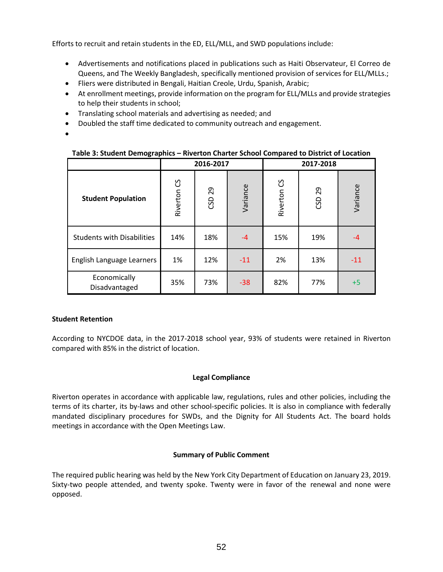Efforts to recruit and retain students in the ED, ELL/MLL, and SWD populations include:

- Advertisements and notifications placed in publications such as Haiti Observateur, El Correo de Queens, and The Weekly Bangladesh, specifically mentioned provision of services for ELL/MLLs.;
- Fliers were distributed in Bengali, Haitian Creole, Urdu, Spanish, Arabic;
- At enrollment meetings, provide information on the program for ELL/MLLs and provide strategies to help their students in school;
- Translating school materials and advertising as needed; and
- Doubled the staff time dedicated to community outreach and engagement.
- •

| Table 3: Student Demographics - Riverton Charter School Compared to District of Location |  |
|------------------------------------------------------------------------------------------|--|
|------------------------------------------------------------------------------------------|--|

|                                   |                        | 2016-2017 |          |                        | 2017-2018 |          |
|-----------------------------------|------------------------|-----------|----------|------------------------|-----------|----------|
| <b>Student Population</b>         | Riverton <sub>CS</sub> | 29<br>CSD | Variance | Riverton <sub>CS</sub> | 29<br>GD  | Variance |
| <b>Students with Disabilities</b> | 14%                    | 18%       | $-4$     | 15%                    | 19%       | $-4$     |
| English Language Learners         | 1%                     | 12%       | $-11$    | 2%                     | 13%       | $-11$    |
| Economically<br>Disadvantaged     | 35%                    | 73%       | $-38$    | 82%                    | 77%       | $+5$     |

### **Student Retention**

According to NYCDOE data, in the 2017-2018 school year, 93% of students were retained in Riverton compared with 85% in the district of location.

### **Legal Compliance**

Riverton operates in accordance with applicable law, regulations, rules and other policies, including the terms of its charter, its by-laws and other school-specific policies. It is also in compliance with federally mandated disciplinary procedures for SWDs, and the Dignity for All Students Act. The board holds meetings in accordance with the Open Meetings Law.

#### **Summary of Public Comment**

The required public hearing was held by the New York City Department of Education on January 23, 2019. Sixty-two people attended, and twenty spoke. Twenty were in favor of the renewal and none were opposed.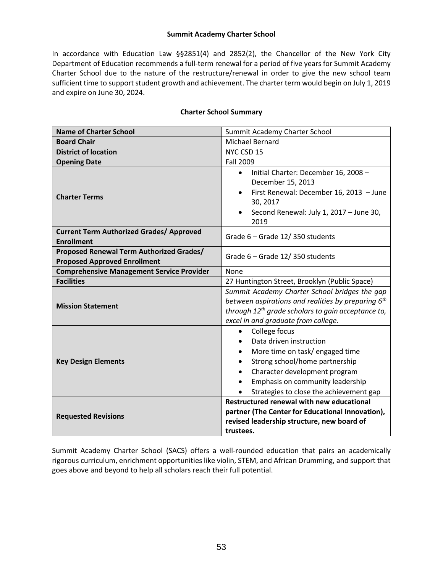# **Summit Academy Charter School**

In accordance with Education Law §§2851(4) and 2852(2), the Chancellor of the New York City Department of Education recommends a full-term renewal for a period of five years for Summit Academy Charter School due to the nature of the restructure/renewal in order to give the new school team sufficient time to support student growth and achievement. The charter term would begin on July 1, 2019 and expire on June 30, 2024.

| <b>Name of Charter School</b>                                                   | Summit Academy Charter School                                                                                                                                                                                                                                                    |
|---------------------------------------------------------------------------------|----------------------------------------------------------------------------------------------------------------------------------------------------------------------------------------------------------------------------------------------------------------------------------|
| <b>Board Chair</b>                                                              | <b>Michael Bernard</b>                                                                                                                                                                                                                                                           |
| <b>District of location</b>                                                     | NYC CSD 15                                                                                                                                                                                                                                                                       |
| <b>Opening Date</b>                                                             | <b>Fall 2009</b>                                                                                                                                                                                                                                                                 |
| <b>Charter Terms</b>                                                            | Initial Charter: December 16, 2008 -<br>$\bullet$<br>December 15, 2013<br>First Renewal: December 16, 2013 - June<br>$\bullet$<br>30, 2017<br>Second Renewal: July 1, 2017 - June 30,<br>2019                                                                                    |
| <b>Current Term Authorized Grades/ Approved</b><br><b>Enrollment</b>            | Grade 6 - Grade 12/350 students                                                                                                                                                                                                                                                  |
| Proposed Renewal Term Authorized Grades/<br><b>Proposed Approved Enrollment</b> | Grade 6 - Grade 12/350 students                                                                                                                                                                                                                                                  |
| <b>Comprehensive Management Service Provider</b>                                | None                                                                                                                                                                                                                                                                             |
| <b>Facilities</b>                                                               | 27 Huntington Street, Brooklyn (Public Space)                                                                                                                                                                                                                                    |
| <b>Mission Statement</b>                                                        | Summit Academy Charter School bridges the gap<br>between aspirations and realities by preparing $6th$<br>through 12 <sup>th</sup> grade scholars to gain acceptance to,<br>excel in and graduate from college.                                                                   |
| <b>Key Design Elements</b>                                                      | College focus<br>$\bullet$<br>Data driven instruction<br>More time on task/engaged time<br>$\bullet$<br>Strong school/home partnership<br>$\bullet$<br>Character development program<br>$\bullet$<br>Emphasis on community leadership<br>Strategies to close the achievement gap |
| <b>Requested Revisions</b>                                                      | <b>Restructured renewal with new educational</b><br>partner (The Center for Educational Innovation),<br>revised leadership structure, new board of<br>trustees.                                                                                                                  |

### **Charter School Summary**

Summit Academy Charter School (SACS) offers a well-rounded education that pairs an academically rigorous curriculum, enrichment opportunities like violin, STEM, and African Drumming, and support that goes above and beyond to help all scholars reach their full potential.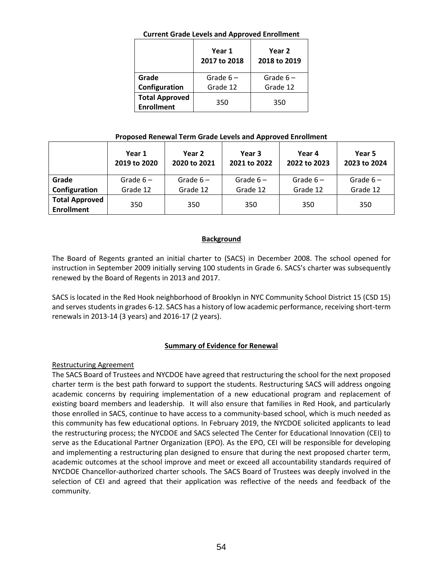### **Current Grade Levels and Approved Enrollment**

|                                            | Year 1<br>2017 to 2018 | Year 2<br>2018 to 2019 |
|--------------------------------------------|------------------------|------------------------|
| Grade                                      | Grade $6-$             | Grade $6-$             |
| Configuration                              | Grade 12               | Grade 12               |
| <b>Total Approved</b><br><b>Enrollment</b> | 350                    | 350                    |

### **Proposed Renewal Term Grade Levels and Approved Enrollment**

|                                            | Year 1<br>2019 to 2020 | Year 2<br>2020 to 2021 | Year 3<br>2021 to 2022 | Year 4<br>2022 to 2023 | Year 5<br>2023 to 2024 |
|--------------------------------------------|------------------------|------------------------|------------------------|------------------------|------------------------|
| Grade                                      | Grade $6-$             | Grade $6-$             | Grade $6-$             | Grade $6-$             | Grade $6-$             |
| Configuration                              | Grade 12               | Grade 12               | Grade 12               | Grade 12               | Grade 12               |
| <b>Total Approved</b><br><b>Enrollment</b> | 350                    | 350                    | 350                    | 350                    | 350                    |

## **Background**

The Board of Regents granted an initial charter to (SACS) in December 2008. The school opened for instruction in September 2009 initially serving 100 students in Grade 6. SACS's charter was subsequently renewed by the Board of Regents in 2013 and 2017.

SACS is located in the Red Hook neighborhood of Brooklyn in NYC Community School District 15 (CSD 15) and serves students in grades 6-12. SACS has a history of low academic performance, receiving short-term renewals in 2013-14 (3 years) and 2016-17 (2 years).

# **Summary of Evidence for Renewal**

### Restructuring Agreement

The SACS Board of Trustees and NYCDOE have agreed that restructuring the school for the next proposed charter term is the best path forward to support the students. Restructuring SACS will address ongoing academic concerns by requiring implementation of a new educational program and replacement of existing board members and leadership. It will also ensure that families in Red Hook, and particularly those enrolled in SACS, continue to have access to a community-based school, which is much needed as this community has few educational options. In February 2019, the NYCDOE solicited applicants to lead the restructuring process; the NYCDOE and SACS selected The Center for Educational Innovation (CEI) to serve as the Educational Partner Organization (EPO). As the EPO, CEI will be responsible for developing and implementing a restructuring plan designed to ensure that during the next proposed charter term, academic outcomes at the school improve and meet or exceed all accountability standards required of NYCDOE Chancellor-authorized charter schools. The SACS Board of Trustees was deeply involved in the selection of CEI and agreed that their application was reflective of the needs and feedback of the community.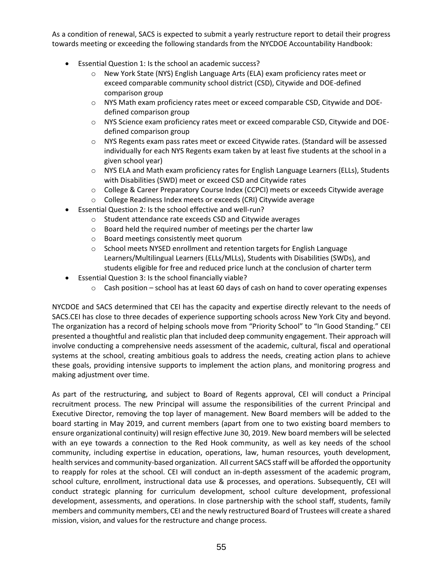As a condition of renewal, SACS is expected to submit a yearly restructure report to detail their progress towards meeting or exceeding the following standards from the NYCDOE Accountability Handbook:

- Essential Question 1: Is the school an academic success?
	- o New York State (NYS) English Language Arts (ELA) exam proficiency rates meet or exceed comparable community school district (CSD), Citywide and DOE-defined comparison group
	- o NYS Math exam proficiency rates meet or exceed comparable CSD, Citywide and DOEdefined comparison group
	- o NYS Science exam proficiency rates meet or exceed comparable CSD, Citywide and DOEdefined comparison group
	- o NYS Regents exam pass rates meet or exceed Citywide rates. (Standard will be assessed individually for each NYS Regents exam taken by at least five students at the school in a given school year)
	- $\circ$  NYS ELA and Math exam proficiency rates for English Language Learners (ELLs), Students with Disabilities (SWD) meet or exceed CSD and Citywide rates
	- o College & Career Preparatory Course Index (CCPCI) meets or exceeds Citywide average
	- o College Readiness Index meets or exceeds (CRI) Citywide average
- Essential Question 2: Is the school effective and well-run?
	- o Student attendance rate exceeds CSD and Citywide averages
	- o Board held the required number of meetings per the charter law
	- o Board meetings consistently meet quorum
	- o School meets NYSED enrollment and retention targets for English Language Learners/Multilingual Learners (ELLs/MLLs), Students with Disabilities (SWDs), and students eligible for free and reduced price lunch at the conclusion of charter term
- Essential Question 3: Is the school financially viable?
	- $\circ$  Cash position school has at least 60 days of cash on hand to cover operating expenses

NYCDOE and SACS determined that CEI has the capacity and expertise directly relevant to the needs of SACS.CEI has close to three decades of experience supporting schools across New York City and beyond. The organization has a record of helping schools move from "Priority School" to "In Good Standing." CEI presented a thoughtful and realistic plan that included deep community engagement. Their approach will involve conducting a comprehensive needs assessment of the academic, cultural, fiscal and operational systems at the school, creating ambitious goals to address the needs, creating action plans to achieve these goals, providing intensive supports to implement the action plans, and monitoring progress and making adjustment over time.

As part of the restructuring, and subject to Board of Regents approval, CEI will conduct a Principal recruitment process. The new Principal will assume the responsibilities of the current Principal and Executive Director, removing the top layer of management. New Board members will be added to the board starting in May 2019, and current members (apart from one to two existing board members to ensure organizational continuity) will resign effective June 30, 2019. New board members will be selected with an eye towards a connection to the Red Hook community, as well as key needs of the school community, including expertise in education, operations, law, human resources, youth development, health services and community-based organization. All current SACS staff will be afforded the opportunity to reapply for roles at the school. CEI will conduct an in-depth assessment of the academic program, school culture, enrollment, instructional data use & processes, and operations. Subsequently, CEI will conduct strategic planning for curriculum development, school culture development, professional development, assessments, and operations. In close partnership with the school staff, students, family members and community members, CEI and the newly restructured Board of Trustees will create a shared mission, vision, and values for the restructure and change process.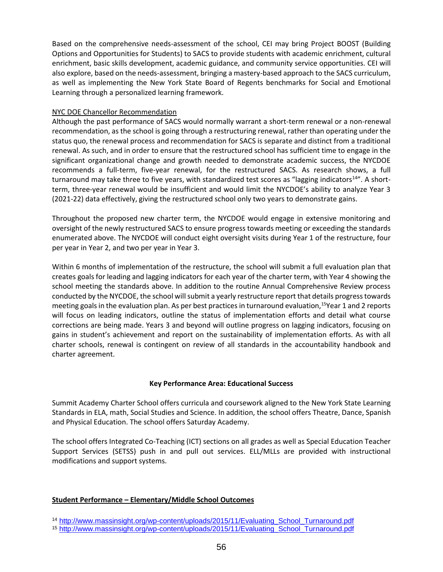Based on the comprehensive needs-assessment of the school, CEI may bring Project BOOST (Building Options and Opportunities for Students) to SACS to provide students with academic enrichment, cultural enrichment, basic skills development, academic guidance, and community service opportunities. CEI will also explore, based on the needs-assessment, bringing a mastery-based approach to the SACS curriculum, as well as implementing the New York State Board of Regents benchmarks for Social and Emotional Learning through a personalized learning framework.

### NYC DOE Chancellor Recommendation

Although the past performance of SACS would normally warrant a short-term renewal or a non-renewal recommendation, as the school is going through a restructuring renewal, rather than operating under the status quo, the renewal process and recommendation for SACS is separate and distinct from a traditional renewal. As such, and in order to ensure that the restructured school has sufficient time to engage in the significant organizational change and growth needed to demonstrate academic success, the NYCDOE recommends a full-term, five-year renewal, for the restructured SACS. As research shows, a full turnaround may take three to five years, with standardized test scores as "lagging indicators<sup>14</sup>". A shortterm, three-year renewal would be insufficient and would limit the NYCDOE's ability to analyze Year 3 (2021-22) data effectively, giving the restructured school only two years to demonstrate gains.

Throughout the proposed new charter term, the NYCDOE would engage in extensive monitoring and oversight of the newly restructured SACS to ensure progress towards meeting or exceeding the standards enumerated above. The NYCDOE will conduct eight oversight visits during Year 1 of the restructure, four per year in Year 2, and two per year in Year 3.

Within 6 months of implementation of the restructure, the school will submit a full evaluation plan that creates goals for leading and lagging indicators for each year of the charter term, with Year 4 showing the school meeting the standards above. In addition to the routine Annual Comprehensive Review process conducted by the NYCDOE, the school will submit a yearly restructure report that details progress towards meeting goals in the evaluation plan. As per best practices in turnaround evaluation,<sup>15</sup>Year 1 and 2 reports will focus on leading indicators, outline the status of implementation efforts and detail what course corrections are being made. Years 3 and beyond will outline progress on lagging indicators, focusing on gains in student's achievement and report on the sustainability of implementation efforts. As with all charter schools, renewal is contingent on review of all standards in the accountability handbook and charter agreement.

# **Key Performance Area: Educational Success**

Summit Academy Charter School offers curricula and coursework aligned to the New York State Learning Standards in ELA, math, Social Studies and Science. In addition, the school offers Theatre, Dance, Spanish and Physical Education. The school offers Saturday Academy.

The school offers Integrated Co-Teaching (ICT) sections on all grades as well as Special Education Teacher Support Services (SETSS) push in and pull out services. ELL/MLLs are provided with instructional modifications and support systems.

### **Student Performance – Elementary/Middle School Outcomes**

<sup>14</sup> [http://www.massinsight.org/wp-content/uploads/2015/11/Evaluating\\_School\\_Turnaround.pdf](http://www.massinsight.org/wp-content/uploads/2015/11/Evaluating_School_Turnaround.pdf)

<sup>15</sup> [http://www.massinsight.org/wp-content/uploads/2015/11/Evaluating\\_School\\_Turnaround.pdf](http://www.massinsight.org/wp-content/uploads/2015/11/Evaluating_School_Turnaround.pdf)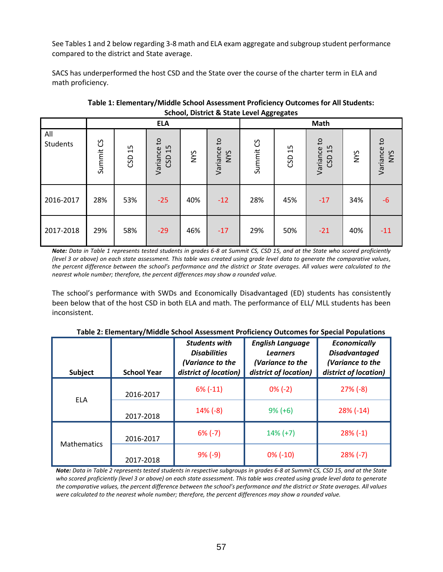See Tables 1 and 2 below regarding 3-8 math and ELA exam aggregate and subgroup student performance compared to the district and State average.

SACS has underperformed the host CSD and the State over the course of the charter term in ELA and math proficiency.

|                 | Scribbi, District & State Lever Aggregates |           |                             |            |                                        |           |           |                                         |     |                           |
|-----------------|--------------------------------------------|-----------|-----------------------------|------------|----------------------------------------|-----------|-----------|-----------------------------------------|-----|---------------------------|
|                 |                                            |           | <b>ELA</b>                  |            | Math                                   |           |           |                                         |     |                           |
| All<br>Students | Summit CS                                  | 15<br>GSD | S,<br>15<br>Variance<br>CSD | <b>SAN</b> | $\mathsf{c}$<br>Variance<br><b>NYS</b> | Summit CS | 15<br>GSD | $\mathsf{c}_1$<br>15<br>Variance<br>CSD | NYS | Variance to<br><b>NYS</b> |
| 2016-2017       | 28%                                        | 53%       | $-25$                       | 40%        | $-12$                                  | 28%       | 45%       | $-17$                                   | 34% | $-6$                      |
| 2017-2018       | 29%                                        | 58%       | $-29$                       | 46%        | $-17$                                  | 29%       | 50%       | $-21$                                   | 40% | $-11$                     |

**Table 1: Elementary/Middle School Assessment Proficiency Outcomes for All Students: School, District & State Level Aggregates**

*Note: Data in Table 1 represents tested students in grades 6-8 at Summit CS, CSD 15, and at the State who scored proficiently (level 3 or above) on each state assessment. This table was created using grade level data to generate the comparative values, the percent difference between the school's performance and the district or State averages. All values were calculated to the nearest whole number; therefore, the percent differences may show a rounded value.*

The school's performance with SWDs and Economically Disadvantaged (ED) students has consistently been below that of the host CSD in both ELA and math. The performance of ELL/ MLL students has been inconsistent.

| Subject            | <b>School Year</b> | <b>Students with</b><br><b>Disabilities</b><br>(Variance to the<br>district of location) | <b>English Language</b><br><b>Learners</b><br>(Variance to the<br>district of location) | <b>Economically</b><br><b>Disadvantaged</b><br>(Variance to the<br>district of location) |
|--------------------|--------------------|------------------------------------------------------------------------------------------|-----------------------------------------------------------------------------------------|------------------------------------------------------------------------------------------|
| <b>ELA</b>         | 2016-2017          | $6\%$ (-11)                                                                              | $0\% (-2)$                                                                              | $27\%$ (-8)                                                                              |
|                    | 2017-2018          | $14\%$ (-8)                                                                              | $9\% (+6)$                                                                              | $28\%$ (-14)                                                                             |
| <b>Mathematics</b> | 2016-2017          | $6\%$ (-7)                                                                               | $14\% (+7)$                                                                             | $28\%$ (-1)                                                                              |
|                    | 2017-2018          | $9\% (-9)$                                                                               | $0\%$ (-10)                                                                             | $28\%$ (-7)                                                                              |

**Table 2: Elementary/Middle School Assessment Proficiency Outcomes for Special Populations**

*Note: Data in Table 2 represents tested students in respective subgroups in grades 6-8 at Summit CS, CSD 15, and at the State who scored proficiently (level 3 or above) on each state assessment. This table was created using grade level data to generate the comparative values, the percent difference between the school's performance and the district or State averages. All values were calculated to the nearest whole number; therefore, the percent differences may show a rounded value.*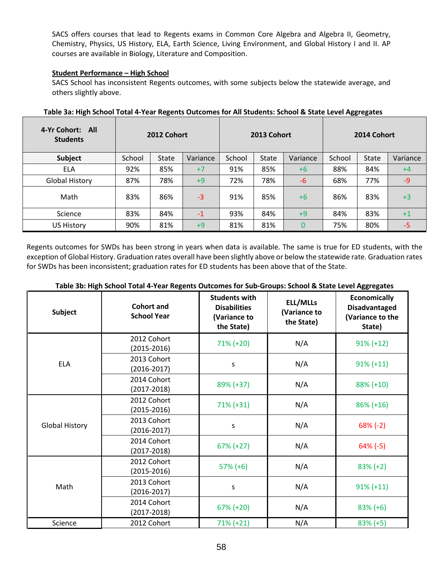SACS offers courses that lead to Regents exams in Common Core Algebra and Algebra II, Geometry, Chemistry, Physics, US History, ELA, Earth Science, Living Environment, and Global History I and II. AP courses are available in Biology, Literature and Composition.

## **Student Performance – High School**

SACS School has inconsistent Regents outcomes, with some subjects below the statewide average, and others slightly above.

| 4-Yr Cohort: All<br><b>Students</b> | 2012 Cohort |              |          | 2013 Cohort |              |          | 2014 Cohort |       |          |
|-------------------------------------|-------------|--------------|----------|-------------|--------------|----------|-------------|-------|----------|
| Subject                             | School      | <b>State</b> | Variance | School      | <b>State</b> | Variance | School      | State | Variance |
| <b>ELA</b>                          | 92%         | 85%          | $+7$     | 91%         | 85%          | $+6$     | 88%         | 84%   | $+4$     |
| <b>Global History</b>               | 87%         | 78%          | $+9$     | 72%         | 78%          | -6       | 68%         | 77%   | $-9$     |
| Math                                | 83%         | 86%          | $-3$     | 91%         | 85%          | $+6$     | 86%         | 83%   | $+3$     |
| Science                             | 83%         | 84%          | $-1$     | 93%         | 84%          | $+9$     | 84%         | 83%   | $+1$     |
| <b>US History</b>                   | 90%         | 81%          | $+9$     | 81%         | 81%          | 0        | 75%         | 80%   | $-5$     |

| Table 3a: High School Total 4-Year Regents Outcomes for All Students: School & State Level Aggregates |  |
|-------------------------------------------------------------------------------------------------------|--|
|-------------------------------------------------------------------------------------------------------|--|

Regents outcomes for SWDs has been strong in years when data is available. The same is true for ED students, with the exception of Global History. Graduation rates overall have been slightly above or below the statewide rate. Graduation rates for SWDs has been inconsistent; graduation rates for ED students has been above that of the State.

| <b>Subject</b>        | <b>Cohort and</b><br><b>School Year</b> | <b>Students with</b><br><b>Disabilities</b><br>(Variance to<br>the State) | <b>ELL/MLLs</b><br>(Variance to<br>the State) | <b>Economically</b><br><b>Disadvantaged</b><br>(Variance to the<br>State) |
|-----------------------|-----------------------------------------|---------------------------------------------------------------------------|-----------------------------------------------|---------------------------------------------------------------------------|
|                       | 2012 Cohort<br>$(2015 - 2016)$          | 71% (+20)                                                                 | N/A                                           | $91\% (+12)$                                                              |
| <b>ELA</b>            | 2013 Cohort<br>$(2016 - 2017)$          | S                                                                         | N/A                                           | $91\% (+11)$                                                              |
|                       | 2014 Cohort<br>$(2017 - 2018)$          | 89% (+37)                                                                 | N/A                                           | 88% (+10)                                                                 |
| <b>Global History</b> | 2012 Cohort<br>$(2015 - 2016)$          | $71\% (+31)$                                                              | N/A                                           | $86\% (+16)$                                                              |
|                       | 2013 Cohort<br>$(2016 - 2017)$          | S                                                                         | N/A                                           | $68\%$ (-2)                                                               |
|                       | 2014 Cohort<br>$(2017 - 2018)$          | $67\% (+27)$                                                              | N/A                                           | $64\%$ (-5)                                                               |
| Math                  | 2012 Cohort<br>$(2015 - 2016)$          | $57\% (+6)$                                                               | N/A                                           | $83\% (+2)$                                                               |
|                       | 2013 Cohort<br>$(2016 - 2017)$          | S                                                                         | N/A                                           | $91\% (+11)$                                                              |
|                       | 2014 Cohort<br>$(2017 - 2018)$          | $67\% (+20)$                                                              | N/A                                           | $83\% (+6)$                                                               |
| Science               | 2012 Cohort                             | $71\% (+21)$                                                              | N/A                                           | $83\% (+5)$                                                               |

### **Table 3b: High School Total 4-Year Regents Outcomes for Sub-Groups: School & State Level Aggregates**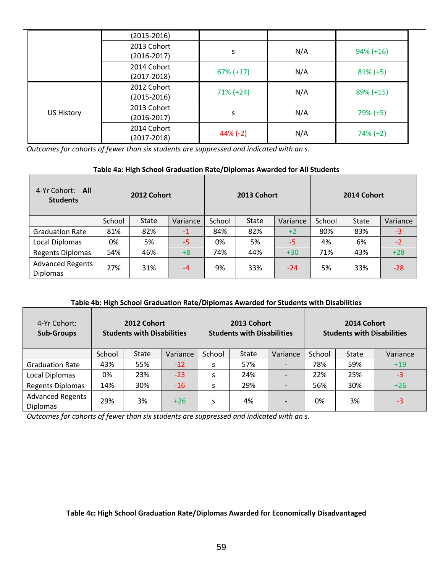|                   | (2015-2016)                    |              |     |              |  |
|-------------------|--------------------------------|--------------|-----|--------------|--|
|                   | 2013 Cohort<br>$(2016 - 2017)$ | S            | N/A | $94\% (+16)$ |  |
|                   | 2014 Cohort<br>(2017-2018)     | $67\% (+17)$ | N/A | $81\% (+5)$  |  |
| <b>US History</b> | 2012 Cohort<br>$(2015 - 2016)$ | $71\% (+24)$ | N/A | $89\% (+15)$ |  |
|                   | 2013 Cohort<br>$(2016 - 2017)$ | S            | N/A | $79\%$ (+5)  |  |
|                   | 2014 Cohort<br>(2017-2018)     | $44\%$ (-2)  | N/A | $74\% (+2)$  |  |

*Outcomes for cohorts of fewer than six students are suppressed and indicated with an s.*

# **Table 4a: High School Graduation Rate/Diplomas Awarded for All Students**

| 4-Yr Cohort: All<br><b>Students</b>        | 2012 Cohort |       |          | 2013 Cohort |       |          | 2014 Cohort |              |          |
|--------------------------------------------|-------------|-------|----------|-------------|-------|----------|-------------|--------------|----------|
|                                            | School      | State | Variance | School      | State | Variance | School      | <b>State</b> | Variance |
| <b>Graduation Rate</b>                     | 81%         | 82%   | $-1$     | 84%         | 82%   | $+2$     | 80%         | 83%          | $-3$     |
| <b>Local Diplomas</b>                      | 0%          | 5%    | $-5$     | 0%          | 5%    | $-5$     | 4%          | 6%           | $-2$     |
| <b>Regents Diplomas</b>                    | 54%         | 46%   | $+8$     | 74%         | 44%   | $+30$    | 71%         | 43%          | $+28$    |
| <b>Advanced Regents</b><br><b>Diplomas</b> | 27%         | 31%   | $-4$     | 9%          | 33%   | $-24$    | 5%          | 33%          | $-28$    |

# **Table 4b: High School Graduation Rate/Diplomas Awarded for Students with Disabilities**

| 4-Yr Cohort:<br><b>Sub-Groups</b>          | 2012 Cohort<br>2013 Cohort<br><b>Students with Disabilities</b><br><b>Students with Disabilities</b> |              |          |        |              | 2014 Cohort<br><b>Students with Disabilities</b> |        |              |          |
|--------------------------------------------|------------------------------------------------------------------------------------------------------|--------------|----------|--------|--------------|--------------------------------------------------|--------|--------------|----------|
|                                            | School                                                                                               | <b>State</b> | Variance | School | <b>State</b> | Variance                                         | School | <b>State</b> | Variance |
| <b>Graduation Rate</b>                     | 43%                                                                                                  | 55%          | $-12$    | S      | 57%          |                                                  | 78%    | 59%          | $+19$    |
| Local Diplomas                             | 0%                                                                                                   | 23%          | $-23$    | S      | 24%          |                                                  | 22%    | 25%          | $-3$     |
| <b>Regents Diplomas</b>                    | 14%                                                                                                  | 30%          | $-16$    | S      | 29%          |                                                  | 56%    | 30%          | $+26$    |
| <b>Advanced Regents</b><br><b>Diplomas</b> | 29%                                                                                                  | 3%           | $+26$    | S      | 4%           |                                                  | 0%     | 3%           | $-3$     |

*Outcomes for cohorts of fewer than six students are suppressed and indicated with an s.*

**Table 4c: High School Graduation Rate/Diplomas Awarded for Economically Disadvantaged**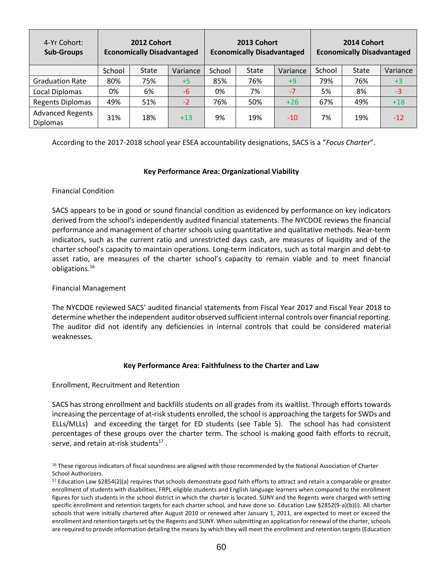| 4-Yr Cohort:<br><b>Sub-Groups</b>          | 2012 Cohort<br><b>Economically Disadvantaged</b> |              |          |        | 2013 Cohort<br><b>Economically Disadvantaged</b> |          |        | 2014 Cohort<br><b>Economically Disadvantaged</b> |          |
|--------------------------------------------|--------------------------------------------------|--------------|----------|--------|--------------------------------------------------|----------|--------|--------------------------------------------------|----------|
|                                            | School                                           | <b>State</b> | Variance | School | <b>State</b>                                     | Variance | School | <b>State</b>                                     | Variance |
| <b>Graduation Rate</b>                     | 80%                                              | 75%          | $+5$     | 85%    | 76%                                              | $+9$     | 79%    | 76%                                              | $+3$     |
| <b>Local Diplomas</b>                      | 0%                                               | 6%           | $-6$     | 0%     | 7%                                               | $-7$     | 5%     | 8%                                               | $-3$     |
| <b>Regents Diplomas</b>                    | 49%                                              | 51%          | $-2$     | 76%    | 50%                                              | $+26$    | 67%    | 49%                                              | $+18$    |
| <b>Advanced Regents</b><br><b>Diplomas</b> | 31%                                              | 18%          | $+13$    | 9%     | 19%                                              | $-10$    | 7%     | 19%                                              | $-12$    |

According to the 2017-2018 school year ESEA accountability designations, SACS is a "*Focus Charter*".

### **Key Performance Area: Organizational Viability**

## Financial Condition

SACS appears to be in good or sound financial condition as evidenced by performance on key indicators derived from the school's independently audited financial statements. The NYCDOE reviews the financial performance and management of charter schools using quantitative and qualitative methods. Near‐term indicators, such as the current ratio and unrestricted days cash, are measures of liquidity and of the charter school's capacity to maintain operations. Long‐term indicators, such as total margin and debt‐to asset ratio, are measures of the charter school's capacity to remain viable and to meet financial obligations.<sup>16</sup>

### Financial Management

The NYCDOE reviewed SACS' audited financial statements from Fiscal Year 2017 and Fiscal Year 2018 to determine whether the independent auditor observed sufficient internal controls over financial reporting. The auditor did not identify any deficiencies in internal controls that could be considered material weaknesses.

### **Key Performance Area: Faithfulness to the Charter and Law**

### Enrollment, Recruitment and Retention

SACS has strong enrollment and backfills students on all grades from its waitlist. Through efforts towards increasing the percentage of at-risk students enrolled, the school is approaching the targets for SWDs and ELLs/MLLs) and exceeding the target for ED students (see Table 5). The school has had consistent percentages of these groups over the charter term. The school is making good faith efforts to recruit, serve, and retain at-risk students $^{17}$  .

<sup>&</sup>lt;sup>16</sup> These rigorous indicators of fiscal soundness are aligned with those recommended by the National Association of Charter School Authorizers.

<sup>&</sup>lt;sup>17</sup> Education Law §2854(2)(a) requires that schools demonstrate good faith efforts to attract and retain a comparable or greater enrollment of students with disabilities, FRPL eligible students and English language learners when compared to the enrollment figures for such students in the school district in which the charter is located. SUNY and the Regents were charged with setting specific enrollment and retention targets for each charter school, and have done so. Education Law §2852(9-a)(b)(i). All charter schools that were initially chartered after August 2010 or renewed after January 1, 2011, are expected to meet or exceed the enrollment and retention targets set by the Regents and SUNY. When submitting an application for renewal of the charter, schools are required to provide information detailing the means by which they will meet the enrollment and retention targets (Education